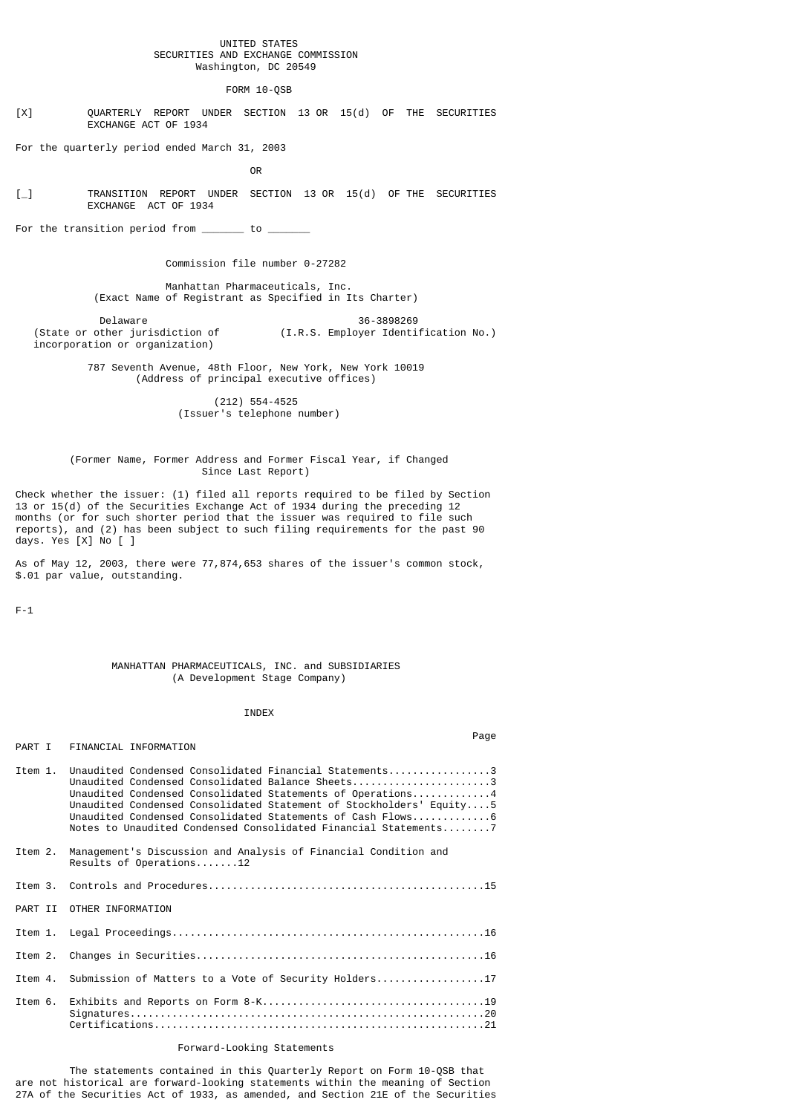#### UNITED STATES SECURITIES AND EXCHANGE COMMISSION Washington, DC 20549

FORM 10-QSB

[X]  $OUARTERLY REPORT UNDER SECTION 13 OR 15(d) OF THE SECURITIES$ EXCHANGE ACT OF 1934

For the quarterly period ended March 31, 2003

**OR** Service of the state of the state of the state of the state of the state of the state of the state of the state of the state of the state of the state of the state of the state of the state of the state of the state o

[\_] TRANSITION REPORT UNDER SECTION 13 OR 15(d) OF THE SECURITIES EXCHANGE ACT OF 1934

For the transition period from  $\frac{\ }{\ }$  to  $\frac{\ }{\ }$ 

Commission file number 0-27282

 Manhattan Pharmaceuticals, Inc. (Exact Name of Registrant as Specified in Its Charter)

 Delaware 36-3898269 (I.R.S. Employer Identification No.) incorporation or organization)

 787 Seventh Avenue, 48th Floor, New York, New York 10019 (Address of principal executive offices)

> (212) 554-4525 (Issuer's telephone number)

 (Former Name, Former Address and Former Fiscal Year, if Changed Since Last Report)

Check whether the issuer: (1) filed all reports required to be filed by Section 13 or 15(d) of the Securities Exchange Act of 1934 during the preceding 12 months (or for such shorter period that the issuer was required to file such reports), and (2) has been subject to such filing requirements for the past 90 days. Yes [X] No [ ]

As of May 12, 2003, there were 77,874,653 shares of the issuer's common stock, \$.01 par value, outstanding.

F-1

## MANHATTAN PHARMACEUTICALS, INC. and SUBSIDIARIES (A Development Stage Company)

# INDEX en de la provincia de la provincia de la provincia de la provincia de la provincia de la provincia de la provi

|         | PART I FINANCIAL INFORMATION                                                                                                                                                                                                                                                                                       |
|---------|--------------------------------------------------------------------------------------------------------------------------------------------------------------------------------------------------------------------------------------------------------------------------------------------------------------------|
| Item 1. | Unaudited Condensed Consolidated Financial Statements3<br>Unaudited Condensed Consolidated Balance Sheets3<br>Unaudited Condensed Consolidated Statements of Operations4<br>Unaudited Condensed Consolidated Statement of Stockholders' Equity5<br>Notes to Unaudited Condensed Consolidated Financial Statements7 |
| Item 2. | Management's Discussion and Analysis of Financial Condition and<br>Results of Operations12                                                                                                                                                                                                                         |
|         |                                                                                                                                                                                                                                                                                                                    |
|         | PART II OTHER INFORMATION                                                                                                                                                                                                                                                                                          |
|         |                                                                                                                                                                                                                                                                                                                    |
|         |                                                                                                                                                                                                                                                                                                                    |
|         | Item 4. Submission of Matters to a Vote of Security Holders17                                                                                                                                                                                                                                                      |
| Item 6. |                                                                                                                                                                                                                                                                                                                    |

## Forward-Looking Statements

 The statements contained in this Quarterly Report on Form 10-QSB that are not historical are forward-looking statements within the meaning of Section 27A of the Securities Act of 1933, as amended, and Section 21E of the Securities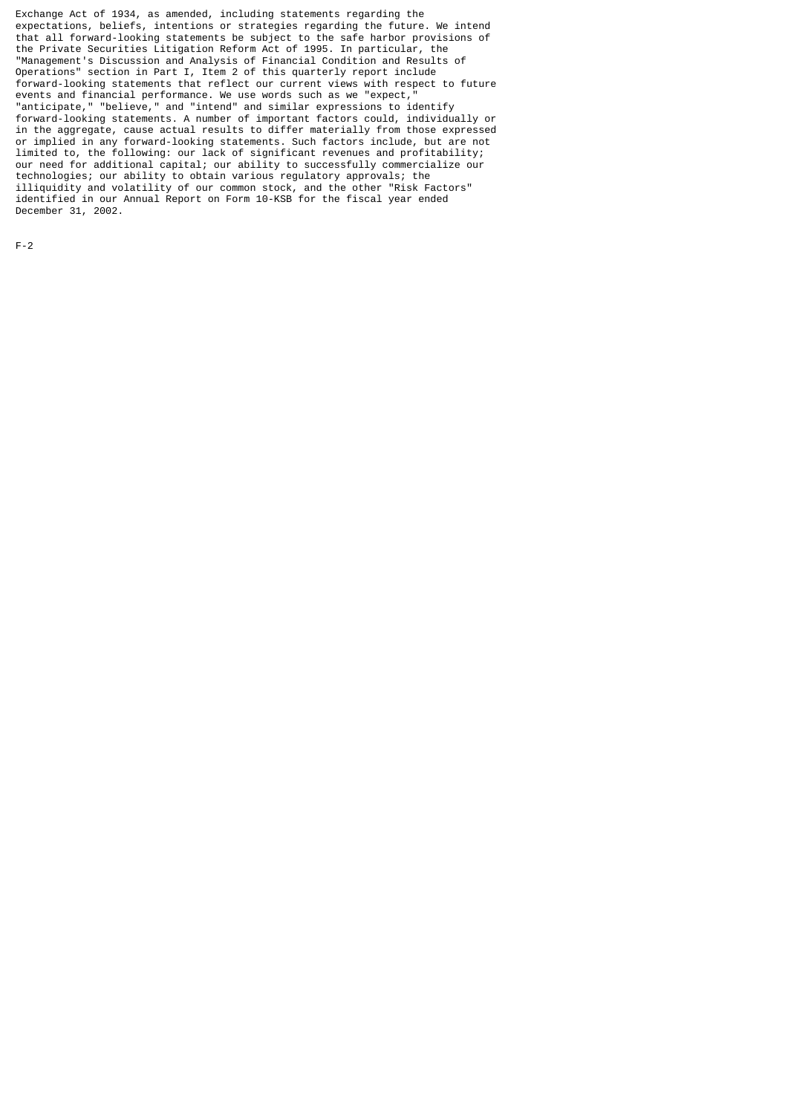Exchange Act of 1934, as amended, including statements regarding the expectations, beliefs, intentions or strategies regarding the future. We intend that all forward-looking statements be subject to the safe harbor provisions of the Private Securities Litigation Reform Act of 1995. In particular, the "Management's Discussion and Analysis of Financial Condition and Results of Operations" section in Part I, Item 2 of this quarterly report include forward-looking statements that reflect our current views with respect to future events and financial performance. We use words such as we "expect," "anticipate," "believe," and "intend" and similar expressions to identify forward-looking statements. A number of important factors could, individually or in the aggregate, cause actual results to differ materially from those expressed or implied in any forward-looking statements. Such factors include, but are not limited to, the following: our lack of significant revenues and profitability; our need for additional capital; our ability to successfully commercialize our technologies; our ability to obtain various regulatory approvals; the illiquidity and volatility of our common stock, and the other "Risk Factors" identified in our Annual Report on Form 10-KSB for the fiscal year ended December 31, 2002.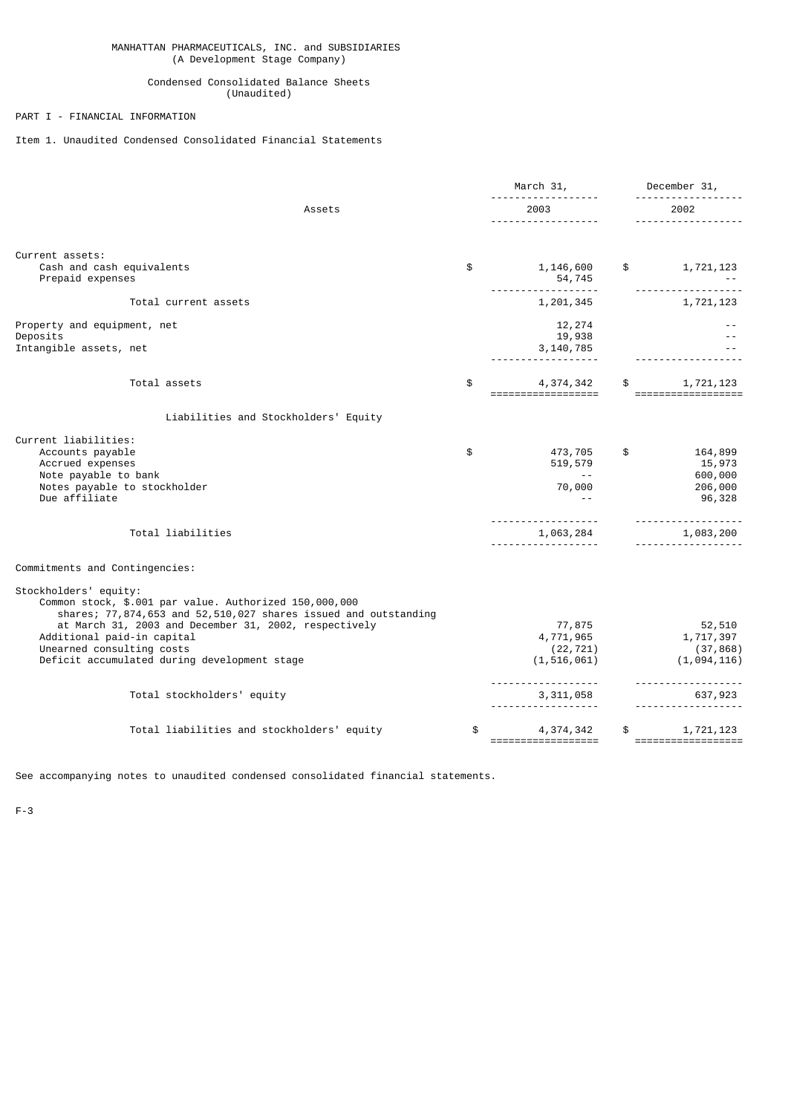## Condensed Consolidated Balance Sheets (Unaudited)

## PART I - FINANCIAL INFORMATION

Item 1. Unaudited Condensed Consolidated Financial Statements

|                                                                                                                                                                                                                                                                                                                        | March 31, December 31,                                     |                                                                                                                     |
|------------------------------------------------------------------------------------------------------------------------------------------------------------------------------------------------------------------------------------------------------------------------------------------------------------------------|------------------------------------------------------------|---------------------------------------------------------------------------------------------------------------------|
| Assets                                                                                                                                                                                                                                                                                                                 | 2003                                                       | 2002<br><u></u> .                                                                                                   |
| Current assets:                                                                                                                                                                                                                                                                                                        |                                                            |                                                                                                                     |
| Cash and cash equivalents<br>Prepaid expenses                                                                                                                                                                                                                                                                          | \$                                                         |                                                                                                                     |
| Total current assets                                                                                                                                                                                                                                                                                                   | 1,201,345                                                  | 1,721,123                                                                                                           |
| Property and equipment, net<br>Deposits<br>Intangible assets, net                                                                                                                                                                                                                                                      | 12,274<br>19,938                                           |                                                                                                                     |
|                                                                                                                                                                                                                                                                                                                        |                                                            |                                                                                                                     |
| Total assets                                                                                                                                                                                                                                                                                                           | \$                                                         | 4, 374, 342 \$ 1, 721, 123                                                                                          |
| Liabilities and Stockholders' Equity                                                                                                                                                                                                                                                                                   |                                                            |                                                                                                                     |
| Current liabilities:<br>Accounts payable<br>Accrued expenses<br>Note payable to bank<br>Notes payable to stockholder<br>Due affiliate                                                                                                                                                                                  | \$<br>473,705<br>519,579<br>$\sim$ $ -$<br>70,000<br>$- -$ | $\frac{1}{2}$<br>164,899<br>15,973<br>600,000<br>206,000<br>96,328                                                  |
| Total liabilities                                                                                                                                                                                                                                                                                                      | $1,063,284$ $1,083,200$                                    |                                                                                                                     |
| Commitments and Contingencies:                                                                                                                                                                                                                                                                                         |                                                            |                                                                                                                     |
| Stockholders' equity:<br>Common stock, \$.001 par value. Authorized 150,000,000<br>shares; 77,874,653 and 52,510,027 shares issued and outstanding<br>at March 31, 2003 and December 31, 2002, respectively<br>Additional paid-in capital<br>Unearned consulting costs<br>Deficit accumulated during development stage |                                                            | $77,875$<br>$4,771,965$<br>$1,717,397$<br>$1,717,397$<br>$(22, 721)$ $(37, 868)$<br>$(1, 516, 061)$ $(1, 094, 116)$ |
| Total stockholders' equity                                                                                                                                                                                                                                                                                             | $3,311,058$ 637,923                                        | ----------------                                                                                                    |
| Total liabilities and stockholders' equity                                                                                                                                                                                                                                                                             | \$                                                         |                                                                                                                     |

See accompanying notes to unaudited condensed consolidated financial statements.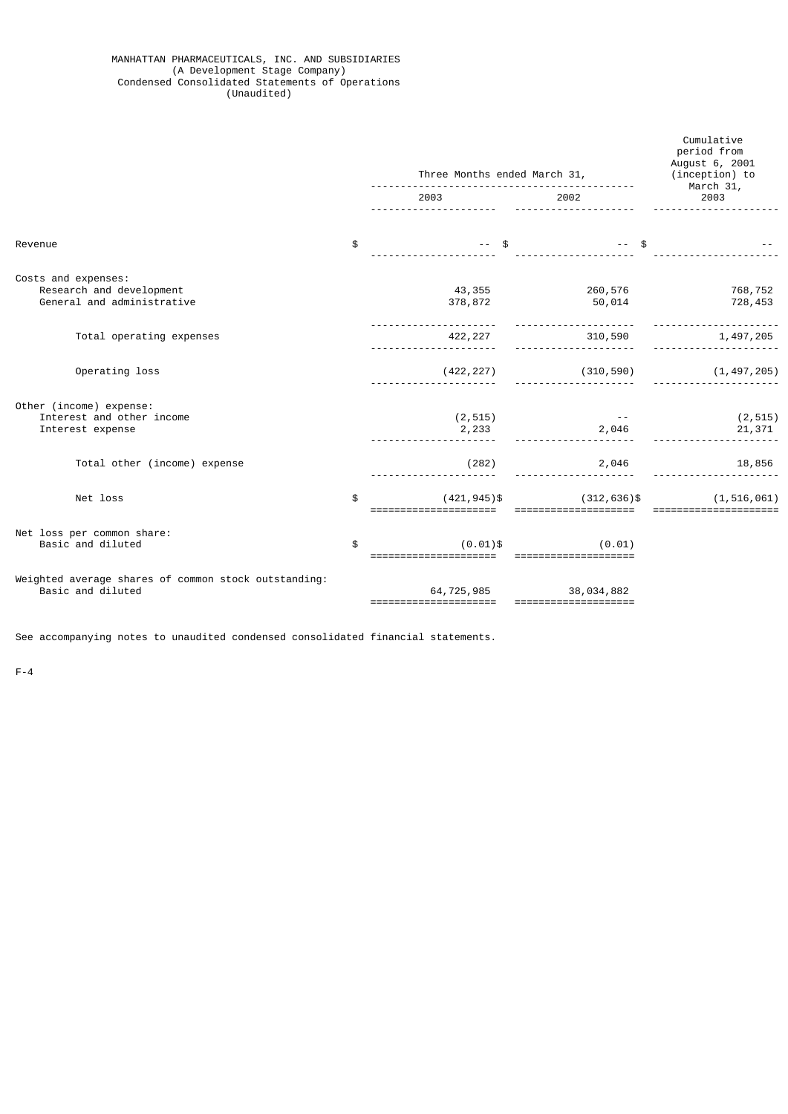## MANHATTAN PHARMACEUTICALS, INC. AND SUBSIDIARIES (A Development Stage Company) Condensed Consolidated Statements of Operations (Unaudited)

|                                                                               | Three Months ended March 31, |                                     |                                    | Cumulative<br>period from<br>August 6, 2001<br>(inception) to |  |
|-------------------------------------------------------------------------------|------------------------------|-------------------------------------|------------------------------------|---------------------------------------------------------------|--|
|                                                                               |                              | 2003                                | 2002                               | March 31,<br>2003                                             |  |
| Revenue                                                                       | \$                           | $--$ \$                             | $--$ \$                            |                                                               |  |
| Costs and expenses:<br>Research and development<br>General and administrative |                              | 43,355<br>378,872                   | 260,576<br>50,014                  | 768,752<br>728,453                                            |  |
| Total operating expenses                                                      |                              | 422,227                             | 310,590                            | 1,497,205                                                     |  |
| Operating loss                                                                |                              | (422, 227)                          | (310, 590)                         | (1, 497, 205)                                                 |  |
| Other (income) expense:<br>Interest and other income<br>Interest expense      |                              | (2, 515)<br>2,233                   | 2,046                              | (2, 515)<br>21,371                                            |  |
| Total other (income) expense                                                  |                              | (282)                               | 2,046                              | 18,856                                                        |  |
| Net loss                                                                      | \$                           | $(421, 945)$ \$<br>--------------   | $(312, 636)$ \$                    | (1, 516, 061)                                                 |  |
| Net loss per common share:<br>Basic and diluted                               | \$                           | $(0.01)$ \$                         | (0.01)                             |                                                               |  |
| Weighted average shares of common stock outstanding:<br>Basic and diluted     |                              | 64,725,985<br>===================== | 38,034,882<br>==================== |                                                               |  |

See accompanying notes to unaudited condensed consolidated financial statements.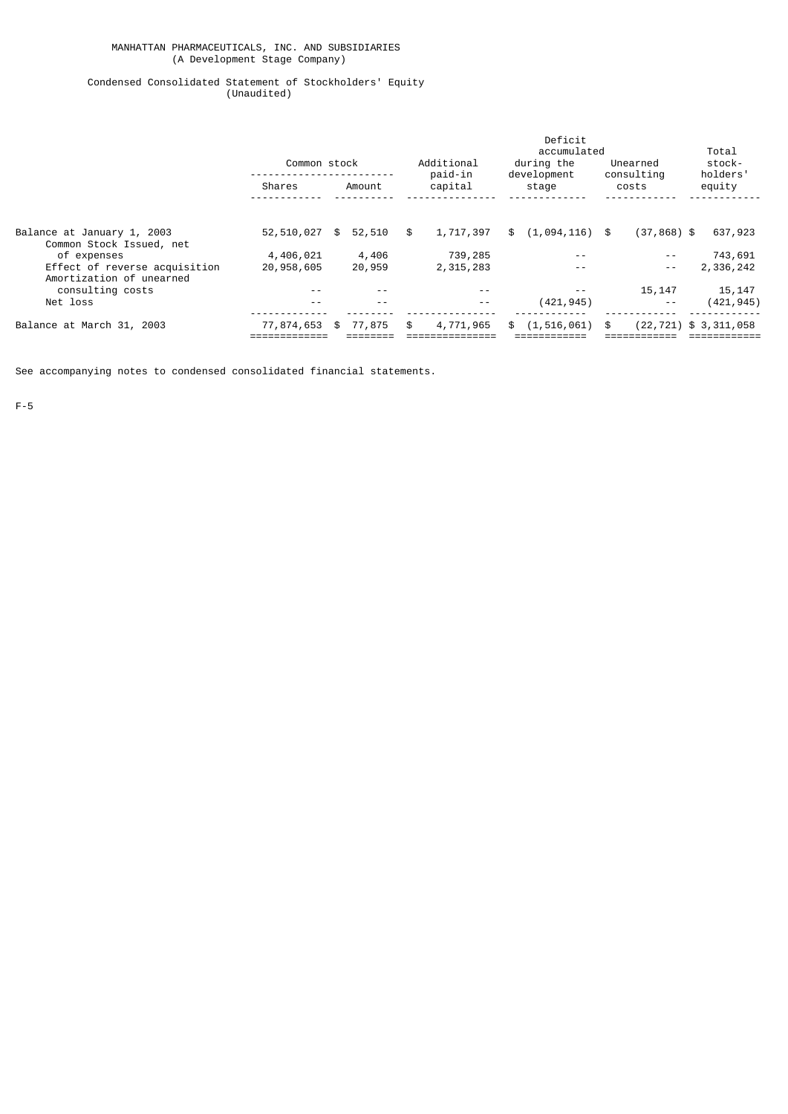### Condensed Consolidated Statement of Stockholders' Equity (Unaudited)

|                                                           | Common stock |              | Additional<br>paid-in | Deficit<br>accumulated<br>during the<br>development | Unearned<br>consulting | Total<br>stock-<br>holders' |
|-----------------------------------------------------------|--------------|--------------|-----------------------|-----------------------------------------------------|------------------------|-----------------------------|
|                                                           | Shares       | Amount       | capital               | stage                                               | costs                  | equity                      |
| Balance at January 1, 2003<br>Common Stock Issued, net    | 52,510,027   | \$<br>52,510 | 1,717,397<br>\$       | \$<br>$(1,094,116)$ \$                              | $(37, 868)$ \$         | 637,923                     |
| of expenses                                               | 4,406,021    | 4,406        | 739,285               | $ -$                                                | $- -$                  | 743,691                     |
| Effect of reverse acquisition<br>Amortization of unearned | 20,958,605   | 20,959       | 2,315,283             | $ -$                                                | $- -$                  | 2,336,242                   |
| consulting costs                                          | $ -$         | $ -$         |                       |                                                     | 15, 147                | 15,147                      |
| Net loss                                                  | $ -$         | $ -$         | $ -$                  | (421, 945)                                          | $ -$                   | (421,945)                   |
| Balance at March 31, 2003                                 | 77,874,653   | \$77,875     | 4,771,965<br>\$       | \$(1, 516, 061)                                     | \$                     | $(22, 721)$ \$ 3, 311, 058  |

See accompanying notes to condensed consolidated financial statements.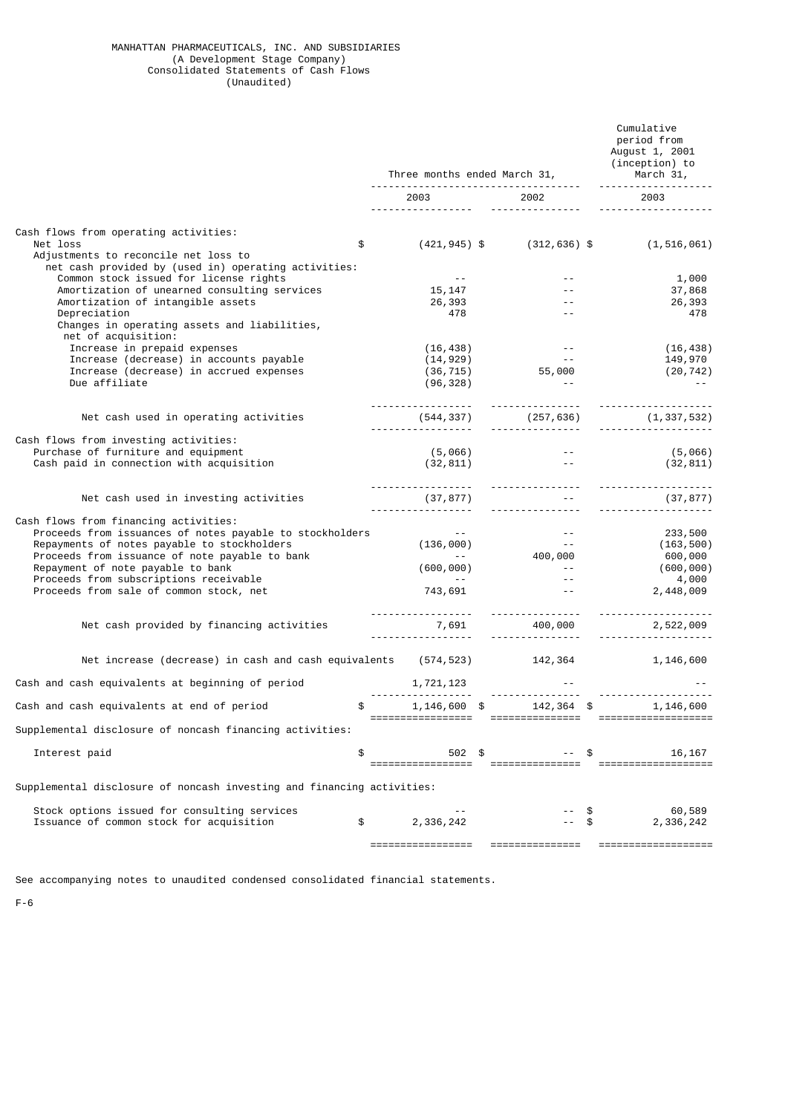## MANHATTAN PHARMACEUTICALS, INC. AND SUBSIDIARIES (A Development Stage Company) Consolidated Statements of Cash Flows (Unaudited)

|                                                                                                         |                                         | Three months ended March 31,<br>-------------------------------- |          | Cumulative<br>period from<br>August 1, 2001<br>(inception) to<br>March 31,<br>.March 31<br>--------------- |
|---------------------------------------------------------------------------------------------------------|-----------------------------------------|------------------------------------------------------------------|----------|------------------------------------------------------------------------------------------------------------|
|                                                                                                         | 2003                                    | 2002<br>.                                                        |          | 2003                                                                                                       |
| Cash flows from operating activities:                                                                   |                                         |                                                                  |          |                                                                                                            |
| Net loss<br>Adjustments to reconcile net loss to                                                        | \$                                      |                                                                  |          | $(421, 945)$ \$ $(312, 636)$ \$ $(1, 516, 061)$                                                            |
| net cash provided by (used in) operating activities:<br>Common stock issued for license rights          | $\sim$ $-$                              |                                                                  |          | 1,000                                                                                                      |
| Amortization of unearned consulting services<br>Amortization of intangible assets                       | 15,147<br>26,393                        | $\sim$ $ ^{-1}$                                                  |          | 37,868<br>26,393                                                                                           |
| Depreciation                                                                                            | 478                                     |                                                                  |          | 478                                                                                                        |
| Changes in operating assets and liabilities,<br>net of acquisition:                                     |                                         |                                                                  |          |                                                                                                            |
| Increase in prepaid expenses<br>Increase (decrease) in accounts payable                                 | (16, 438)<br>(14, 929)                  | $\sim 100$ m $^{-1}$                                             |          | (16, 438)<br>149,970                                                                                       |
| Increase (decrease) in accrued expenses                                                                 | (36, 715)                               | 55,000                                                           |          | (20, 742)                                                                                                  |
| Due affiliate                                                                                           | (96, 328)                               |                                                                  |          |                                                                                                            |
| Net cash used in operating activities                                                                   | (544,337)                               | (257, 636)                                                       |          | (1, 337, 532)                                                                                              |
| Cash flows from investing activities:                                                                   | .                                       |                                                                  |          |                                                                                                            |
| Purchase of furniture and equipment<br>Cash paid in connection with acquisition                         | (5,066)<br>(32, 811)                    | and the state of the<br>and the company of the company           |          | (5,066)<br>(32, 811)                                                                                       |
|                                                                                                         |                                         |                                                                  |          |                                                                                                            |
| Net cash used in investing activities                                                                   | (37, 877)                               | - --<br>----------------                                         |          | (37, 877)                                                                                                  |
| Cash flows from financing activities:                                                                   |                                         |                                                                  |          |                                                                                                            |
| Proceeds from issuances of notes payable to stockholders<br>Repayments of notes payable to stockholders | $- -$<br>(136,000)                      | $400,000$<br>--<br>--                                            |          | 233,500<br>(163, 500)                                                                                      |
| Proceeds from issuance of note payable to bank                                                          | <b>Contract Contract Contract</b>       |                                                                  |          | 600,000                                                                                                    |
| Repayment of note payable to bank<br>Proceeds from subscriptions receivable                             | (600,000)<br>and the state of the state |                                                                  |          | (600, 000)<br>4,000                                                                                        |
| Proceeds from sale of common stock, net                                                                 | 743,691                                 |                                                                  |          | 2,448,009                                                                                                  |
|                                                                                                         |                                         |                                                                  |          |                                                                                                            |
| Net cash provided by financing activities                                                               | 7,691                                   |                                                                  |          |                                                                                                            |
| Net increase (decrease) in cash and cash equivalents (574,523) 142,364                                  |                                         |                                                                  |          | 1,146,600                                                                                                  |
| Cash and cash equivalents at beginning of period                                                        | 1,721,123                               |                                                                  |          |                                                                                                            |
| Cash and cash equivalents at end of period                                                              | \$<br>=================                 | ===============                                                  |          | 1, 146, 600 \$ 142, 364 \$ 1, 146, 600<br>===================                                              |
| Supplemental disclosure of noncash financing activities:                                                |                                         |                                                                  |          |                                                                                                            |
| Interest paid                                                                                           | \$<br>$502$ \$<br>=================     | ===============                                                  | \$       | 16,167<br>===================                                                                              |
| Supplemental disclosure of noncash investing and financing activities:                                  |                                         |                                                                  |          |                                                                                                            |
| Stock options issued for consulting services<br>Issuance of common stock for acquisition                | \$<br>$- -$<br>2,336,242                | $ -$                                                             | \$<br>\$ | 60,589<br>2,336,242                                                                                        |
|                                                                                                         | =================                       | ===============                                                  |          | ===================                                                                                        |

See accompanying notes to unaudited condensed consolidated financial statements.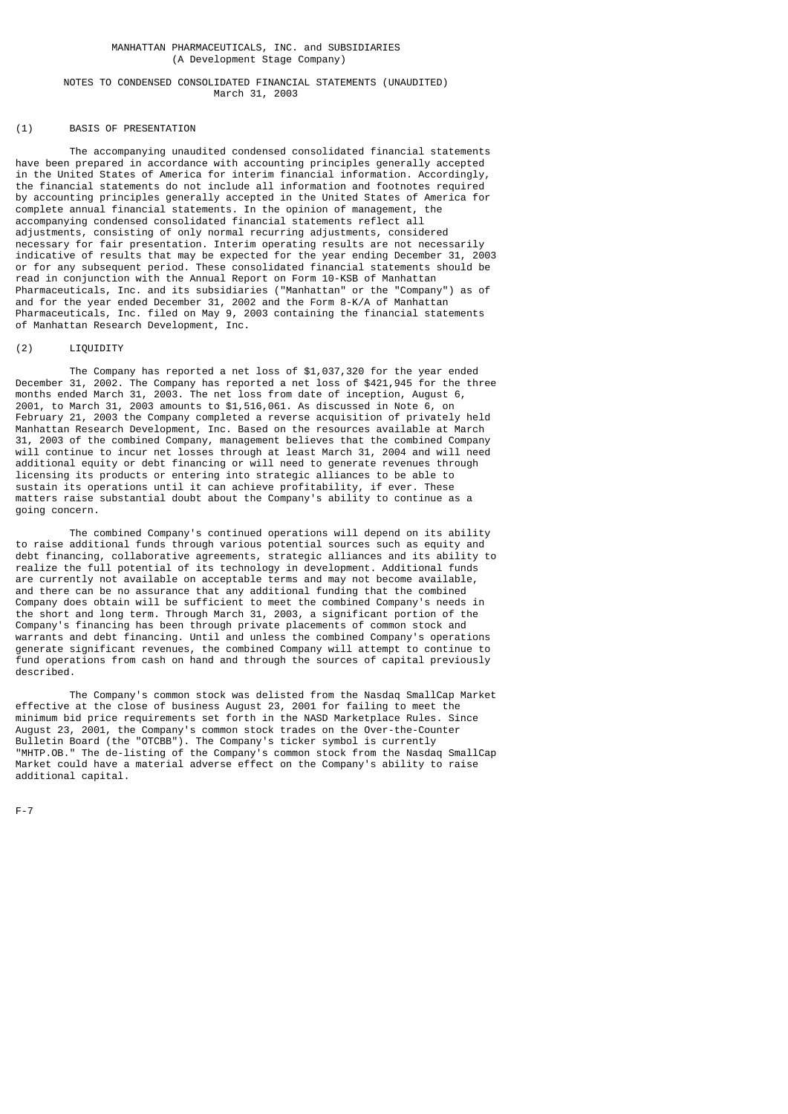## NOTES TO CONDENSED CONSOLIDATED FINANCIAL STATEMENTS (UNAUDITED) March 31, 2003

## (1) BASIS OF PRESENTATION

 The accompanying unaudited condensed consolidated financial statements have been prepared in accordance with accounting principles generally accepted in the United States of America for interim financial information. Accordingly, the financial statements do not include all information and footnotes required by accounting principles generally accepted in the United States of America for complete annual financial statements. In the opinion of management, the accompanying condensed consolidated financial statements reflect all adjustments, consisting of only normal recurring adjustments, considered necessary for fair presentation. Interim operating results are not necessarily indicative of results that may be expected for the year ending December 31, 2003 or for any subsequent period. These consolidated financial statements should be read in conjunction with the Annual Report on Form 10-KSB of Manhattan Pharmaceuticals, Inc. and its subsidiaries ("Manhattan" or the "Company") as of and for the year ended December 31, 2002 and the Form 8-K/A of Manhattan Pharmaceuticals, Inc. filed on May 9, 2003 containing the financial statements of Manhattan Research Development, Inc.

## (2) LIQUIDITY

 The Company has reported a net loss of \$1,037,320 for the year ended December 31, 2002. The Company has reported a net loss of \$421,945 for the three months ended March 31, 2003. The net loss from date of inception, August 6, 2001, to March 31, 2003 amounts to \$1,516,061. As discussed in Note 6, on February 21, 2003 the Company completed a reverse acquisition of privately held Manhattan Research Development, Inc. Based on the resources available at March 31, 2003 of the combined Company, management believes that the combined Company will continue to incur net losses through at least March 31, 2004 and will need additional equity or debt financing or will need to generate revenues through licensing its products or entering into strategic alliances to be able to sustain its operations until it can achieve profitability, if ever. These matters raise substantial doubt about the Company's ability to continue as a going concern.

 The combined Company's continued operations will depend on its ability to raise additional funds through various potential sources such as equity and debt financing, collaborative agreements, strategic alliances and its ability to realize the full potential of its technology in development. Additional funds are currently not available on acceptable terms and may not become available, and there can be no assurance that any additional funding that the combined Company does obtain will be sufficient to meet the combined Company's needs in the short and long term. Through March 31, 2003, a significant portion of the Company's financing has been through private placements of common stock and warrants and debt financing. Until and unless the combined Company's operations generate significant revenues, the combined Company will attempt to continue to fund operations from cash on hand and through the sources of capital previously described.

 The Company's common stock was delisted from the Nasdaq SmallCap Market effective at the close of business August 23, 2001 for failing to meet the minimum bid price requirements set forth in the NASD Marketplace Rules. Since August 23, 2001, the Company's common stock trades on the Over-the-Counter Bulletin Board (the "OTCBB"). The Company's ticker symbol is currently "MHTP.OB." The de-listing of the Company's common stock from the Nasdaq SmallCap Market could have a material adverse effect on the Company's ability to raise additional capital.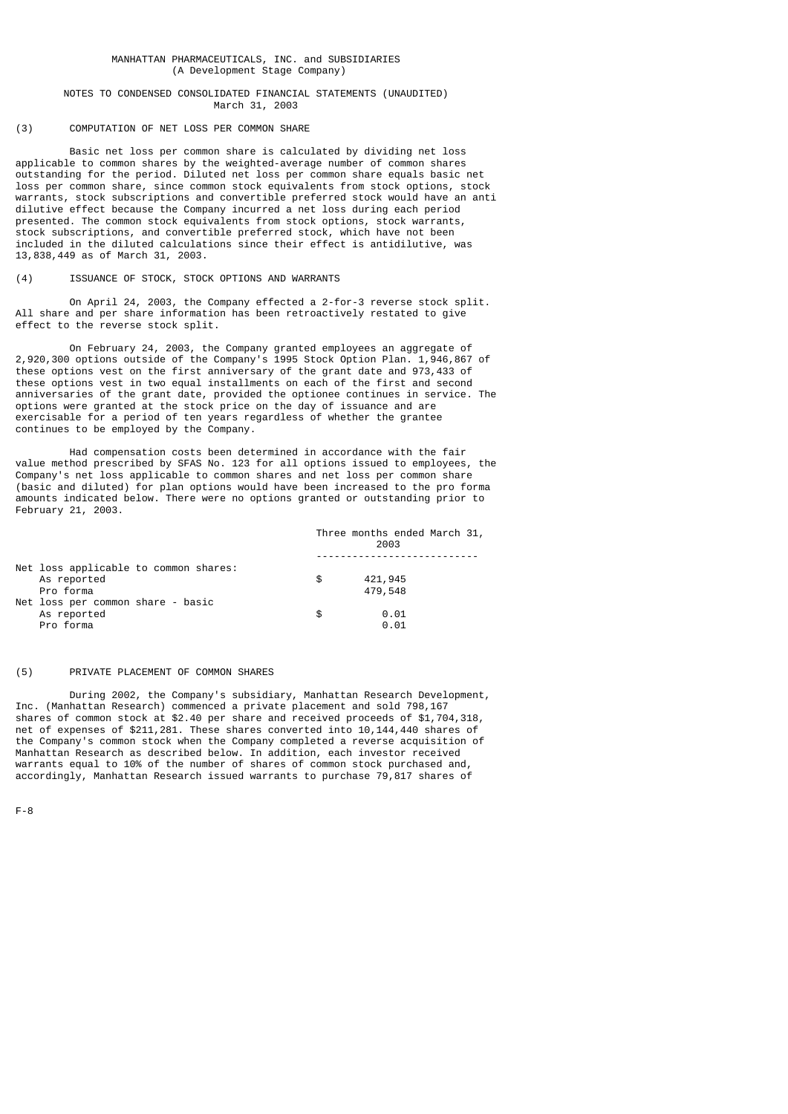## NOTES TO CONDENSED CONSOLIDATED FINANCIAL STATEMENTS (UNAUDITED) March 31, 2003

## (3) COMPUTATION OF NET LOSS PER COMMON SHARE

 Basic net loss per common share is calculated by dividing net loss applicable to common shares by the weighted-average number of common shares outstanding for the period. Diluted net loss per common share equals basic net loss per common share, since common stock equivalents from stock options, stock warrants, stock subscriptions and convertible preferred stock would have an anti dilutive effect because the Company incurred a net loss during each period presented. The common stock equivalents from stock options, stock warrants, stock subscriptions, and convertible preferred stock, which have not been included in the diluted calculations since their effect is antidilutive, was 13,838,449 as of March 31, 2003.

### (4) ISSUANCE OF STOCK, STOCK OPTIONS AND WARRANTS

 On April 24, 2003, the Company effected a 2-for-3 reverse stock split. All share and per share information has been retroactively restated to give effect to the reverse stock split.

 On February 24, 2003, the Company granted employees an aggregate of 2,920,300 options outside of the Company's 1995 Stock Option Plan. 1,946,867 of these options vest on the first anniversary of the grant date and 973,433 of these options vest in two equal installments on each of the first and second anniversaries of the grant date, provided the optionee continues in service. The options were granted at the stock price on the day of issuance and are exercisable for a period of ten years regardless of whether the grantee continues to be employed by the Company.

 Had compensation costs been determined in accordance with the fair value method prescribed by SFAS No. 123 for all options issued to employees, the Company's net loss applicable to common shares and net loss per common share (basic and diluted) for plan options would have been increased to the pro forma amounts indicated below. There were no options granted or outstanding prior to February 21, 2003.

|                                                                   | Three months ended March 31,<br>2003 |  |
|-------------------------------------------------------------------|--------------------------------------|--|
|                                                                   |                                      |  |
| Net loss applicable to common shares:<br>As reported<br>Pro forma | \$<br>421,945<br>479,548             |  |
| Net loss per common share - basic<br>As reported<br>Pro forma     | \$<br>0.01<br>0.01                   |  |

## (5) PRIVATE PLACEMENT OF COMMON SHARES

 During 2002, the Company's subsidiary, Manhattan Research Development, Inc. (Manhattan Research) commenced a private placement and sold 798,167 shares of common stock at \$2.40 per share and received proceeds of \$1,704,318, net of expenses of \$211,281. These shares converted into 10,144,440 shares of the Company's common stock when the Company completed a reverse acquisition of Manhattan Research as described below. In addition, each investor received warrants equal to 10% of the number of shares of common stock purchased and, accordingly, Manhattan Research issued warrants to purchase 79,817 shares of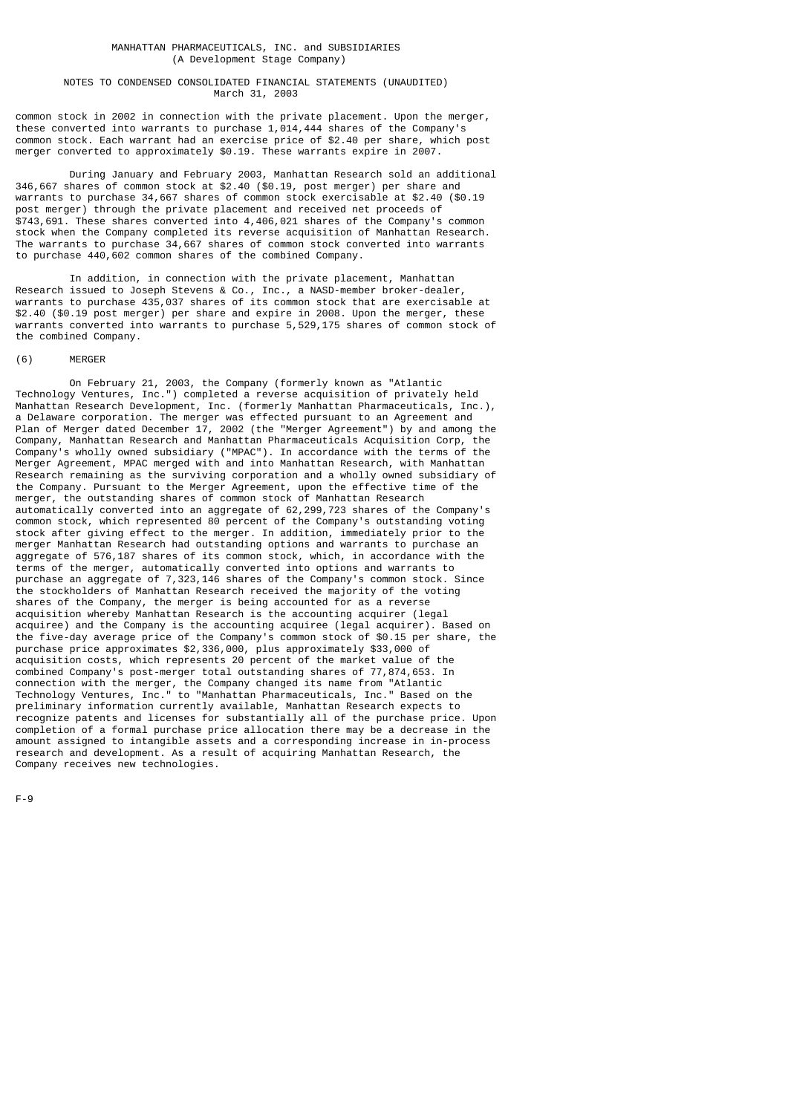## NOTES TO CONDENSED CONSOLIDATED FINANCIAL STATEMENTS (UNAUDITED) March 31, 2003

common stock in 2002 in connection with the private placement. Upon the merger, these converted into warrants to purchase 1,014,444 shares of the Company's common stock. Each warrant had an exercise price of \$2.40 per share, which post merger converted to approximately \$0.19. These warrants expire in 2007.

 During January and February 2003, Manhattan Research sold an additional 346,667 shares of common stock at \$2.40 (\$0.19, post merger) per share and warrants to purchase 34,667 shares of common stock exercisable at \$2.40 (\$0.19 post merger) through the private placement and received net proceeds of \$743,691. These shares converted into 4,406,021 shares of the Company's common stock when the Company completed its reverse acquisition of Manhattan Research. The warrants to purchase 34,667 shares of common stock converted into warrants to purchase 440,602 common shares of the combined Company.

 In addition, in connection with the private placement, Manhattan Research issued to Joseph Stevens & Co., Inc., a NASD-member broker-dealer, warrants to purchase 435,037 shares of its common stock that are exercisable at \$2.40 (\$0.19 post merger) per share and expire in 2008. Upon the merger, these warrants converted into warrants to purchase 5,529,175 shares of common stock of the combined Company.

#### (6) MERGER

 On February 21, 2003, the Company (formerly known as "Atlantic Technology Ventures, Inc.") completed a reverse acquisition of privately held Manhattan Research Development, Inc. (formerly Manhattan Pharmaceuticals, Inc.), a Delaware corporation. The merger was effected pursuant to an Agreement and Plan of Merger dated December 17, 2002 (the "Merger Agreement") by and among the Company, Manhattan Research and Manhattan Pharmaceuticals Acquisition Corp, the Company's wholly owned subsidiary ("MPAC"). In accordance with the terms of the Merger Agreement, MPAC merged with and into Manhattan Research, with Manhattan Research remaining as the surviving corporation and a wholly owned subsidiary of the Company. Pursuant to the Merger Agreement, upon the effective time of the merger, the outstanding shares of common stock of Manhattan Research automatically converted into an aggregate of 62,299,723 shares of the Company's common stock, which represented 80 percent of the Company's outstanding voting stock after giving effect to the merger. In addition, immediately prior to the merger Manhattan Research had outstanding options and warrants to purchase an aggregate of 576,187 shares of its common stock, which, in accordance with the terms of the merger, automatically converted into options and warrants to purchase an aggregate of 7,323,146 shares of the Company's common stock. Since the stockholders of Manhattan Research received the majority of the voting shares of the Company, the merger is being accounted for as a reverse acquisition whereby Manhattan Research is the accounting acquirer (legal acquiree) and the Company is the accounting acquiree (legal acquirer). Based on the five-day average price of the Company's common stock of \$0.15 per share, the purchase price approximates \$2,336,000, plus approximately \$33,000 of acquisition costs, which represents 20 percent of the market value of the combined Company's post-merger total outstanding shares of 77,874,653. In connection with the merger, the Company changed its name from "Atlantic Technology Ventures, Inc." to "Manhattan Pharmaceuticals, Inc." Based on the preliminary information currently available, Manhattan Research expects to recognize patents and licenses for substantially all of the purchase price. Upon completion of a formal purchase price allocation there may be a decrease in the amount assigned to intangible assets and a corresponding increase in in-process research and development. As a result of acquiring Manhattan Research, the Company receives new technologies.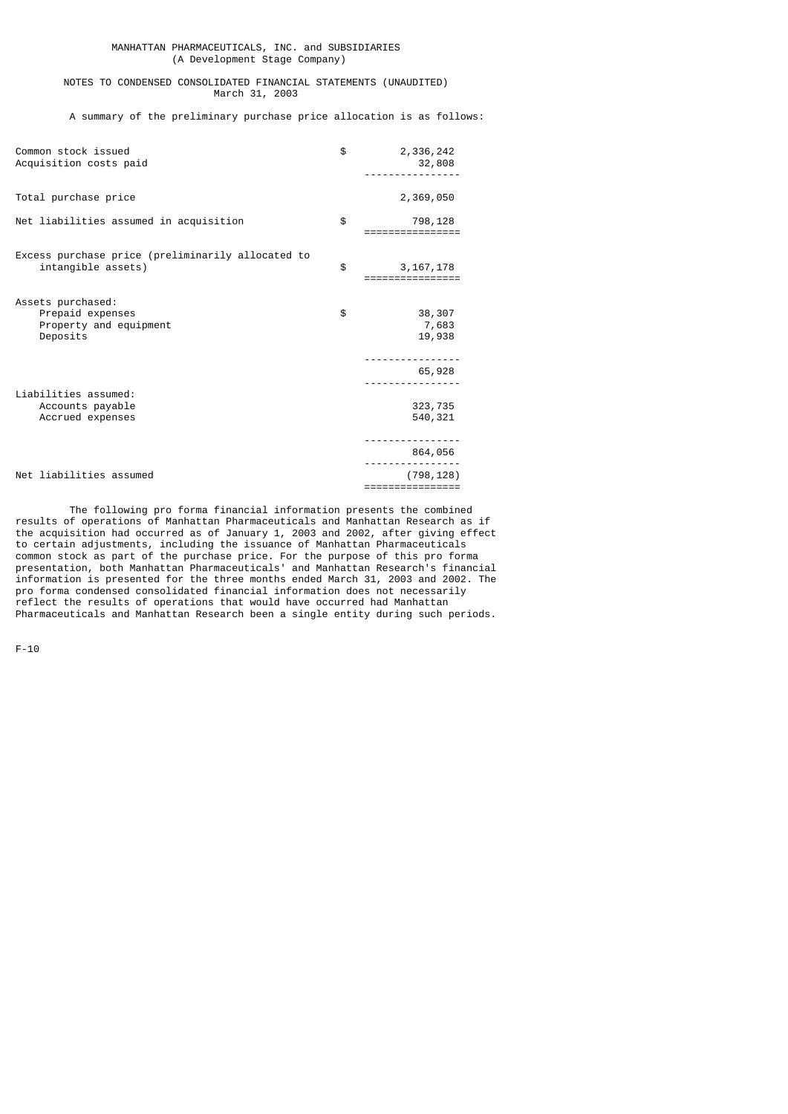## NOTES TO CONDENSED CONSOLIDATED FINANCIAL STATEMENTS (UNAUDITED) March 31, 2003

A summary of the preliminary purchase price allocation is as follows:

| Common stock issued<br>Acquisition costs paid                               | \$<br>2,336,242<br>32,808           |
|-----------------------------------------------------------------------------|-------------------------------------|
| Total purchase price                                                        | 2,369,050                           |
| Net liabilities assumed in acquisition                                      | \$<br>798,128<br>=============      |
| Excess purchase price (preliminarily allocated to<br>intangible assets)     | \$<br>3, 167, 178<br>============== |
| Assets purchased:<br>Prepaid expenses<br>Property and equipment<br>Deposits | \$<br>38,307<br>7,683<br>19,938     |
| Liabilities assumed:<br>Accounts payable                                    | 65,928<br>323,735                   |
| Accrued expenses                                                            | 540,321<br>864,056                  |
| Net liabilities assumed                                                     | (798, 128)<br>:===============      |

 The following pro forma financial information presents the combined results of operations of Manhattan Pharmaceuticals and Manhattan Research as if the acquisition had occurred as of January 1, 2003 and 2002, after giving effect to certain adjustments, including the issuance of Manhattan Pharmaceuticals common stock as part of the purchase price. For the purpose of this pro forma presentation, both Manhattan Pharmaceuticals' and Manhattan Research's financial information is presented for the three months ended March 31, 2003 and 2002. The pro forma condensed consolidated financial information does not necessarily reflect the results of operations that would have occurred had Manhattan Pharmaceuticals and Manhattan Research been a single entity during such periods.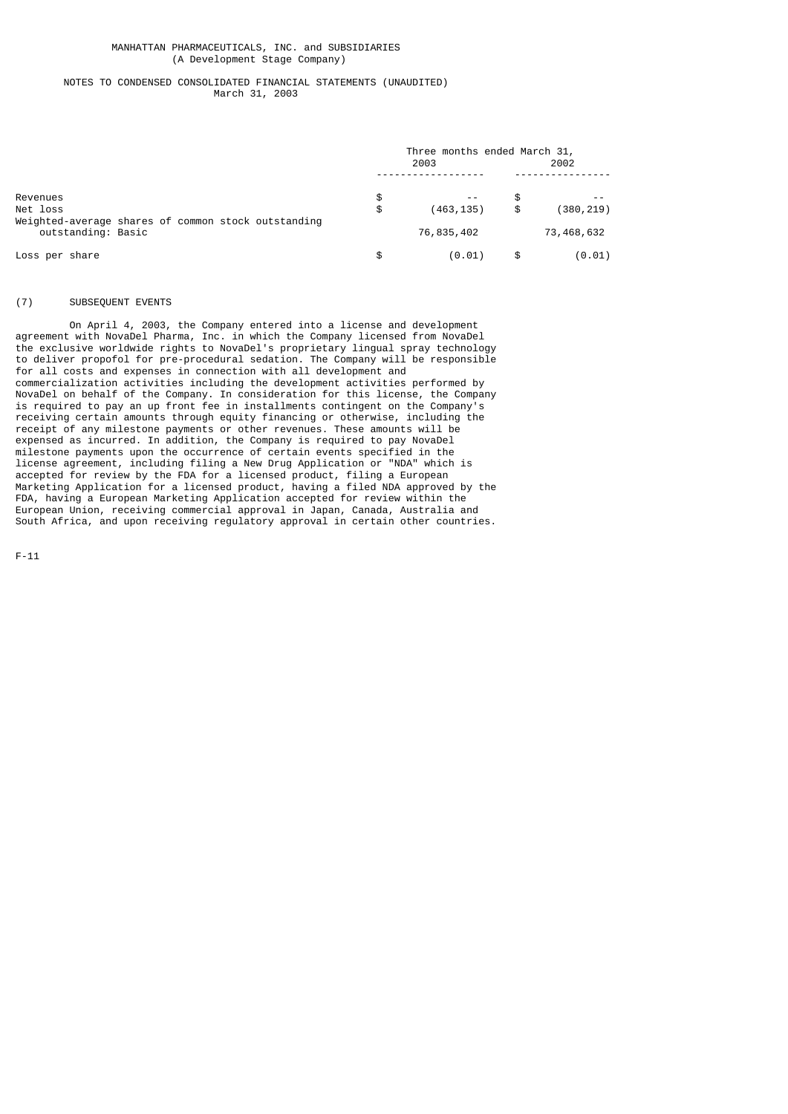## NOTES TO CONDENSED CONSOLIDATED FINANCIAL STATEMENTS (UNAUDITED) March 31, 2003

|  |  | March 31, 2003 |
|--|--|----------------|
|  |  |                |

|                                                                             |          | Three months ended March 31,<br>2003 |          | 2002              |
|-----------------------------------------------------------------------------|----------|--------------------------------------|----------|-------------------|
| Revenues<br>Net loss<br>Weighted-average shares of common stock outstanding | \$<br>\$ | (463,135)                            | \$<br>\$ | $ -$<br>(380,219) |
| outstanding: Basic                                                          |          | 76,835,402                           |          | 73,468,632        |
| Loss per share                                                              | \$       | (0.01)                               | \$       | (0.01)            |

## (7) SUBSEQUENT EVENTS

 On April 4, 2003, the Company entered into a license and development agreement with NovaDel Pharma, Inc. in which the Company licensed from NovaDel the exclusive worldwide rights to NovaDel's proprietary lingual spray technology to deliver propofol for pre-procedural sedation. The Company will be responsible for all costs and expenses in connection with all development and commercialization activities including the development activities performed by NovaDel on behalf of the Company. In consideration for this license, the Company is required to pay an up front fee in installments contingent on the Company's receiving certain amounts through equity financing or otherwise, including the receipt of any milestone payments or other revenues. These amounts will be expensed as incurred. In addition, the Company is required to pay NovaDel milestone payments upon the occurrence of certain events specified in the license agreement, including filing a New Drug Application or "NDA" which is accepted for review by the FDA for a licensed product, filing a European Marketing Application for a licensed product, having a filed NDA approved by the FDA, having a European Marketing Application accepted for review within the European Union, receiving commercial approval in Japan, Canada, Australia and South Africa, and upon receiving regulatory approval in certain other countries.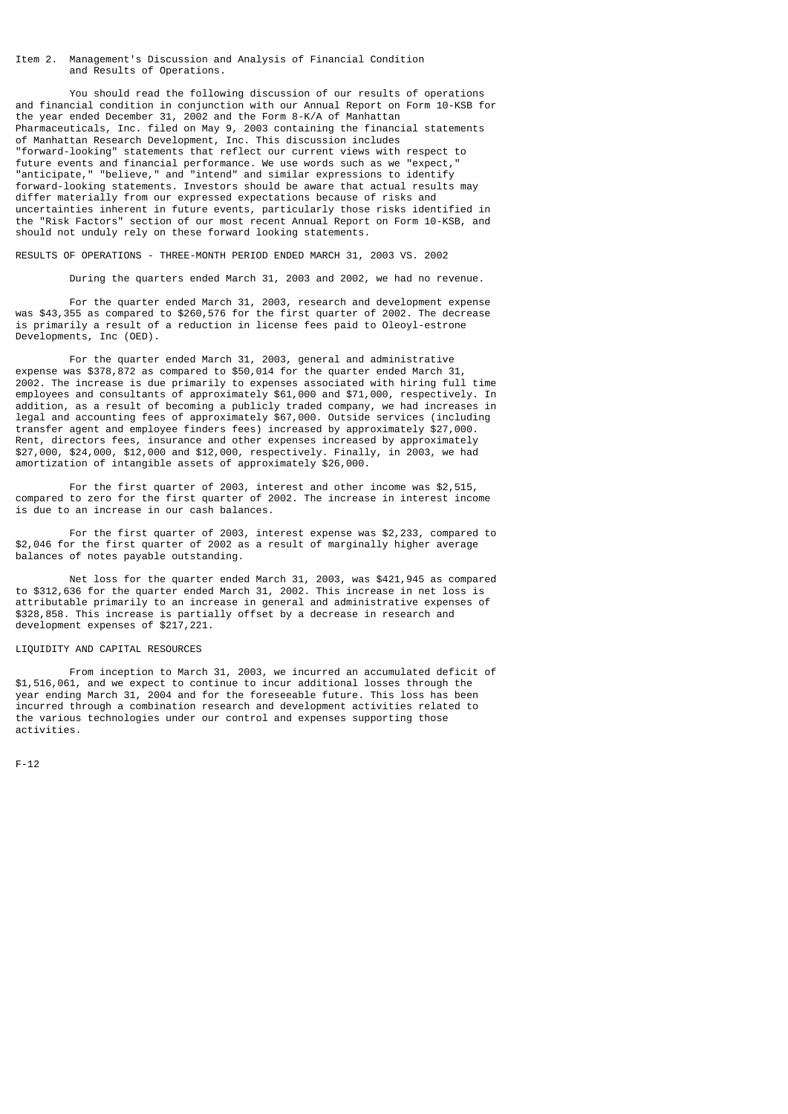Item 2. Management's Discussion and Analysis of Financial Condition and Results of Operations.

 You should read the following discussion of our results of operations and financial condition in conjunction with our Annual Report on Form 10-KSB for the year ended December 31, 2002 and the Form 8-K/A of Manhattan Pharmaceuticals, Inc. filed on May 9, 2003 containing the financial statements of Manhattan Research Development, Inc. This discussion includes "forward-looking" statements that reflect our current views with respect to future events and financial performance. We use words such as we "expect," "anticipate," "believe," and "intend" and similar expressions to identify forward-looking statements. Investors should be aware that actual results may differ materially from our expressed expectations because of risks and uncertainties inherent in future events, particularly those risks identified in the "Risk Factors" section of our most recent Annual Report on Form 10-KSB, and should not unduly rely on these forward looking statements.

RESULTS OF OPERATIONS - THREE-MONTH PERIOD ENDED MARCH 31, 2003 VS. 2002

During the quarters ended March 31, 2003 and 2002, we had no revenue.

 For the quarter ended March 31, 2003, research and development expense was \$43,355 as compared to \$260,576 for the first quarter of 2002. The decrease is primarily a result of a reduction in license fees paid to Oleoyl-estrone Developments, Inc (OED).

 For the quarter ended March 31, 2003, general and administrative expense was \$378,872 as compared to \$50,014 for the quarter ended March 31, 2002. The increase is due primarily to expenses associated with hiring full time employees and consultants of approximately \$61,000 and \$71,000, respectively. In addition, as a result of becoming a publicly traded company, we had increases in legal and accounting fees of approximately \$67,000. Outside services (including transfer agent and employee finders fees) increased by approximately \$27,000. Rent, directors fees, insurance and other expenses increased by approximately \$27,000, \$24,000, \$12,000 and \$12,000, respectively. Finally, in 2003, we had amortization of intangible assets of approximately \$26,000.

 For the first quarter of 2003, interest and other income was \$2,515, compared to zero for the first quarter of 2002. The increase in interest income is due to an increase in our cash balances.

 For the first quarter of 2003, interest expense was \$2,233, compared to \$2,046 for the first quarter of 2002 as a result of marginally higher average balances of notes payable outstanding.

 Net loss for the quarter ended March 31, 2003, was \$421,945 as compared to \$312,636 for the quarter ended March 31, 2002. This increase in net loss is attributable primarily to an increase in general and administrative expenses of \$328,858. This increase is partially offset by a decrease in research and development expenses of \$217,221.

#### LIQUIDITY AND CAPITAL RESOURCES

 From inception to March 31, 2003, we incurred an accumulated deficit of \$1,516,061, and we expect to continue to incur additional losses through the year ending March 31, 2004 and for the foreseeable future. This loss has been incurred through a combination research and development activities related to the various technologies under our control and expenses supporting those activities.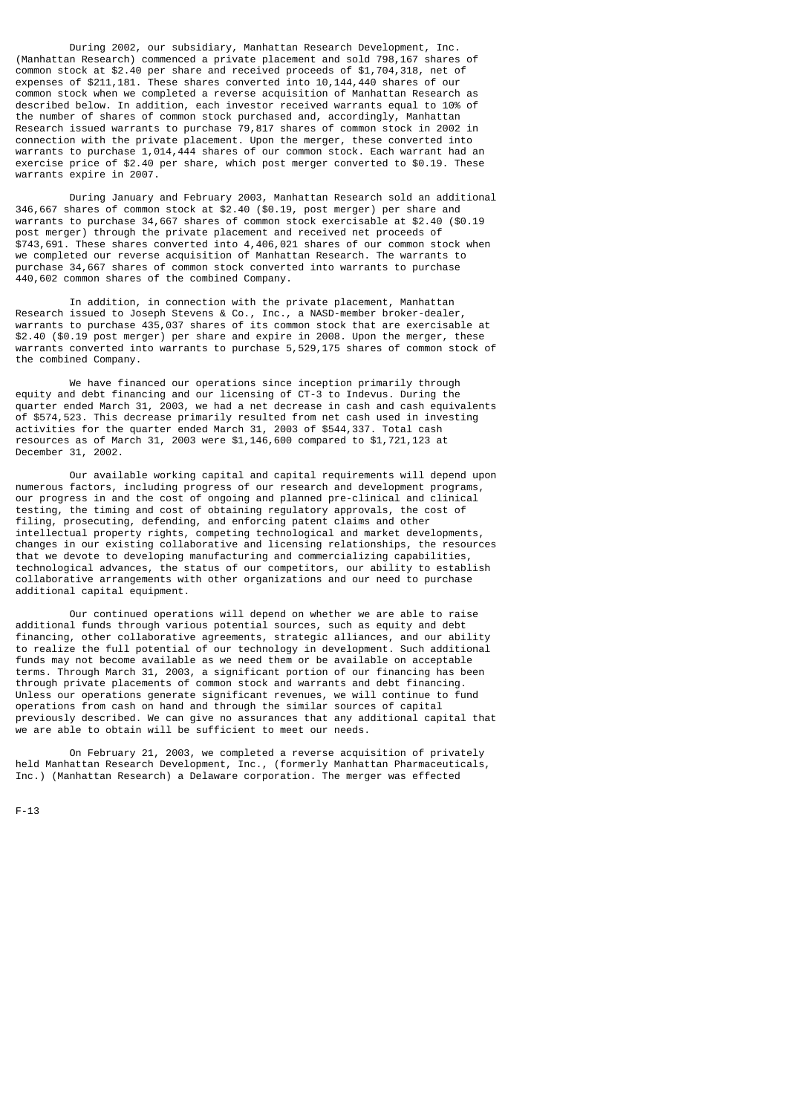During 2002, our subsidiary, Manhattan Research Development, Inc. (Manhattan Research) commenced a private placement and sold 798,167 shares of common stock at \$2.40 per share and received proceeds of \$1,704,318, net of expenses of \$211,181. These shares converted into 10,144,440 shares of our common stock when we completed a reverse acquisition of Manhattan Research as described below. In addition, each investor received warrants equal to 10% of the number of shares of common stock purchased and, accordingly, Manhattan Research issued warrants to purchase 79,817 shares of common stock in 2002 in connection with the private placement. Upon the merger, these converted into warrants to purchase 1,014,444 shares of our common stock. Each warrant had an exercise price of \$2.40 per share, which post merger converted to \$0.19. These warrants expire in 2007.

 During January and February 2003, Manhattan Research sold an additional 346,667 shares of common stock at \$2.40 (\$0.19, post merger) per share and warrants to purchase 34,667 shares of common stock exercisable at \$2.40 (\$0.19 post merger) through the private placement and received net proceeds of \$743,691. These shares converted into 4,406,021 shares of our common stock when we completed our reverse acquisition of Manhattan Research. The warrants to purchase 34,667 shares of common stock converted into warrants to purchase 440,602 common shares of the combined Company.

 In addition, in connection with the private placement, Manhattan Research issued to Joseph Stevens & Co., Inc., a NASD-member broker-dealer, warrants to purchase 435,037 shares of its common stock that are exercisable at \$2.40 (\$0.19 post merger) per share and expire in 2008. Upon the merger, these warrants converted into warrants to purchase 5,529,175 shares of common stock of the combined Company.

 We have financed our operations since inception primarily through equity and debt financing and our licensing of CT-3 to Indevus. During the quarter ended March 31, 2003, we had a net decrease in cash and cash equivalents of \$574,523. This decrease primarily resulted from net cash used in investing activities for the quarter ended March 31, 2003 of \$544,337. Total cash resources as of March 31, 2003 were \$1,146,600 compared to \$1,721,123 at December 31, 2002.

 Our available working capital and capital requirements will depend upon numerous factors, including progress of our research and development programs, our progress in and the cost of ongoing and planned pre-clinical and clinical testing, the timing and cost of obtaining regulatory approvals, the cost of filing, prosecuting, defending, and enforcing patent claims and other intellectual property rights, competing technological and market developments, changes in our existing collaborative and licensing relationships, the resources that we devote to developing manufacturing and commercializing capabilities, technological advances, the status of our competitors, our ability to establish collaborative arrangements with other organizations and our need to purchase additional capital equipment.

 Our continued operations will depend on whether we are able to raise additional funds through various potential sources, such as equity and debt financing, other collaborative agreements, strategic alliances, and our ability to realize the full potential of our technology in development. Such additional funds may not become available as we need them or be available on acceptable terms. Through March 31, 2003, a significant portion of our financing has been through private placements of common stock and warrants and debt financing. Unless our operations generate significant revenues, we will continue to fund operations from cash on hand and through the similar sources of capital previously described. We can give no assurances that any additional capital that we are able to obtain will be sufficient to meet our needs.

 On February 21, 2003, we completed a reverse acquisition of privately held Manhattan Research Development, Inc., (formerly Manhattan Pharmaceuticals, Inc.) (Manhattan Research) a Delaware corporation. The merger was effected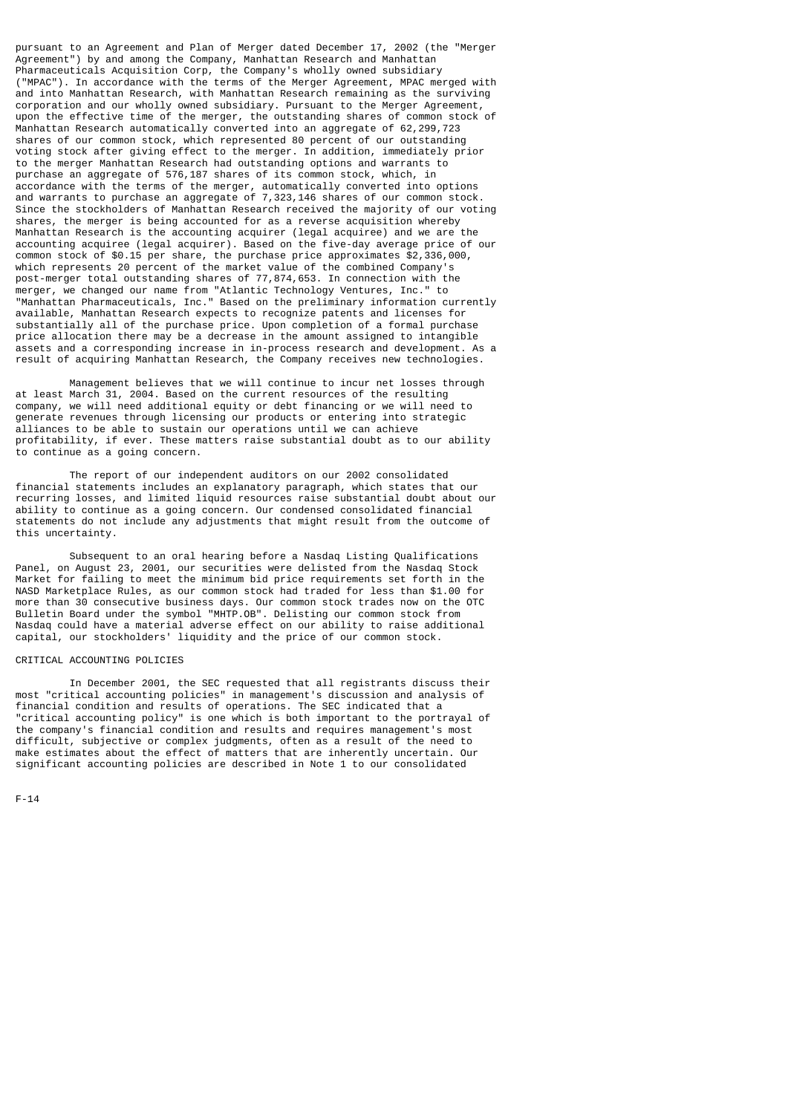pursuant to an Agreement and Plan of Merger dated December 17, 2002 (the "Merger Agreement") by and among the Company, Manhattan Research and Manhattan Pharmaceuticals Acquisition Corp, the Company's wholly owned subsidiary ("MPAC"). In accordance with the terms of the Merger Agreement, MPAC merged with and into Manhattan Research, with Manhattan Research remaining as the surviving corporation and our wholly owned subsidiary. Pursuant to the Merger Agreement, upon the effective time of the merger, the outstanding shares of common stock of Manhattan Research automatically converted into an aggregate of 62,299,723 shares of our common stock, which represented 80 percent of our outstanding voting stock after giving effect to the merger. In addition, immediately prior to the merger Manhattan Research had outstanding options and warrants to purchase an aggregate of 576,187 shares of its common stock, which, in accordance with the terms of the merger, automatically converted into options and warrants to purchase an aggregate of 7,323,146 shares of our common stock. Since the stockholders of Manhattan Research received the majority of our voting shares, the merger is being accounted for as a reverse acquisition whereby Manhattan Research is the accounting acquirer (legal acquiree) and we are the accounting acquiree (legal acquirer). Based on the five-day average price of our common stock of \$0.15 per share, the purchase price approximates \$2,336,000, which represents 20 percent of the market value of the combined Company's post-merger total outstanding shares of 77,874,653. In connection with the merger, we changed our name from "Atlantic Technology Ventures, Inc." to "Manhattan Pharmaceuticals, Inc." Based on the preliminary information currently available, Manhattan Research expects to recognize patents and licenses for substantially all of the purchase price. Upon completion of a formal purchase price allocation there may be a decrease in the amount assigned to intangible assets and a corresponding increase in in-process research and development. As a result of acquiring Manhattan Research, the Company receives new technologies.

 Management believes that we will continue to incur net losses through at least March 31, 2004. Based on the current resources of the resulting company, we will need additional equity or debt financing or we will need to generate revenues through licensing our products or entering into strategic alliances to be able to sustain our operations until we can achieve profitability, if ever. These matters raise substantial doubt as to our ability to continue as a going concern.

 The report of our independent auditors on our 2002 consolidated financial statements includes an explanatory paragraph, which states that our recurring losses, and limited liquid resources raise substantial doubt about our ability to continue as a going concern. Our condensed consolidated financial statements do not include any adjustments that might result from the outcome of this uncertainty.

 Subsequent to an oral hearing before a Nasdaq Listing Qualifications Panel, on August 23, 2001, our securities were delisted from the Nasdaq Stock Market for failing to meet the minimum bid price requirements set forth in the NASD Marketplace Rules, as our common stock had traded for less than \$1.00 for more than 30 consecutive business days. Our common stock trades now on the OTC Bulletin Board under the symbol "MHTP.OB". Delisting our common stock from Nasdaq could have a material adverse effect on our ability to raise additional capital, our stockholders' liquidity and the price of our common stock.

### CRITICAL ACCOUNTING POLICIES

 In December 2001, the SEC requested that all registrants discuss their most "critical accounting policies" in management's discussion and analysis of financial condition and results of operations. The SEC indicated that a "critical accounting policy" is one which is both important to the portrayal of the company's financial condition and results and requires management's most difficult, subjective or complex judgments, often as a result of the need to make estimates about the effect of matters that are inherently uncertain. Our significant accounting policies are described in Note 1 to our consolidated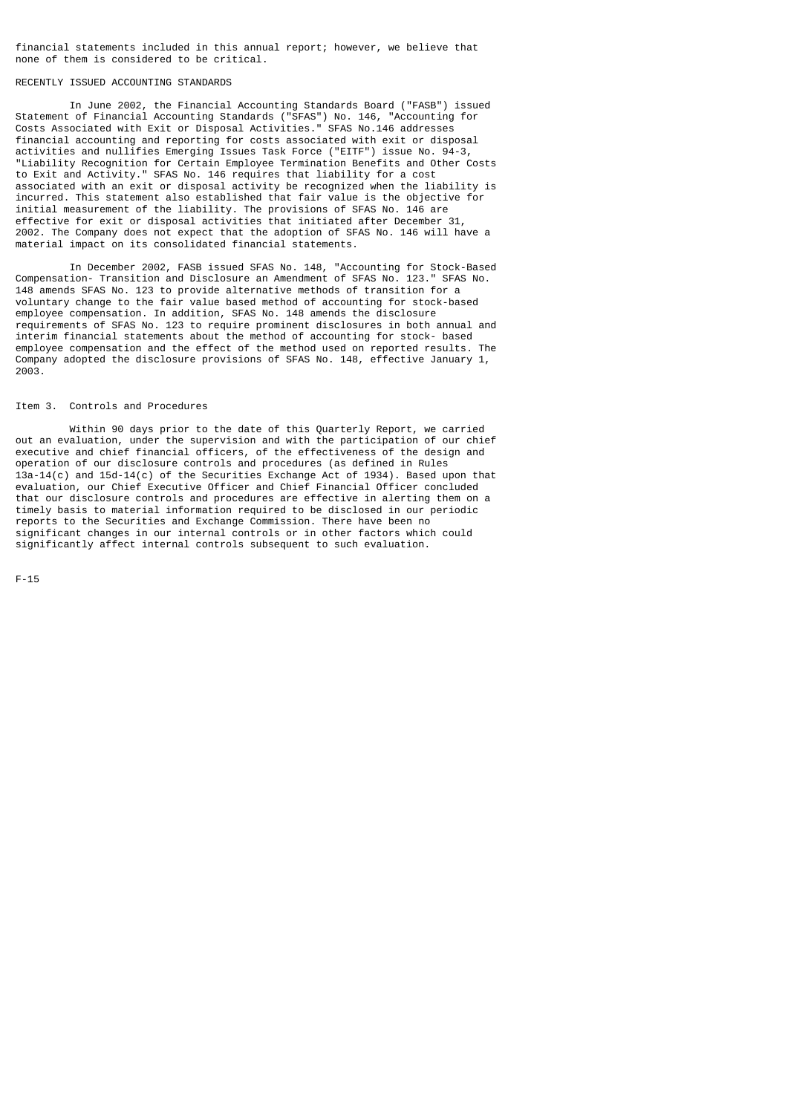financial statements included in this annual report; however, we believe that none of them is considered to be critical.

## RECENTLY ISSUED ACCOUNTING STANDARDS

 In June 2002, the Financial Accounting Standards Board ("FASB") issued Statement of Financial Accounting Standards ("SFAS") No. 146, "Accounting for Costs Associated with Exit or Disposal Activities." SFAS No.146 addresses financial accounting and reporting for costs associated with exit or disposal activities and nullifies Emerging Issues Task Force ("EITF") issue No. 94-3, "Liability Recognition for Certain Employee Termination Benefits and Other Costs to Exit and Activity." SFAS No. 146 requires that liability for a cost associated with an exit or disposal activity be recognized when the liability is incurred. This statement also established that fair value is the objective for initial measurement of the liability. The provisions of SFAS No. 146 are effective for exit or disposal activities that initiated after December 31, 2002. The Company does not expect that the adoption of SFAS No. 146 will have a material impact on its consolidated financial statements.

 In December 2002, FASB issued SFAS No. 148, "Accounting for Stock-Based Compensation- Transition and Disclosure an Amendment of SFAS No. 123." SFAS No. 148 amends SFAS No. 123 to provide alternative methods of transition for a voluntary change to the fair value based method of accounting for stock-based employee compensation. In addition, SFAS No. 148 amends the disclosure requirements of SFAS No. 123 to require prominent disclosures in both annual and interim financial statements about the method of accounting for stock- based employee compensation and the effect of the method used on reported results. The Company adopted the disclosure provisions of SFAS No. 148, effective January 1, 2003.

#### Item 3. Controls and Procedures

 Within 90 days prior to the date of this Quarterly Report, we carried out an evaluation, under the supervision and with the participation of our chief executive and chief financial officers, of the effectiveness of the design and operation of our disclosure controls and procedures (as defined in Rules 13a-14(c) and 15d-14(c) of the Securities Exchange Act of 1934). Based upon that evaluation, our Chief Executive Officer and Chief Financial Officer concluded that our disclosure controls and procedures are effective in alerting them on a timely basis to material information required to be disclosed in our periodic reports to the Securities and Exchange Commission. There have been no significant changes in our internal controls or in other factors which could significantly affect internal controls subsequent to such evaluation.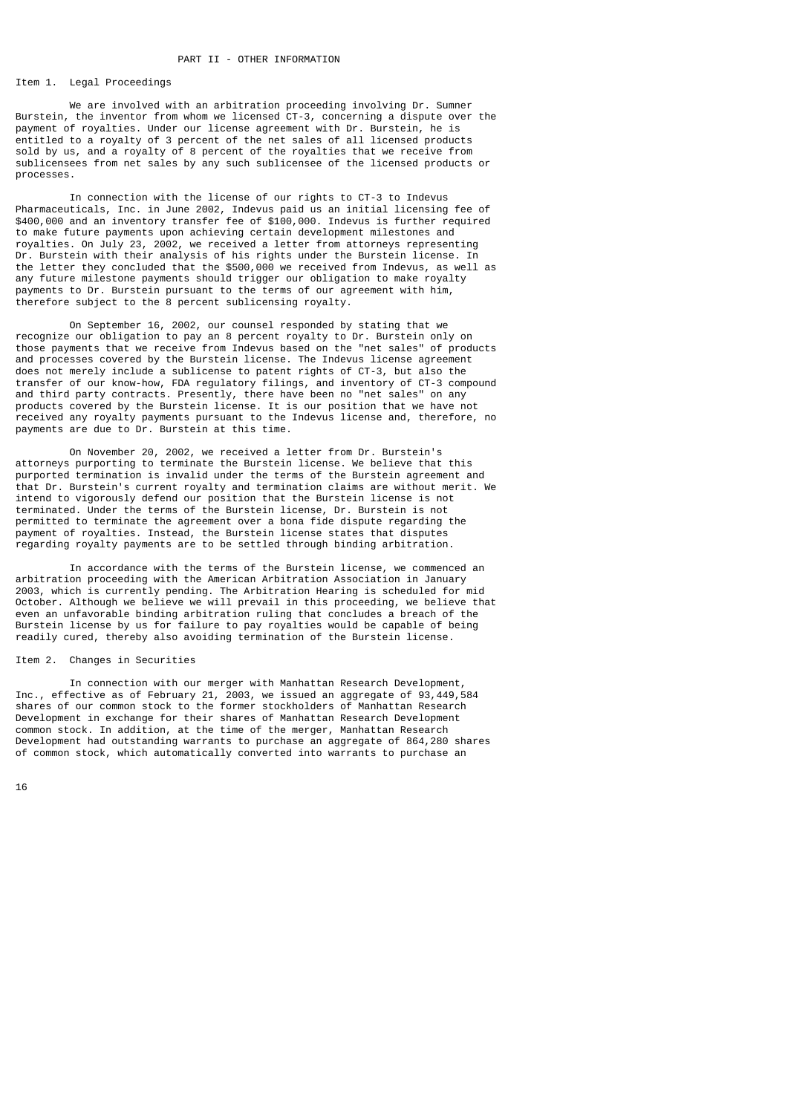### Item 1. Legal Proceedings

 We are involved with an arbitration proceeding involving Dr. Sumner Burstein, the inventor from whom we licensed CT-3, concerning a dispute over the payment of royalties. Under our license agreement with Dr. Burstein, he is entitled to a royalty of 3 percent of the net sales of all licensed products sold by us, and a royalty of 8 percent of the royalties that we receive from sublicensees from net sales by any such sublicensee of the licensed products or processes.

 In connection with the license of our rights to CT-3 to Indevus Pharmaceuticals, Inc. in June 2002, Indevus paid us an initial licensing fee of \$400,000 and an inventory transfer fee of \$100,000. Indevus is further required to make future payments upon achieving certain development milestones and royalties. On July 23, 2002, we received a letter from attorneys representing Dr. Burstein with their analysis of his rights under the Burstein license. In the letter they concluded that the \$500,000 we received from Indevus, as well as any future milestone payments should trigger our obligation to make royalty payments to Dr. Burstein pursuant to the terms of our agreement with him, therefore subject to the 8 percent sublicensing royalty.

 On September 16, 2002, our counsel responded by stating that we recognize our obligation to pay an 8 percent royalty to Dr. Burstein only on those payments that we receive from Indevus based on the "net sales" of products and processes covered by the Burstein license. The Indevus license agreement does not merely include a sublicense to patent rights of CT-3, but also the transfer of our know-how, FDA regulatory filings, and inventory of CT-3 compound and third party contracts. Presently, there have been no "net sales" on any products covered by the Burstein license. It is our position that we have not received any royalty payments pursuant to the Indevus license and, therefore, no payments are due to Dr. Burstein at this time.

 On November 20, 2002, we received a letter from Dr. Burstein's attorneys purporting to terminate the Burstein license. We believe that this purported termination is invalid under the terms of the Burstein agreement and that Dr. Burstein's current royalty and termination claims are without merit. We intend to vigorously defend our position that the Burstein license is not terminated. Under the terms of the Burstein license, Dr. Burstein is not permitted to terminate the agreement over a bona fide dispute regarding the payment of royalties. Instead, the Burstein license states that disputes regarding royalty payments are to be settled through binding arbitration.

 In accordance with the terms of the Burstein license, we commenced an arbitration proceeding with the American Arbitration Association in January 2003, which is currently pending. The Arbitration Hearing is scheduled for mid October. Although we believe we will prevail in this proceeding, we believe that even an unfavorable binding arbitration ruling that concludes a breach of the Burstein license by us for failure to pay royalties would be capable of being readily cured, thereby also avoiding termination of the Burstein license.

## Item 2. Changes in Securities

 In connection with our merger with Manhattan Research Development, Inc., effective as of February 21, 2003, we issued an aggregate of 93,449,584 shares of our common stock to the former stockholders of Manhattan Research Development in exchange for their shares of Manhattan Research Development common stock. In addition, at the time of the merger, Manhattan Research Development had outstanding warrants to purchase an aggregate of 864,280 shares of common stock, which automatically converted into warrants to purchase an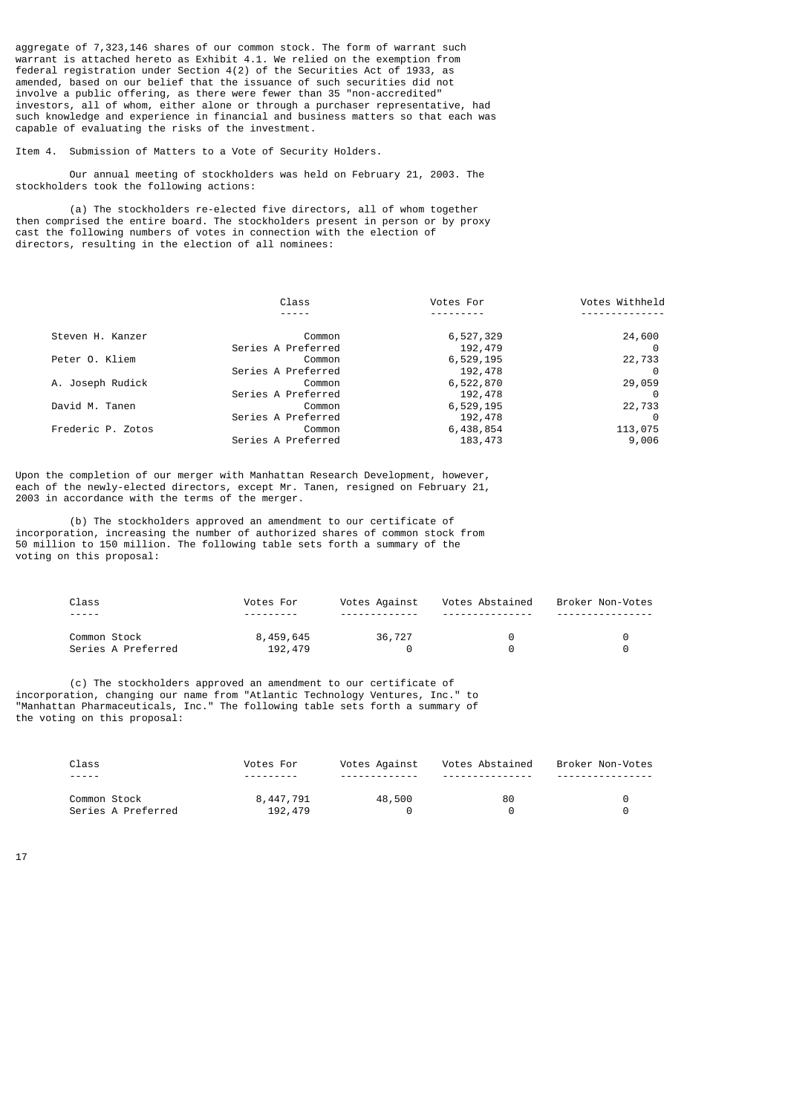aggregate of 7,323,146 shares of our common stock. The form of warrant such warrant is attached hereto as Exhibit 4.1. We relied on the exemption from federal registration under Section 4(2) of the Securities Act of 1933, as amended, based on our belief that the issuance of such securities did not involve a public offering, as there were fewer than 35 "non-accredited" investors, all of whom, either alone or through a purchaser representative, had such knowledge and experience in financial and business matters so that each was capable of evaluating the risks of the investment.

Item 4. Submission of Matters to a Vote of Security Holders.

 Our annual meeting of stockholders was held on February 21, 2003. The stockholders took the following actions:

 (a) The stockholders re-elected five directors, all of whom together then comprised the entire board. The stockholders present in person or by proxy cast the following numbers of votes in connection with the election of directors, resulting in the election of all nominees:

|                   | Class              | Votes For | Votes Withheld |
|-------------------|--------------------|-----------|----------------|
|                   |                    |           |                |
| Steven H. Kanzer  | Common             | 6,527,329 | 24,600         |
|                   | Series A Preferred | 192,479   | 0              |
| Peter O. Kliem    | Common             | 6,529,195 | 22,733         |
|                   | Series A Preferred | 192,478   | 0              |
| A. Joseph Rudick  | Common             | 6,522,870 | 29,059         |
|                   | Series A Preferred | 192,478   | 0              |
| David M. Tanen    | Common             | 6,529,195 | 22,733         |
|                   | Series A Preferred | 192,478   | 0              |
| Frederic P. Zotos | Common             | 6,438,854 | 113,075        |
|                   | Series A Preferred | 183,473   | 9,006          |

Upon the completion of our merger with Manhattan Research Development, however, each of the newly-elected directors, except Mr. Tanen, resigned on February 21, 2003 in accordance with the terms of the merger.

 (b) The stockholders approved an amendment to our certificate of incorporation, increasing the number of authorized shares of common stock from 50 million to 150 million. The following table sets forth a summary of the voting on this proposal:

| Class              | Votes For | Votes Against | Votes Abstained | Broker Non-Votes                |
|--------------------|-----------|---------------|-----------------|---------------------------------|
| -----              | --------- | ------------- | --------------- | - - - - - - - - - - - - - - - - |
| Common Stock       | 8,459,645 | 36,727        | ൈ               | റ                               |
| Series A Preferred | 192,479   |               |                 | ൶                               |

 (c) The stockholders approved an amendment to our certificate of incorporation, changing our name from "Atlantic Technology Ventures, Inc." to "Manhattan Pharmaceuticals, Inc." The following table sets forth a summary of the voting on this proposal:

| Class              | Votes For | Votes Against | Votes Abstained | Broker Non-Votes |
|--------------------|-----------|---------------|-----------------|------------------|
| -----              | --------- | ------------- | --------------- | ---------        |
| Common Stock       | 8,447,791 | 48,500        | 80              | റ                |
| Series A Preferred | 192,479   |               | ൈ               | ⋒                |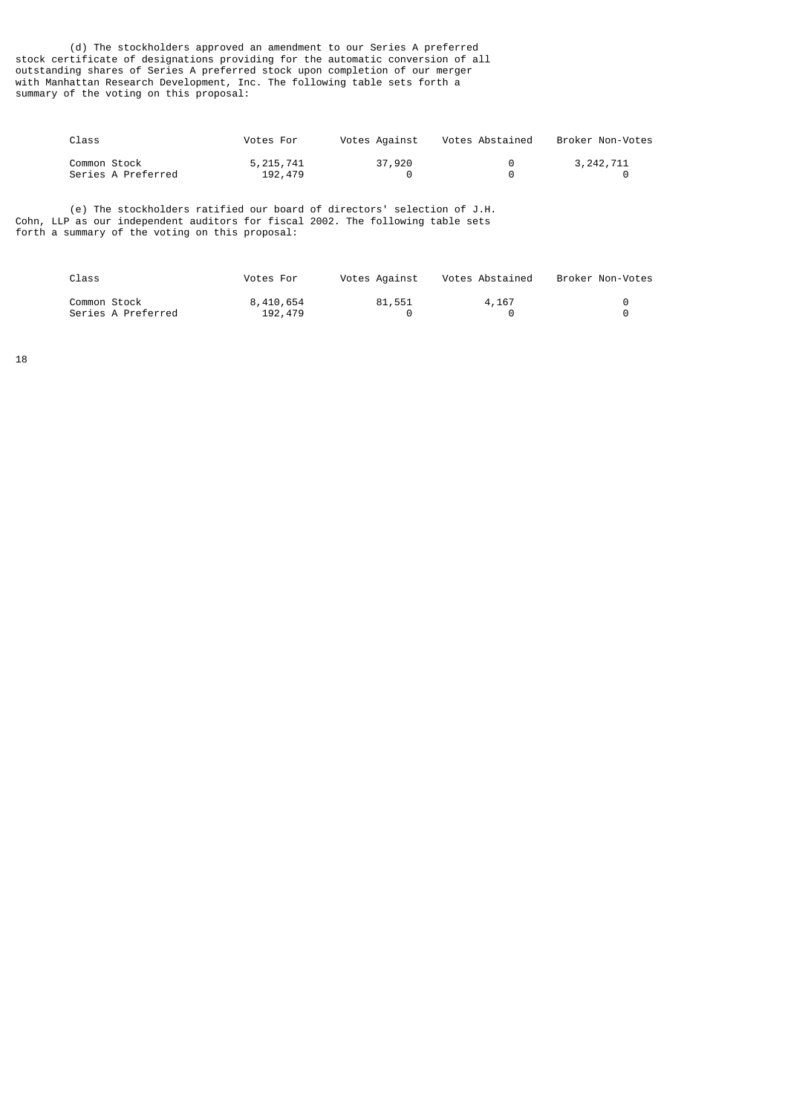(d) The stockholders approved an amendment to our Series A preferred stock certificate of designations providing for the automatic conversion of all outstanding shares of Series A preferred stock upon completion of our merger with Manhattan Research Development, Inc. The following table sets forth a summary of the voting on this proposal:

| Class              | Votes For   | Votes Against | Votes Abstained | Broker Non-Votes |
|--------------------|-------------|---------------|-----------------|------------------|
| Common Stock       | 5, 215, 741 | 37,920        | ⋒               | 3,242,711        |
| Series A Preferred | 192,479     |               | ⋒               |                  |

 (e) The stockholders ratified our board of directors' selection of J.H. Cohn, LLP as our independent auditors for fiscal 2002. The following table sets forth a summary of the voting on this proposal:

| Class              | Votes For | Votes Against | Votes Abstained | Broker Non-Votes |
|--------------------|-----------|---------------|-----------------|------------------|
| Common Stock       | 8,410,654 | 81,551        | 4,167           |                  |
| Series A Preferred | 192,479   |               |                 |                  |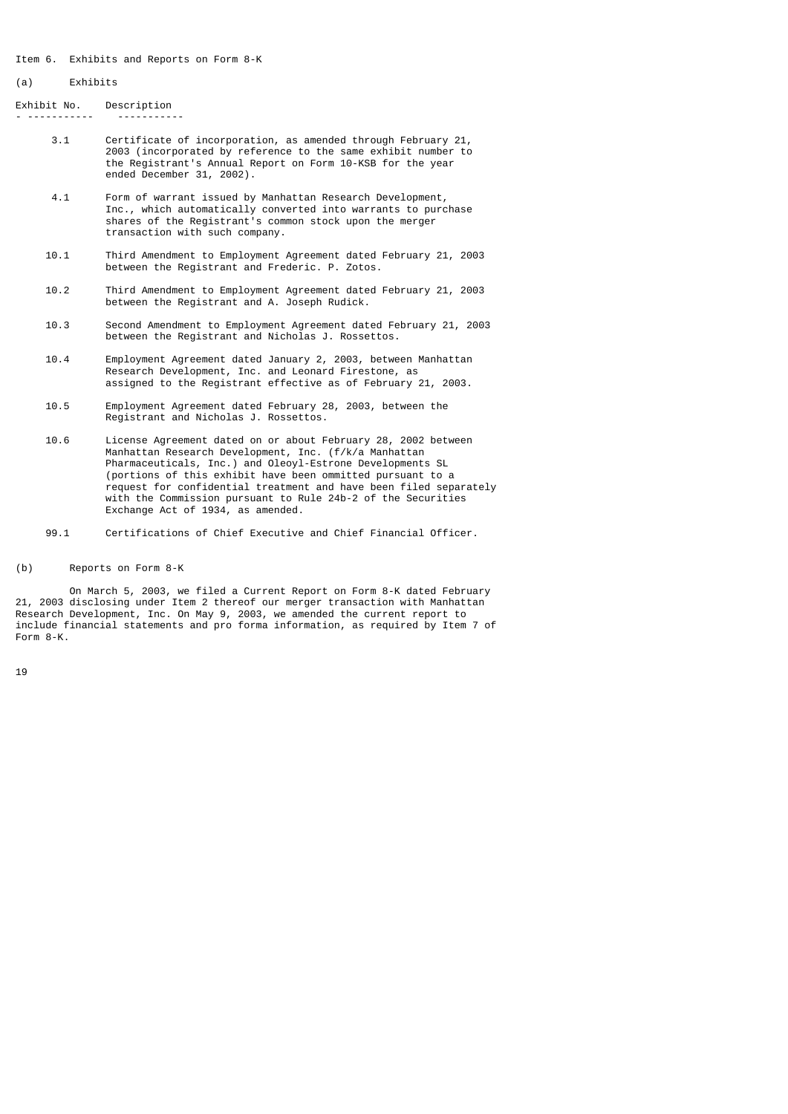(a) Exhibits

Exhibit No. Description - ----------- -----------

- 3.1 Certificate of incorporation, as amended through February 21, 2003 (incorporated by reference to the same exhibit number to the Registrant's Annual Report on Form 10-KSB for the year ended December 31, 2002).
- 4.1 Form of warrant issued by Manhattan Research Development, Inc., which automatically converted into warrants to purchase shares of the Registrant's common stock upon the merger transaction with such company.
	- 10.1 Third Amendment to Employment Agreement dated February 21, 2003 between the Registrant and Frederic. P. Zotos.
	- 10.2 Third Amendment to Employment Agreement dated February 21, 2003 between the Registrant and A. Joseph Rudick.
	- 10.3 Second Amendment to Employment Agreement dated February 21, 2003 between the Registrant and Nicholas J. Rossettos.
	- 10.4 Employment Agreement dated January 2, 2003, between Manhattan Research Development, Inc. and Leonard Firestone, as assigned to the Registrant effective as of February 21, 2003.
	- 10.5 Employment Agreement dated February 28, 2003, between the Registrant and Nicholas J. Rossettos.
	- 10.6 License Agreement dated on or about February 28, 2002 between Manhattan Research Development, Inc. (f/k/a Manhattan Pharmaceuticals, Inc.) and Oleoyl-Estrone Developments SL (portions of this exhibit have been ommitted pursuant to a request for confidential treatment and have been filed separately with the Commission pursuant to Rule 24b-2 of the Securities Exchange Act of 1934, as amended.

99.1 Certifications of Chief Executive and Chief Financial Officer.

(b) Reports on Form 8-K

 On March 5, 2003, we filed a Current Report on Form 8-K dated February 21, 2003 disclosing under Item 2 thereof our merger transaction with Manhattan Research Development, Inc. On May 9, 2003, we amended the current report to include financial statements and pro forma information, as required by Item 7 of Form 8-K.

19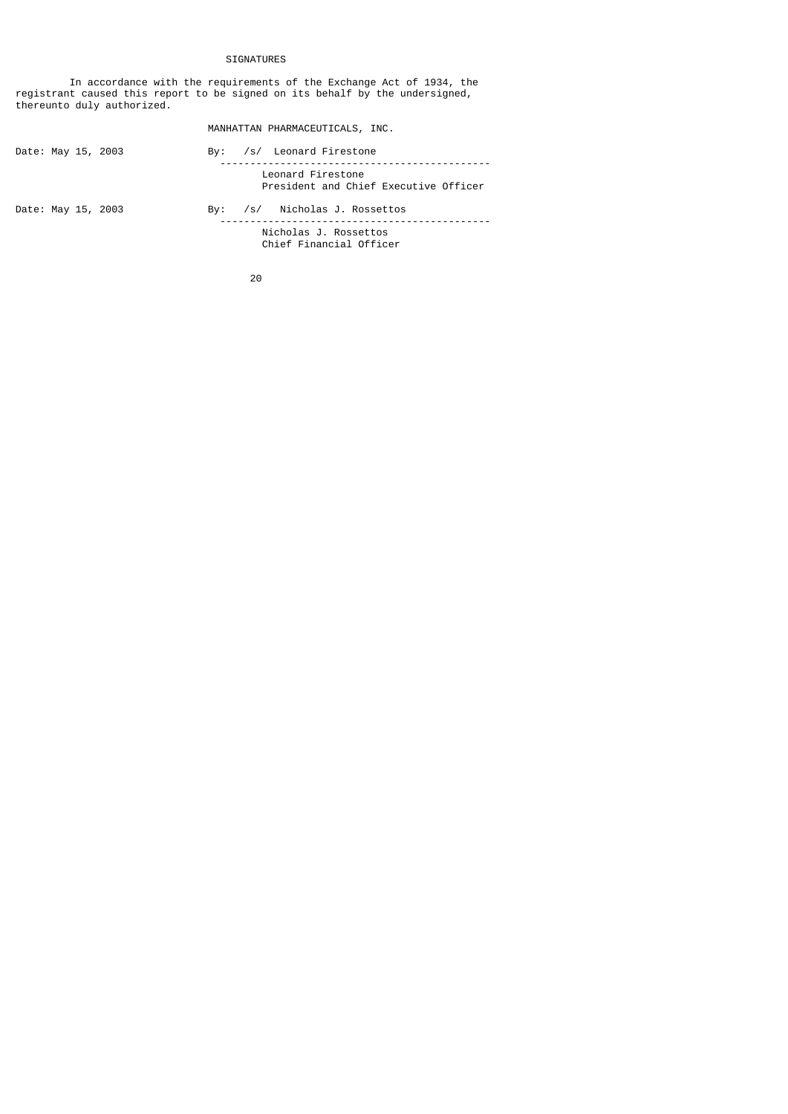## SIGNATURES

 In accordance with the requirements of the Exchange Act of 1934, the registrant caused this report to be signed on its behalf by the undersigned, thereunto duly authorized.

|                    |     | MANHATTAN PHARMACEUTICALS, INC.                            |
|--------------------|-----|------------------------------------------------------------|
| Date: May 15, 2003 | BV: | /s/ Leonard Firestone                                      |
|                    |     | Leonard Firestone<br>President and Chief Executive Officer |
| Date: May 15, 2003 |     | By: /s/ Nicholas J. Rossettos                              |
|                    |     | Nicholas J. Rossettos<br>Chief Financial Officer           |

е процесси производство в село в 1920 година в 1920 година в 1920 година в 1920 година в 1920 година в 1920 го<br>В 1920 година в 1920 година в 1920 година в 1920 година в 1920 година в 1920 година в 1920 година в 1920 годин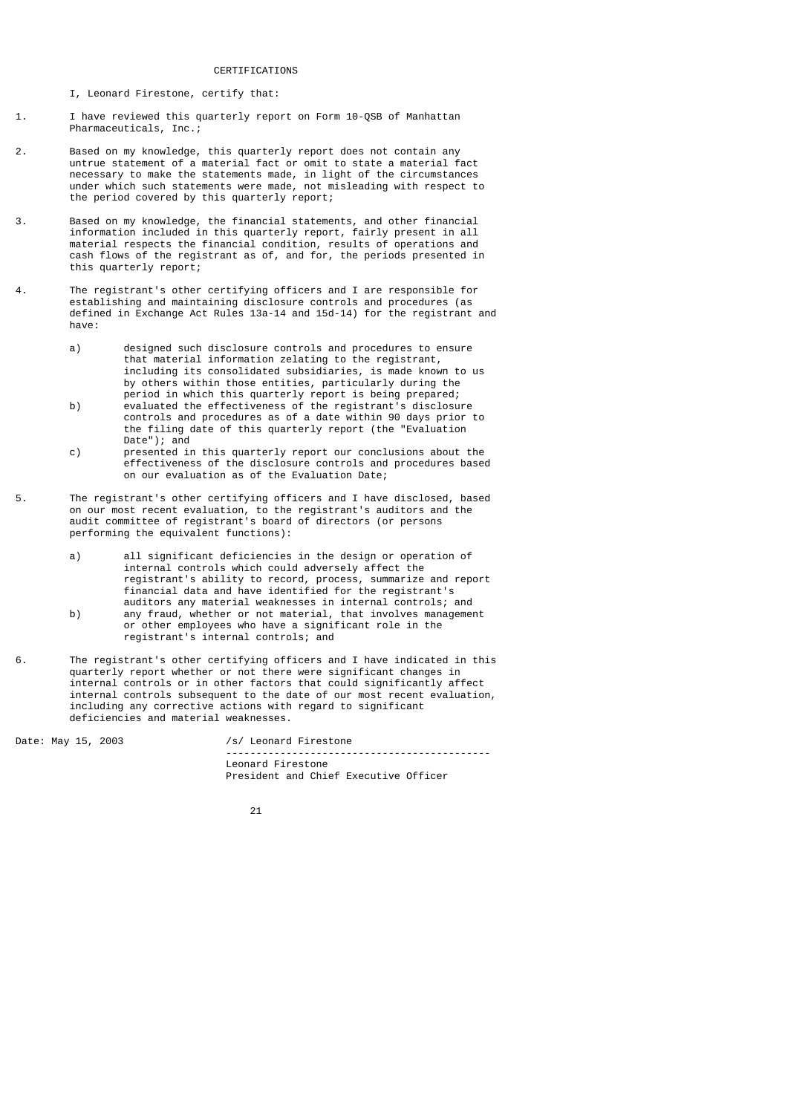### CERTIFICATIONS

I, Leonard Firestone, certify that:

- 1. I have reviewed this quarterly report on Form 10-QSB of Manhattan Pharmaceuticals, Inc.;
- 2. Based on my knowledge, this quarterly report does not contain any untrue statement of a material fact or omit to state a material fact necessary to make the statements made, in light of the circumstances under which such statements were made, not misleading with respect to the period covered by this quarterly report;
- 3. Based on my knowledge, the financial statements, and other financial information included in this quarterly report, fairly present in all material respects the financial condition, results of operations and cash flows of the registrant as of, and for, the periods presented in this quarterly report;
- 4. The registrant's other certifying officers and I are responsible for establishing and maintaining disclosure controls and procedures (as defined in Exchange Act Rules 13a-14 and 15d-14) for the registrant and have:
	- a) designed such disclosure controls and procedures to ensure that material information zelating to the registrant, including its consolidated subsidiaries, is made known to us by others within those entities, particularly during the
- period in which this quarterly report is being prepared; b) evaluated the effectiveness of the registrant's disclosure controls and procedures as of a date within 90 days prior to the filing date of this quarterly report (the "Evaluation Date"); and<br>c) presented in
	- presented in this quarterly report our conclusions about the effectiveness of the disclosure controls and procedures based on our evaluation as of the Evaluation Date;
- 5. The registrant's other certifying officers and I have disclosed, based on our most recent evaluation, to the registrant's auditors and the audit committee of registrant's board of directors (or persons performing the equivalent functions):
	- a) all significant deficiencies in the design or operation of internal controls which could adversely affect the registrant's ability to record, process, summarize and report financial data and have identified for the registrant's auditors any material weaknesses in internal controls; and<br>b) any fraud, whether or not material, that involves management
	- b) any fraud, whether or not material, that involves management or other employees who have a significant role in the registrant's internal controls; and
- 6. The registrant's other certifying officers and I have indicated in this quarterly report whether or not there were significant changes in internal controls or in other factors that could significantly affect internal controls subsequent to the date of our most recent evaluation, including any corrective actions with regard to significant deficiencies and material weaknesses.

| Date: May 15, 2003 | /s/ Leonard Firestone                 |
|--------------------|---------------------------------------|
|                    |                                       |
|                    | Leonard Firestone                     |
|                    | President and Chief Executive Officer |

21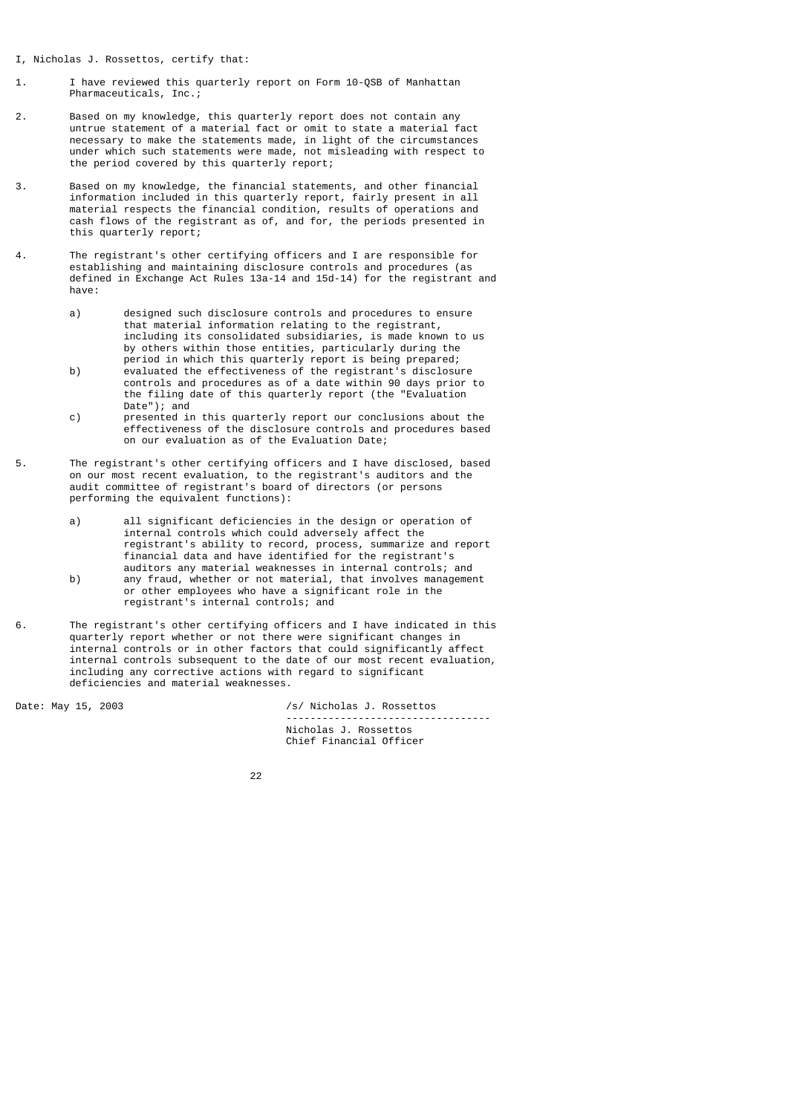### I, Nicholas J. Rossettos, certify that:

- 1. I have reviewed this quarterly report on Form 10-QSB of Manhattan Pharmaceuticals, Inc.;
- 2. Based on my knowledge, this quarterly report does not contain any untrue statement of a material fact or omit to state a material fact necessary to make the statements made, in light of the circumstances under which such statements were made, not misleading with respect to the period covered by this quarterly report;
- 3. Based on my knowledge, the financial statements, and other financial information included in this quarterly report, fairly present in all material respects the financial condition, results of operations and cash flows of the registrant as of, and for, the periods presented in this quarterly report;
- 4. The registrant's other certifying officers and I are responsible for establishing and maintaining disclosure controls and procedures (as defined in Exchange Act Rules 13a-14 and 15d-14) for the registrant and have:
	- a) designed such disclosure controls and procedures to ensure that material information relating to the registrant, including its consolidated subsidiaries, is made known to us by others within those entities, particularly during the period in which this quarterly report is being prepared;<br>b) evaluated the effectiveness of the registrant's disclosu
	- evaluated the effectiveness of the registrant's disclosure controls and procedures as of a date within 90 days prior to the filing date of this quarterly report (the "Evaluation Date"); and<br>c) presented in
	- presented in this quarterly report our conclusions about the effectiveness of the disclosure controls and procedures based on our evaluation as of the Evaluation Date;
- 5. The registrant's other certifying officers and I have disclosed, based on our most recent evaluation, to the registrant's auditors and the audit committee of registrant's board of directors (or persons performing the equivalent functions):
- a) all significant deficiencies in the design or operation of internal controls which could adversely affect the registrant's ability to record, process, summarize and report financial data and have identified for the registrant's auditors any material weaknesses in internal controls; and<br>b) any fraud, whether or not material, that involves management b) any fraud, whether or not material, that involves management
- or other employees who have a significant role in the registrant's internal controls; and
- 6. The registrant's other certifying officers and I have indicated in this quarterly report whether or not there were significant changes in internal controls or in other factors that could significantly affect internal controls subsequent to the date of our most recent evaluation, including any corrective actions with regard to significant deficiencies and material weaknesses.

Date: May 15, 2003 **/s/ Nicholas J. Rossettos**  ---------------------------------- Nicholas J. Rossettos

Chief Financial Officer

<u>22</u>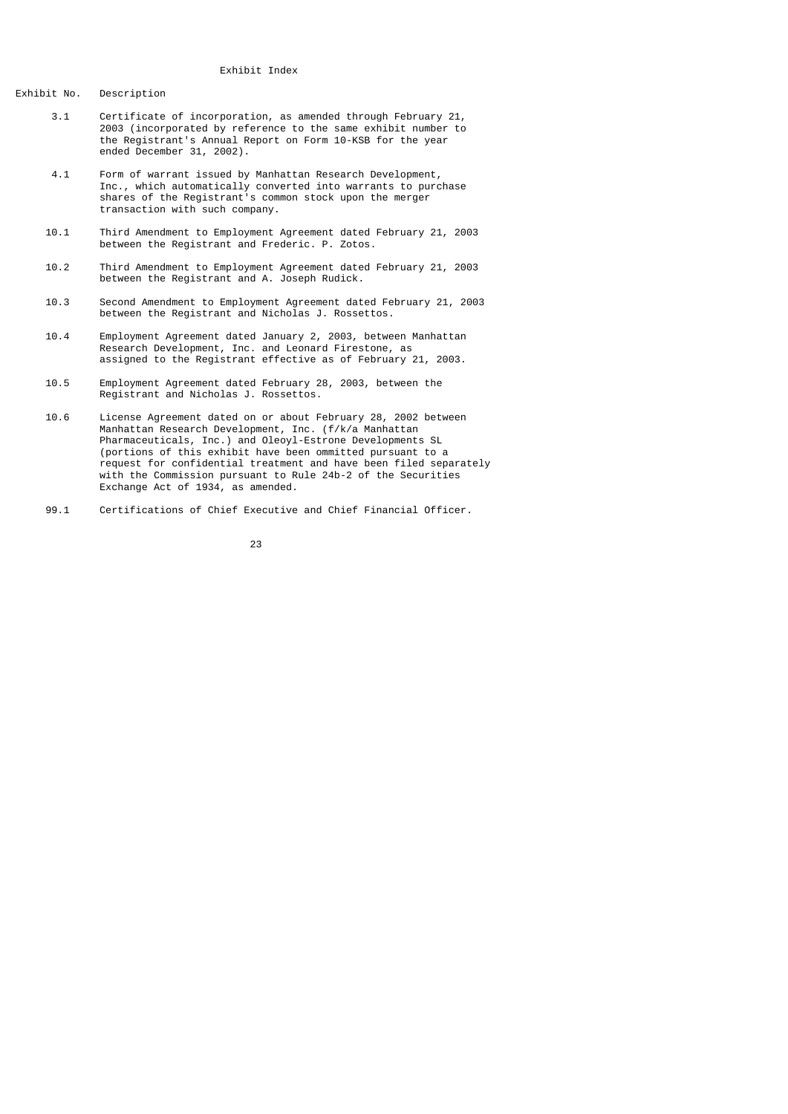Exhibit Index

Exhibit No. Description

- 3.1 Certificate of incorporation, as amended through February 21, 2003 (incorporated by reference to the same exhibit number to the Registrant's Annual Report on Form 10-KSB for the year ended December 31, 2002).
- 4.1 Form of warrant issued by Manhattan Research Development, Inc., which automatically converted into warrants to purchase shares of the Registrant's common stock upon the merger transaction with such company.
	- 10.1 Third Amendment to Employment Agreement dated February 21, 2003 between the Registrant and Frederic. P. Zotos.
	- 10.2 Third Amendment to Employment Agreement dated February 21, 2003 between the Registrant and A. Joseph Rudick.
	- 10.3 Second Amendment to Employment Agreement dated February 21, 2003 between the Registrant and Nicholas J. Rossettos.
	- 10.4 Employment Agreement dated January 2, 2003, between Manhattan Research Development, Inc. and Leonard Firestone, as assigned to the Registrant effective as of February 21, 2003.
	- 10.5 Employment Agreement dated February 28, 2003, between the Registrant and Nicholas J. Rossettos.
	- 10.6 License Agreement dated on or about February 28, 2002 between Manhattan Research Development, Inc. (f/k/a Manhattan Pharmaceuticals, Inc.) and Oleoyl-Estrone Developments SL (portions of this exhibit have been ommitted pursuant to a request for confidential treatment and have been filed separately with the Commission pursuant to Rule 24b-2 of the Securities Exchange Act of 1934, as amended.
	- 99.1 Certifications of Chief Executive and Chief Financial Officer.

<u>23 and 23</u>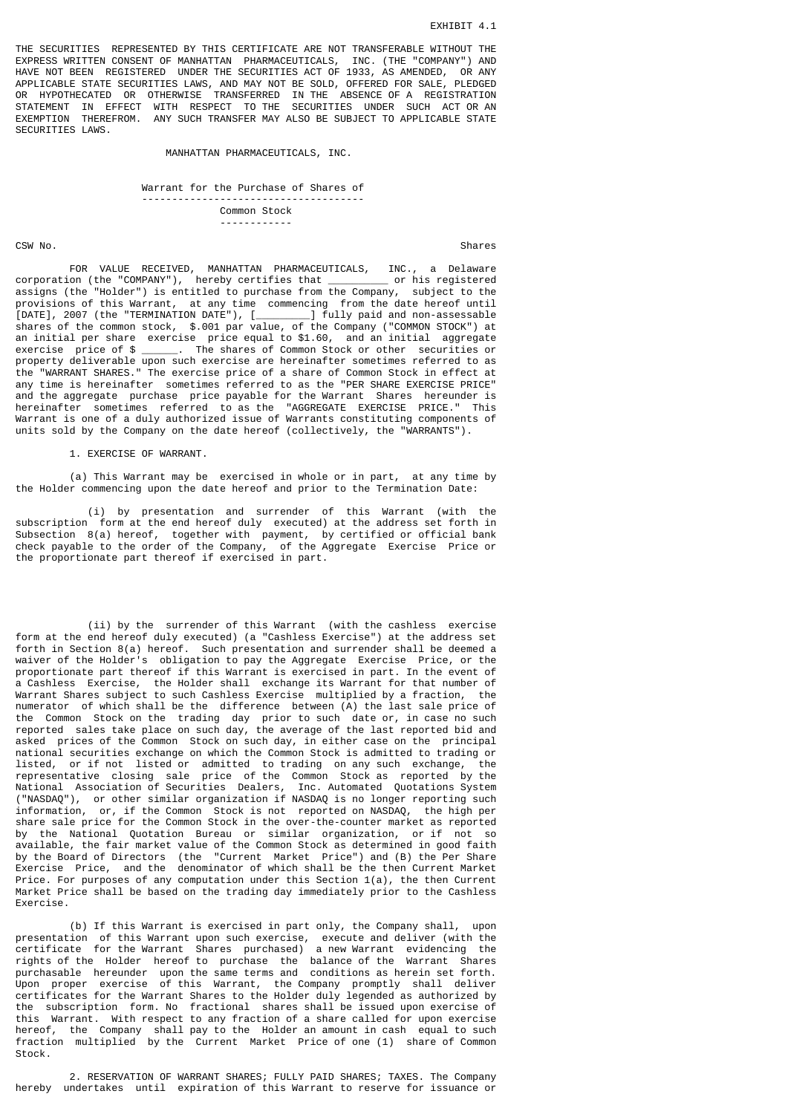THE SECURITIES REPRESENTED BY THIS CERTIFICATE ARE NOT TRANSFERABLE WITHOUT THE EXPRESS WRITTEN CONSENT OF MANHATTAN PHARMACEUTICALS, INC. (THE "COMPANY") AND HAVE NOT BEEN REGISTERED UNDER THE SECURITIES ACT OF 1933, AS AMENDED, OR ANY APPLICABLE STATE SECURITIES LAWS, AND MAY NOT BE SOLD, OFFERED FOR SALE, PLEDGED OR HYPOTHECATED OR OTHERWISE TRANSFERRED IN THE ABSENCE OF A REGISTRATION STATEMENT IN EFFECT WITH RESPECT TO THE SECURITIES UNDER SUCH ACT OR AN EXEMPTION THEREFROM. ANY SUCH TRANSFER MAY ALSO BE SUBJECT TO APPLICABLE STATE SECURITIES LAWS.

MANHATTAN PHARMACEUTICALS, INC.

 Warrant for the Purchase of Shares of ------------------------------------- Common Stock ------------

CSW No. Shares

FOR VALUE RECEIVED, MANHATTAN PHARMACEUTICALS, INC., a Delaware<br>ion (the "COMPANY"), hereby certifies that \_\_\_\_\_\_\_\_\_\_\_ or his registered corporation (the "COMPANY"), hereby certifies that  $\frac{1}{\sqrt{2\pi}}$ assigns (the "Holder") is entitled to purchase from the Company, subject to the provisions of this Warrant, at any time commencing from the date hereof until [DATE], 2007 (the "TERMINATION DATE"), [\_\_\_\_\_\_\_\_\_] fully paid and non-assessable shares of the common stock, \$.001 par value, of the Company ("COMMON STOCK") at an initial per share exercise price equal to \$1.60, and an initial aggregate exercise price of \$ \_\_\_\_\_\_. The shares of Common Stock or other securities or property deliverable upon such exercise are hereinafter sometimes referred to as the "WARRANT SHARES." The exercise price of a share of Common Stock in effect at any time is hereinafter sometimes referred to as the "PER SHARE EXERCISE PRICE" and the aggregate purchase price payable for the Warrant Shares hereunder is hereinafter sometimes referred to as the "AGGREGATE EXERCISE PRICE." This Warrant is one of a duly authorized issue of Warrants constituting components of units sold by the Company on the date hereof (collectively, the "WARRANTS").

1. EXERCISE OF WARRANT.

 (a) This Warrant may be exercised in whole or in part, at any time by the Holder commencing upon the date hereof and prior to the Termination Date:

 (i) by presentation and surrender of this Warrant (with the subscription form at the end hereof duly executed) at the address set forth in Subsection 8(a) hereof, together with payment, by certified or official bank check payable to the order of the Company, of the Aggregate Exercise Price or the proportionate part thereof if exercised in part.

 (ii) by the surrender of this Warrant (with the cashless exercise form at the end hereof duly executed) (a "Cashless Exercise") at the address set forth in Section 8(a) hereof. Such presentation and surrender shall be deemed a waiver of the Holder's obligation to pay the Aggregate Exercise Price, or the proportionate part thereof if this Warrant is exercised in part. In the event of a Cashless Exercise, the Holder shall exchange its Warrant for that number of Warrant Shares subject to such Cashless Exercise multiplied by a fraction, the numerator of which shall be the difference between (A) the last sale price of the Common Stock on the trading day prior to such date or, in case no such reported sales take place on such day, the average of the last reported bid and asked prices of the Common Stock on such day, in either case on the principal national securities exchange on which the Common Stock is admitted to trading or listed, or if not listed or admitted to trading on any such exchange, the representative closing sale price of the Common Stock as reported by the National Association of Securities Dealers, Inc. Automated Quotations System ("NASDAQ"), or other similar organization if NASDAQ is no longer reporting such information, or, if the Common Stock is not reported on NASDAQ, the high per share sale price for the Common Stock in the over-the-counter market as reported by the National Quotation Bureau or similar organization, or if not so available, the fair market value of the Common Stock as determined in good faith by the Board of Directors (the "Current Market Price") and (B) the Per Share Exercise Price, and the denominator of which shall be the then Current Market Price. For purposes of any computation under this Section 1(a), the then Current Market Price shall be based on the trading day immediately prior to the Cashless Exercise.

 (b) If this Warrant is exercised in part only, the Company shall, upon presentation of this Warrant upon such exercise, execute and deliver (with the certificate for the Warrant Shares purchased) a new Warrant evidencing the rights of the Holder hereof to purchase the balance of the Warrant Shares purchasable hereunder upon the same terms and conditions as herein set forth. Upon proper exercise of this Warrant, the Company promptly shall deliver certificates for the Warrant Shares to the Holder duly legended as authorized by the subscription form. No fractional shares shall be issued upon exercise of this Warrant. With respect to any fraction of a share called for upon exercise hereof, the Company shall pay to the Holder an amount in cash equal to such fraction multiplied by the Current Market Price of one (1) share of Common Stock.

 2. RESERVATION OF WARRANT SHARES; FULLY PAID SHARES; TAXES. The Company hereby undertakes until expiration of this Warrant to reserve for issuance or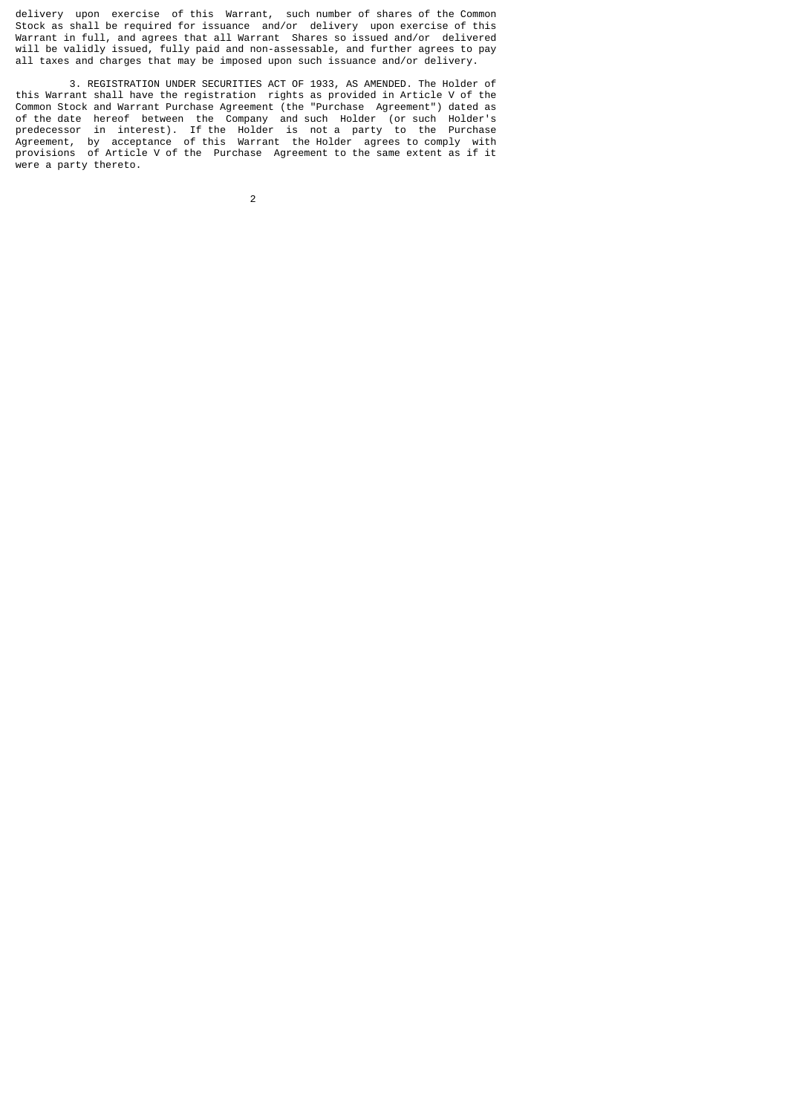delivery upon exercise of this Warrant, such number of shares of the Common Stock as shall be required for issuance and/or delivery upon exercise of this Warrant in full, and agrees that all Warrant Shares so issued and/or delivered will be validly issued, fully paid and non-assessable, and further agrees to pay all taxes and charges that may be imposed upon such issuance and/or delivery.

 3. REGISTRATION UNDER SECURITIES ACT OF 1933, AS AMENDED. The Holder of this Warrant shall have the registration rights as provided in Article V of the Common Stock and Warrant Purchase Agreement (the "Purchase Agreement") dated as of the date hereof between the Company and such Holder (or such Holder's predecessor in interest). If the Holder is not a party to the Purchase Agreement, by acceptance of this Warrant the Holder agrees to comply with provisions of Article V of the Purchase Agreement to the same extent as if it were a party thereto.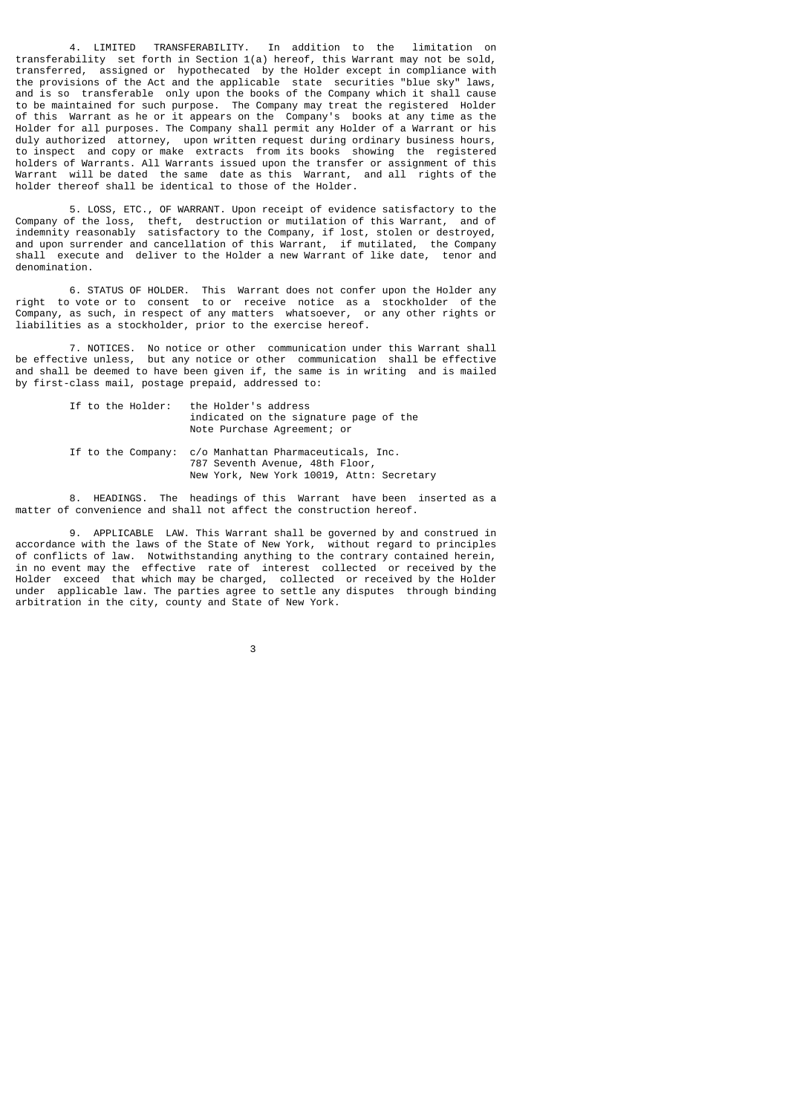4. LIMITED TRANSFERABILITY. In addition to the limitation on transferability set forth in Section 1(a) hereof, this Warrant may not be sold, transferred, assigned or hypothecated by the Holder except in compliance with the provisions of the Act and the applicable state securities "blue sky" laws. the provisions of the Act and the applicable state securities "blue sky" and is so transferable only upon the books of the Company which it shall cause to be maintained for such purpose. The Company may treat the registered Holder of this Warrant as he or it appears on the Company's books at any time as the Holder for all purposes. The Company shall permit any Holder of a Warrant or his duly authorized attorney, upon written request during ordinary business hours, to inspect and copy or make extracts from its books showing the registered holders of Warrants. All Warrants issued upon the transfer or assignment of this Warrant will be dated the same date as this Warrant, and all rights of the holder thereof shall be identical to those of the Holder.

 5. LOSS, ETC., OF WARRANT. Upon receipt of evidence satisfactory to the Company of the loss, theft, destruction or mutilation of this Warrant, and of indemnity reasonably satisfactory to the Company, if lost, stolen or destroyed, and upon surrender and cancellation of this Warrant, if mutilated, the Company shall execute and deliver to the Holder a new Warrant of like date, tenor and denomination.

 6. STATUS OF HOLDER. This Warrant does not confer upon the Holder any right to vote or to consent to or receive notice as a stockholder of the Company, as such, in respect of any matters whatsoever, or any other rights or liabilities as a stockholder, prior to the exercise hereof.

 7. NOTICES. No notice or other communication under this Warrant shall be effective unless, but any notice or other communication shall be effective and shall be deemed to have been given if, the same is in writing and is mailed by first-class mail, postage prepaid, addressed to:

| If to the Holder: | the Holder's address<br>indicated on the signature page of the<br>Note Purchase Agreement; or |
|-------------------|-----------------------------------------------------------------------------------------------|
|                   | If to the Company: c/o Manhattan Pharmaceuticals, Inc.<br>787 Seventh Avenue, 48th Floor,     |

 8. HEADINGS. The headings of this Warrant have been inserted as a matter of convenience and shall not affect the construction hereof.

New York, New York 10019, Attn: Secretary

 9. APPLICABLE LAW. This Warrant shall be governed by and construed in accordance with the laws of the State of New York, without regard to principles of conflicts of law. Notwithstanding anything to the contrary contained herein, in no event may the effective rate of interest collected or received by the Holder exceed that which may be charged, collected or received by the Holder under applicable law. The parties agree to settle any disputes through binding arbitration in the city, county and State of New York.

<u>3 and 2003 and 2003 and 2003 and 2003 and 2003 and 2003 and 2003 and 2003 and 2003 and 2003 and 200</u>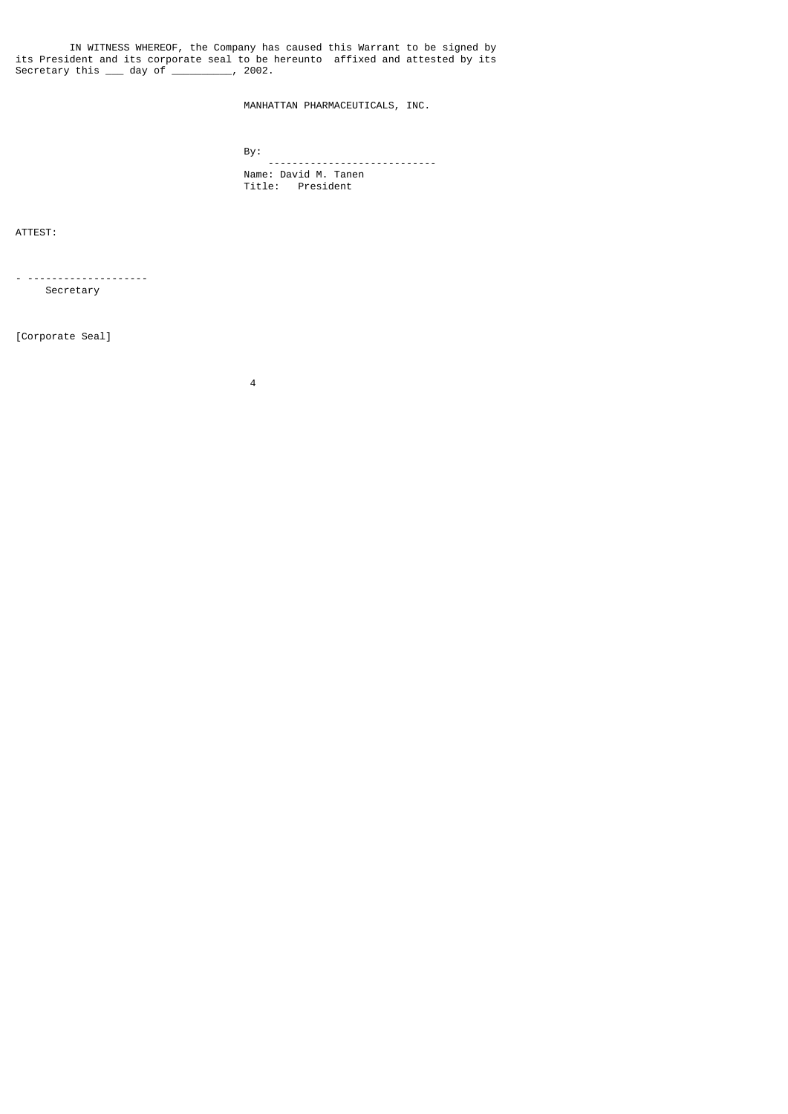IN WITNESS WHEREOF, the Company has caused this Warrant to be signed by its President and its corporate seal to be hereunto affixed and attested by its Secretary this \_\_\_ day of \_\_\_\_\_\_\_\_\_\_, 2002.

MANHATTAN PHARMACEUTICALS, INC.

 By: ---------------------------- Name: David M. Tanen Title: President

ATTEST:

- -------------------- Secretary

4

[Corporate Seal]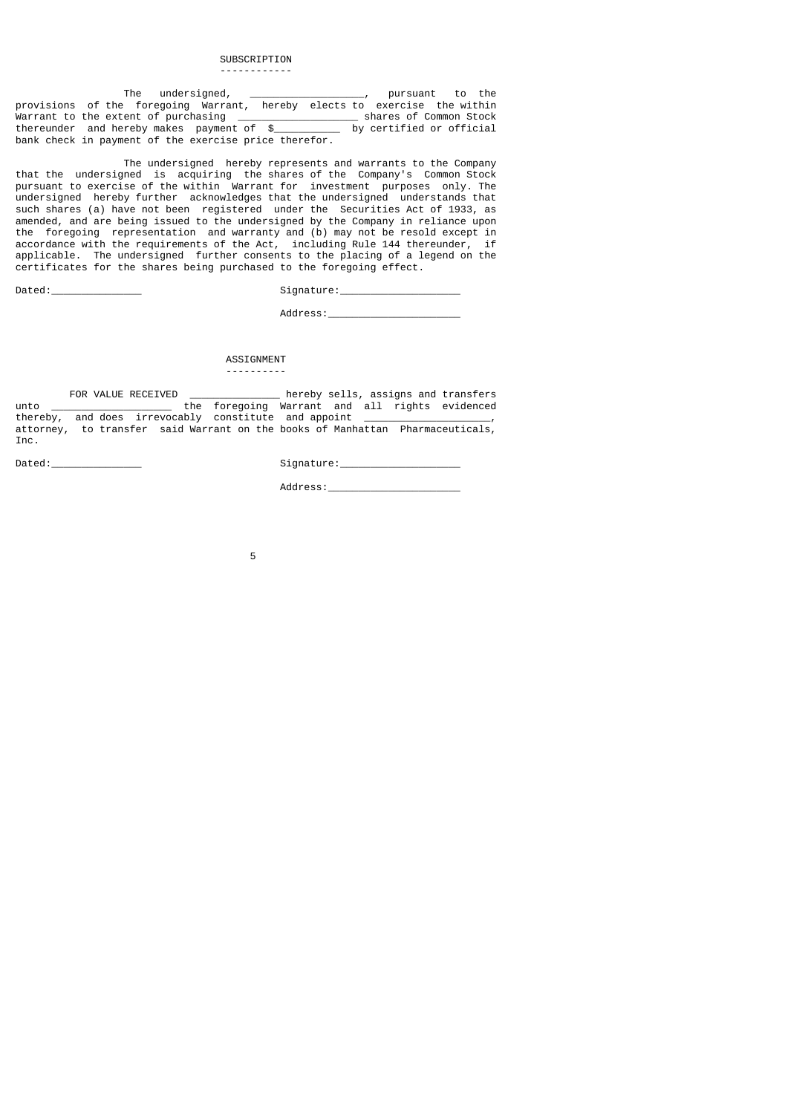#### SUBSCRIPTION ------------

 The undersigned, \_\_\_\_\_\_\_\_\_\_\_\_\_\_\_\_\_\_\_, pursuant to the provisions of the foregoing Warrant, hereby elects to exercise the within Warrant to the extent of purchasing \_\_\_\_\_\_\_\_\_\_\_\_\_\_\_\_\_\_\_\_ shares of Common Stock thereunder and hereby makes payment of \$\_\_\_\_\_\_\_\_\_\_\_ by certified or official

bank check in payment of the exercise price therefor.

----------

 The undersigned hereby represents and warrants to the Company that the undersigned is acquiring the shares of the Company's Common Stock pursuant to exercise of the within Warrant for investment purposes only. The undersigned hereby further acknowledges that the undersigned understands that such shares (a) have not been registered under the Securities Act of 1933, as amended, and are being issued to the undersigned by the Company in reliance upon the foregoing representation and warranty and (b) may not be resold except in accordance with the requirements of the Act, including Rule 144 thereunder, if applicable. The undersigned further consents to the placing of a legend on the certificates for the shares being purchased to the foregoing effect.

Dated:  $\Box$ 

Address:\_\_\_\_\_\_\_\_\_\_\_\_\_\_\_\_\_\_\_\_\_\_

ASSIGNMENT

 FOR VALUE RECEIVED \_\_\_\_\_\_\_\_\_\_\_\_\_\_\_ hereby sells, assigns and transfers unto \_\_\_\_\_\_\_\_\_\_\_\_\_\_\_\_\_\_\_\_ the foregoing Warrant and all rights evidenced thereby, and does irrevocably constitute and appoint \_\_\_\_\_\_\_\_\_\_\_\_\_\_\_\_\_\_\_\_\_, attorney, to transfer said Warrant on the books of Manhattan Pharmaceuticals, Inc.

Dated:\_\_\_\_\_\_\_\_\_\_\_\_\_\_\_ Signature:\_\_\_\_\_\_\_\_\_\_\_\_\_\_\_\_\_\_\_\_

Address:\_\_\_\_\_\_\_\_\_\_\_\_\_\_\_\_\_\_\_\_\_\_

the contract of the contract of the contract of the contract of the contract of the contract of the contract o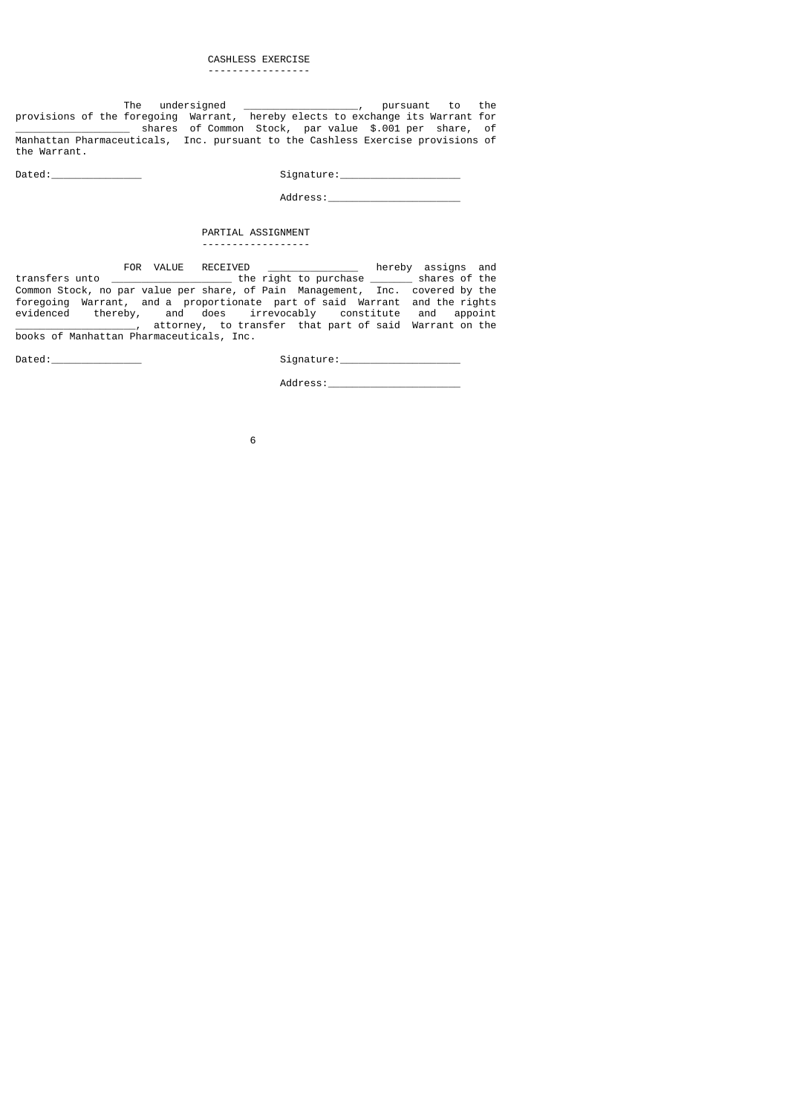## CASHLESS EXERCISE

-----------------

 The undersigned \_\_\_\_\_\_\_\_\_\_\_\_\_\_\_\_\_\_\_, pursuant to the provisions of the foregoing Warrant, hereby elects to exchange its Warrant for \_\_\_\_\_\_\_\_\_\_\_\_\_\_\_\_\_\_\_ shares of Common Stock, par value \$.001 per share, of Manhattan Pharmaceuticals, Inc. pursuant to the Cashless Exercise provisions of the Warrant.

Dated:\_\_\_\_\_\_\_\_\_\_\_\_\_\_\_ Signature:\_\_\_\_\_\_\_\_\_\_\_\_\_\_\_\_\_\_\_\_

Address:\_\_\_\_\_\_\_\_\_\_\_\_\_\_\_\_\_\_\_\_\_\_

 PARTIAL ASSIGNMENT ------------------

 FOR VALUE RECEIVED \_\_\_\_\_\_\_\_\_\_\_\_\_\_\_ hereby assigns and transfers unto \_\_\_\_\_\_\_\_\_\_\_\_\_\_\_\_\_\_\_\_ the right to purchase \_\_\_\_\_\_\_ shares of the Common Stock, no par value per share, of Pain Management, Inc. covered by the foregoing Warrant, and a proportionate part of said Warrant and the rights evidenced thereby, and does irrevocably constitute and appoint \_\_\_\_\_\_\_\_\_\_\_\_\_\_\_\_\_\_\_\_, attorney, to transfer that part of said Warrant on the books of Manhattan Pharmaceuticals, Inc.

Dated:\_\_\_\_\_\_\_\_\_\_\_\_\_\_\_ Signature:\_\_\_\_\_\_\_\_\_\_\_\_\_\_\_\_\_\_\_\_

Address:\_\_\_\_\_\_\_\_\_\_\_\_\_\_\_\_\_\_\_\_\_\_

 $\sim$  6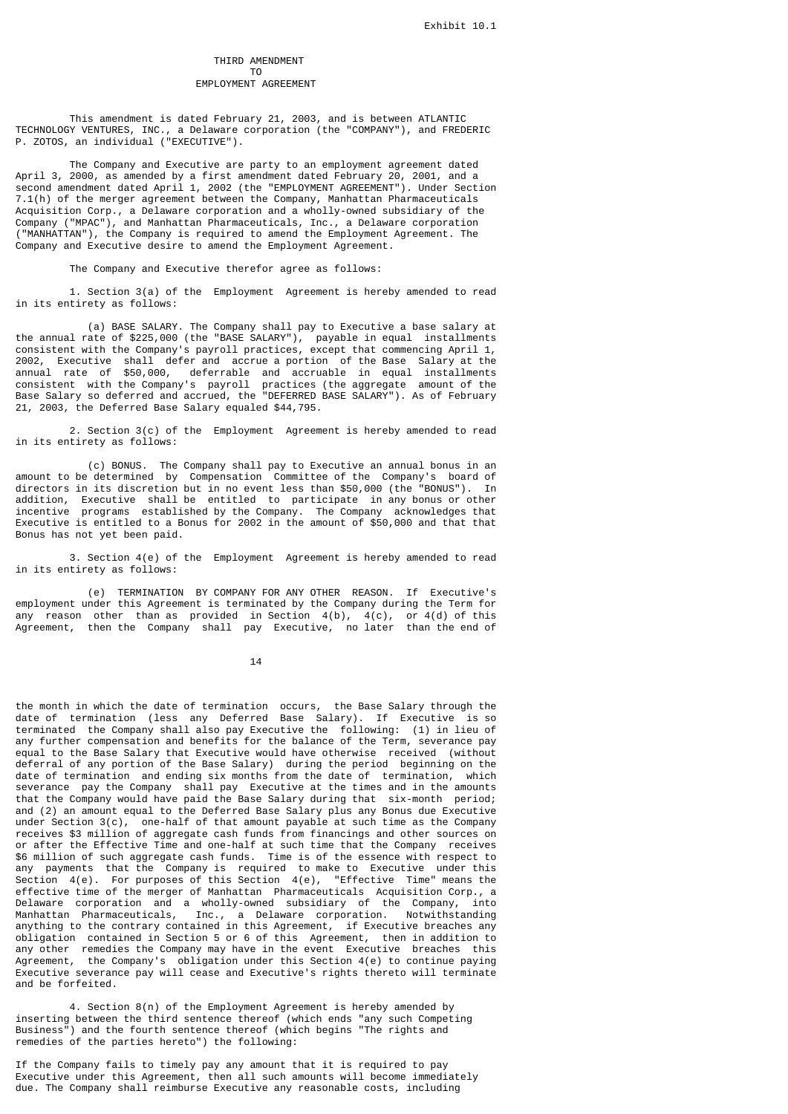#### THIRD AMENDMENT The contract of the contract of the contract of the contract of the contract of the contract of the contract o EMPLOYMENT AGREEMENT

 This amendment is dated February 21, 2003, and is between ATLANTIC TECHNOLOGY VENTURES, INC., a Delaware corporation (the "COMPANY"), and FREDERIC P. ZOTOS, an individual ("EXECUTIVE").

 The Company and Executive are party to an employment agreement dated April 3, 2000, as amended by a first amendment dated February 20, 2001, and a second amendment dated April 1, 2002 (the "EMPLOYMENT AGREEMENT"). Under Section 7.1(h) of the merger agreement between the Company, Manhattan Pharmaceuticals Acquisition Corp., a Delaware corporation and a wholly-owned subsidiary of the Company ("MPAC"), and Manhattan Pharmaceuticals, Inc., a Delaware corporation ("MANHATTAN"), the Company is required to amend the Employment Agreement. The Company and Executive desire to amend the Employment Agreement.

The Company and Executive therefor agree as follows:

 1. Section 3(a) of the Employment Agreement is hereby amended to read in its entirety as follows:

 (a) BASE SALARY. The Company shall pay to Executive a base salary at the annual rate of \$225,000 (the "BASE SALARY"), payable in equal installments consistent with the Company's payroll practices, except that commencing April 1, 2002, Executive shall defer and accrue a portion of the Base Salary at the annual rate of \$50,000, deferrable and accruable in equal installments consistent with the Company's payroll practices (the aggregate amount of the Base Salary so deferred and accrued, the "DEFERRED BASE SALARY"). As of February 21, 2003, the Deferred Base Salary equaled \$44,795.

 2. Section 3(c) of the Employment Agreement is hereby amended to read in its entirety as follows:

 (c) BONUS. The Company shall pay to Executive an annual bonus in an amount to be determined by Compensation Committee of the Company's board of directors in its discretion but in no event less than \$50,000 (the "BONUS"). In addition, Executive shall be entitled to participate in any bonus or other incentive programs established by the Company. The Company acknowledges that Executive is entitled to a Bonus for 2002 in the amount of \$50,000 and that that Bonus has not yet been paid.

 3. Section 4(e) of the Employment Agreement is hereby amended to read in its entirety as follows:

 (e) TERMINATION BY COMPANY FOR ANY OTHER REASON. If Executive's employment under this Agreement is terminated by the Company during the Term for any reason other than as provided in Section 4(b), 4(c), or 4(d) of this Agreement, then the Company shall pay Executive, no later than the end of

14

the month in which the date of termination occurs, the Base Salary through the date of termination (less any Deferred Base Salary). If Executive is so terminated the Company shall also pay Executive the following: (1) in lieu of any further compensation and benefits for the balance of the Term, severance pay equal to the Base Salary that Executive would have otherwise received (without deferral of any portion of the Base Salary) during the period beginning on the date of termination and ending six months from the date of termination, which severance pay the Company shall pay Executive at the times and in the amounts that the Company would have paid the Base Salary during that six-month period; and (2) an amount equal to the Deferred Base Salary plus any Bonus due Executive under Section 3(c), one-half of that amount payable at such time as the Company receives \$3 million of aggregate cash funds from financings and other sources on or after the Effective Time and one-half at such time that the Company receives \$6 million of such aggregate cash funds. Time is of the essence with respect to any payments that the Company is required to make to Executive under this Section 4(e). For purposes of this Section 4(e), "Effective Time" means the effective time of the merger of Manhattan Pharmaceuticals Acquisition Corp., a Delaware corporation and a wholly-owned subsidiary of the Company, into Manhattan Pharmaceuticals, Inc., a Delaware corporation. Notwithstanding anything to the contrary contained in this Agreement, if Executive breaches any obligation contained in Section 5 or 6 of this Agreement, then in addition to any other remedies the Company may have in the event Executive breaches this Agreement, the Company's obligation under this Section 4(e) to continue paying Executive severance pay will cease and Executive's rights thereto will terminate and be forfeited.

 4. Section 8(n) of the Employment Agreement is hereby amended by inserting between the third sentence thereof (which ends "any such Competing Business") and the fourth sentence thereof (which begins "The rights and remedies of the parties hereto") the following:

If the Company fails to timely pay any amount that it is required to pay Executive under this Agreement, then all such amounts will become immediately due. The Company shall reimburse Executive any reasonable costs, including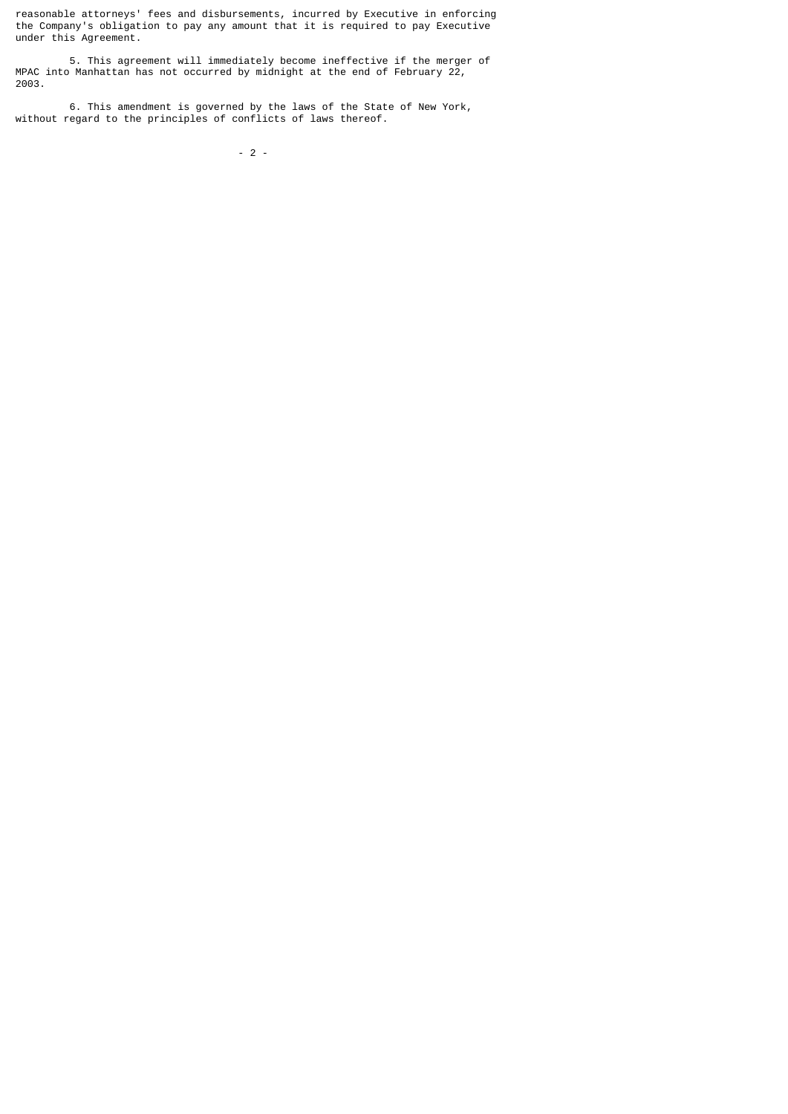reasonable attorneys' fees and disbursements, incurred by Executive in enforcing the Company's obligation to pay any amount that it is required to pay Executive under this Agreement.

 5. This agreement will immediately become ineffective if the merger of MPAC into Manhattan has not occurred by midnight at the end of February 22,  $2003.$ 

 6. This amendment is governed by the laws of the State of New York, without regard to the principles of conflicts of laws thereof.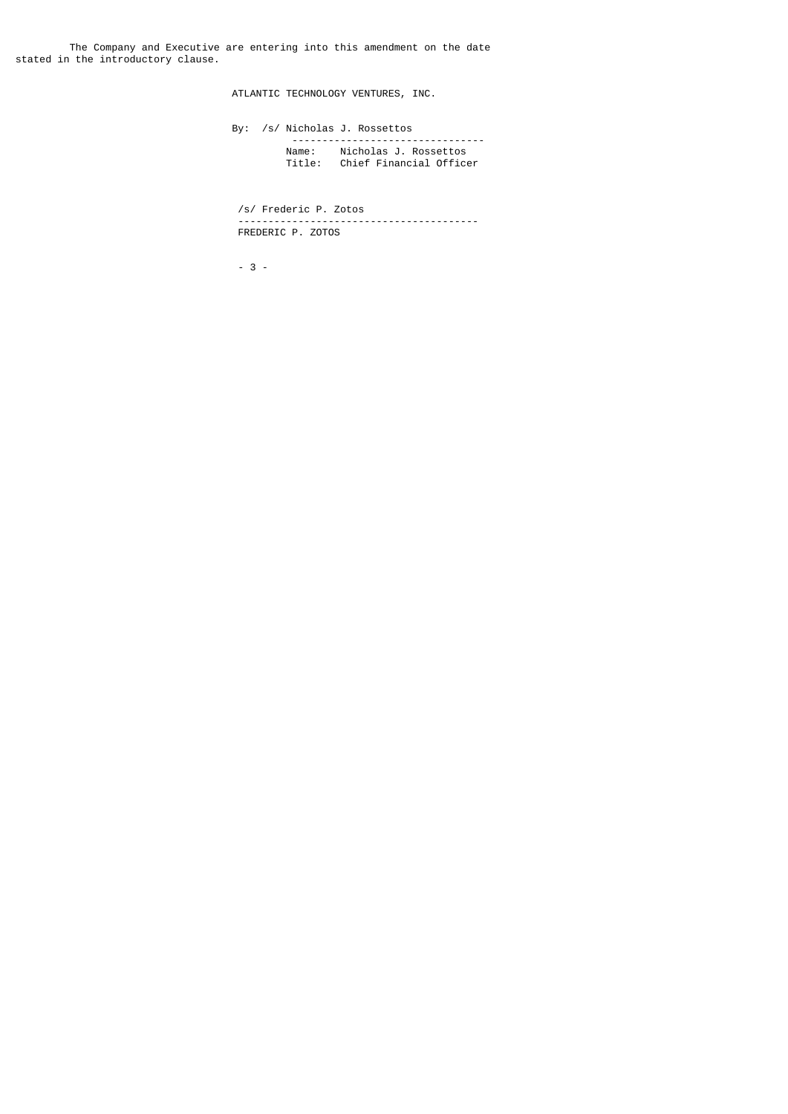The Company and Executive are entering into this amendment on the date stated in the introductory clause.

 ATLANTIC TECHNOLOGY VENTURES, INC. By: /s/ Nicholas J. Rossettos -------------------------------- Name: Nicholas J. Rossettos Title: Chief Financial Officer

> /s/ Frederic P. Zotos ---------------------------------------- FREDERIC P. ZOTOS

- 3 -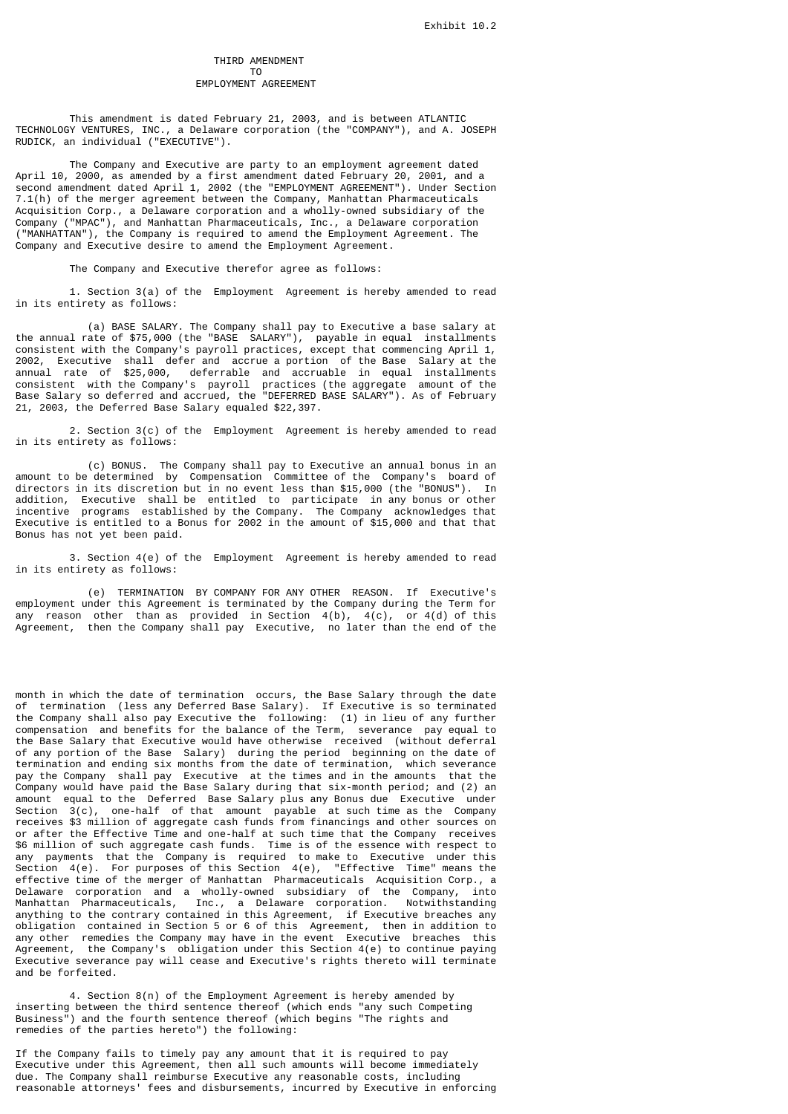#### THIRD AMENDMENT The contract of the contract of the contract of the contract of the contract of the contract of the contract o EMPLOYMENT AGREEMENT

 This amendment is dated February 21, 2003, and is between ATLANTIC TECHNOLOGY VENTURES, INC., a Delaware corporation (the "COMPANY"), and A. JOSEPH RUDICK, an individual ("EXECUTIVE").

 The Company and Executive are party to an employment agreement dated April 10, 2000, as amended by a first amendment dated February 20, 2001, and a second amendment dated April 1, 2002 (the "EMPLOYMENT AGREEMENT"). Under Section 7.1(h) of the merger agreement between the Company, Manhattan Pharmaceuticals Acquisition Corp., a Delaware corporation and a wholly-owned subsidiary of the Company ("MPAC"), and Manhattan Pharmaceuticals, Inc., a Delaware corporation ("MANHATTAN"), the Company is required to amend the Employment Agreement. The Company and Executive desire to amend the Employment Agreement.

The Company and Executive therefor agree as follows:

 1. Section 3(a) of the Employment Agreement is hereby amended to read in its entirety as follows:

 (a) BASE SALARY. The Company shall pay to Executive a base salary at the annual rate of \$75,000 (the "BASE SALARY"), payable in equal installments consistent with the Company's payroll practices, except that commencing April 1, 2002, Executive shall defer and accrue a portion of the Base Salary at the annual rate of \$25,000, deferrable and accruable in equal installments consistent with the Company's payroll practices (the aggregate amount of the Base Salary so deferred and accrued, the "DEFERRED BASE SALARY"). As of February 21, 2003, the Deferred Base Salary equaled \$22,397.

 2. Section 3(c) of the Employment Agreement is hereby amended to read in its entirety as follows:

 (c) BONUS. The Company shall pay to Executive an annual bonus in an amount to be determined by Compensation Committee of the Company's board of directors in its discretion but in no event less than \$15,000 (the "BONUS"). In addition, Executive shall be entitled to participate in any bonus or other incentive programs established by the Company. The Company acknowledges that Executive is entitled to a Bonus for 2002 in the amount of \$15,000 and that that Bonus has not yet been paid.

 3. Section 4(e) of the Employment Agreement is hereby amended to read in its entirety as follows:

 (e) TERMINATION BY COMPANY FOR ANY OTHER REASON. If Executive's employment under this Agreement is terminated by the Company during the Term for any reason other than as provided in Section  $4(b)$ ,  $4(c)$ , or  $4(d)$  of this Agreement, then the Company shall pay Executive, no later than the end of the

month in which the date of termination occurs, the Base Salary through the date of termination (less any Deferred Base Salary). If Executive is so terminated the Company shall also pay Executive the following: (1) in lieu of any further compensation and benefits for the balance of the Term, severance pay equal to the Base Salary that Executive would have otherwise received (without deferral of any portion of the Base Salary) during the period beginning on the date of termination and ending six months from the date of termination, which severance pay the Company shall pay Executive at the times and in the amounts that the Company would have paid the Base Salary during that six-month period; and (2) an amount equal to the Deferred Base Salary plus any Bonus due Executive under Section 3(c), one-half of that amount payable at such time as the Company receives \$3 million of aggregate cash funds from financings and other sources on or after the Effective Time and one-half at such time that the Company receives \$6 million of such aggregate cash funds. Time is of the essence with respect to any payments that the Company is required to make to Executive under this Section 4(e). For purposes of this Section 4(e), "Effective Time" means the effective time of the merger of Manhattan Pharmaceuticals Acquisition Corp., a Delaware corporation and a wholly-owned subsidiary of the Company, into Manhattan Pharmaceuticals, Inc., a Delaware corporation. Notwithstanding anything to the contrary contained in this Agreement, if Executive breaches any obligation contained in Section 5 or 6 of this Agreement, then in addition to any other remedies the Company may have in the event Executive breaches this Agreement, the Company's obligation under this Section 4(e) to continue paying Executive severance pay will cease and Executive's rights thereto will terminate and be forfeited.

 4. Section 8(n) of the Employment Agreement is hereby amended by inserting between the third sentence thereof (which ends "any such Competing Business") and the fourth sentence thereof (which begins "The rights and remedies of the parties hereto") the following:

If the Company fails to timely pay any amount that it is required to pay Executive under this Agreement, then all such amounts will become immediately due. The Company shall reimburse Executive any reasonable costs, including reasonable attorneys' fees and disbursements, incurred by Executive in enforcing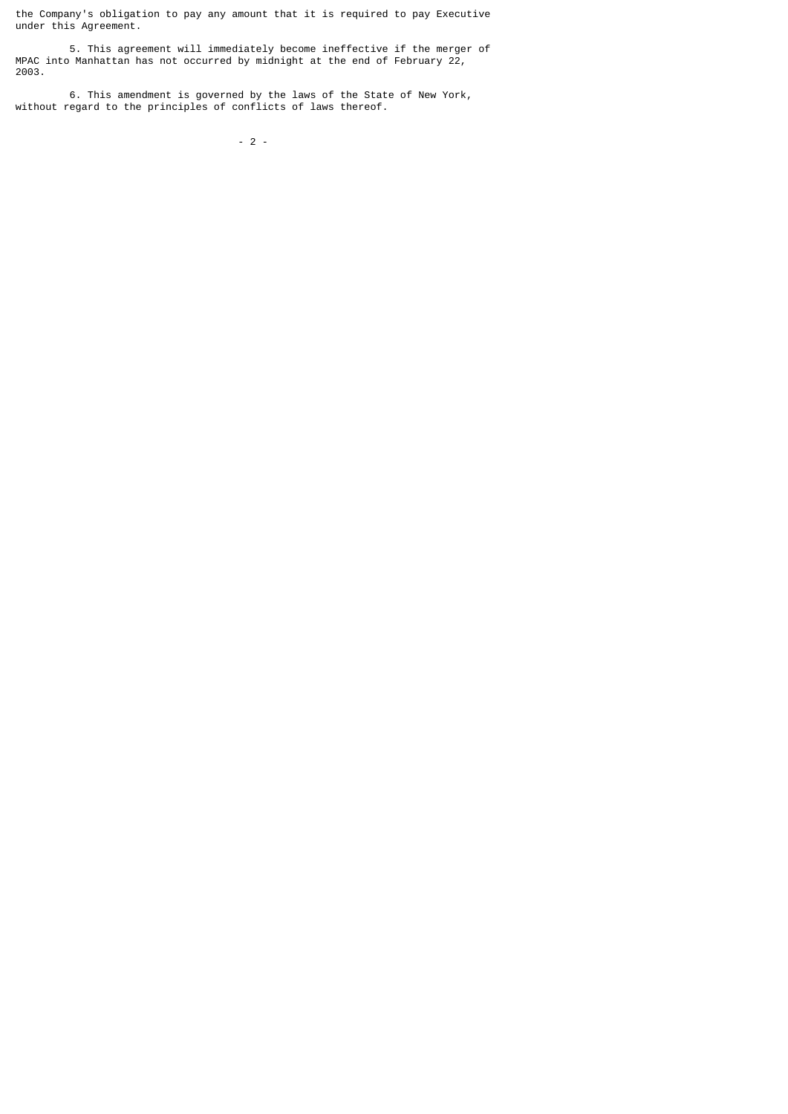the Company's obligation to pay any amount that it is required to pay Executive under this Agreement.

 5. This agreement will immediately become ineffective if the merger of MPAC into Manhattan has not occurred by midnight at the end of February 22, 2003.

 6. This amendment is governed by the laws of the State of New York, without regard to the principles of conflicts of laws thereof.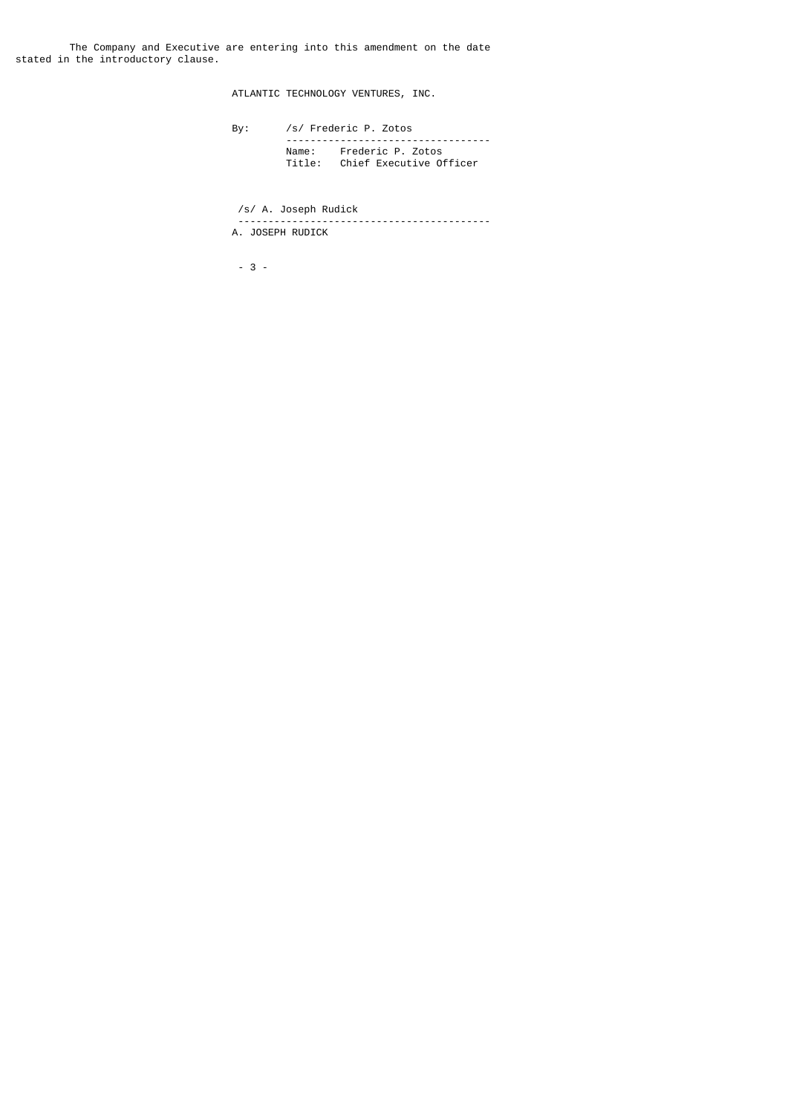The Company and Executive are entering into this amendment on the date stated in the introductory clause.

ATLANTIC TECHNOLOGY VENTURES, INC.

 By: /s/ Frederic P. Zotos ---------------------------------- Name: Frederic P. Zotos Title: Chief Executive Officer

/s/ A. Joseph Rudick

------------------------------------------

A. JOSEPH RUDICK

- 3 -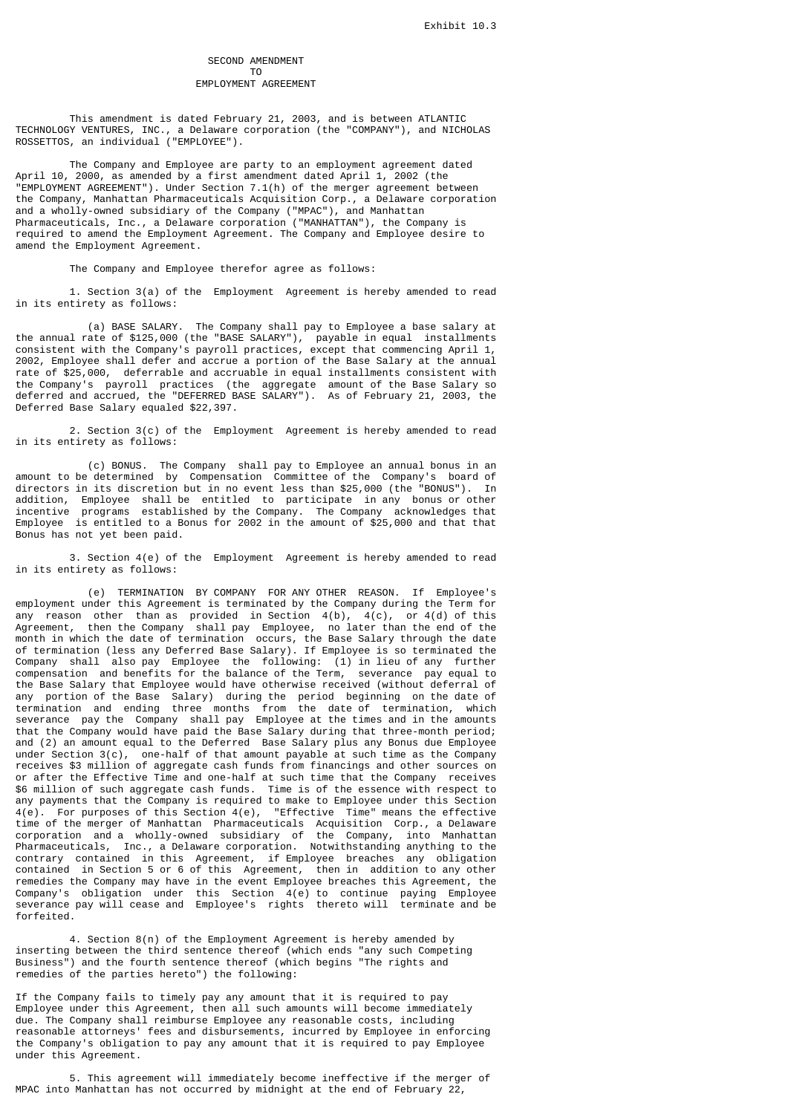#### SECOND AMENDMENT The contract of the contract of the contract of the contract of the contract of the contract of the contract o EMPLOYMENT AGREEMENT

 This amendment is dated February 21, 2003, and is between ATLANTIC TECHNOLOGY VENTURES, INC., a Delaware corporation (the "COMPANY"), and NICHOLAS ROSSETTOS, an individual ("EMPLOYEE").

 The Company and Employee are party to an employment agreement dated April 10, 2000, as amended by a first amendment dated April 1, 2002 (the "EMPLOYMENT AGREEMENT"). Under Section 7.1(h) of the merger agreement between the Company, Manhattan Pharmaceuticals Acquisition Corp., a Delaware corporation and a wholly-owned subsidiary of the Company ("MPAC"), and Manhattan Pharmaceuticals, Inc., a Delaware corporation ("MANHATTAN"), the Company is required to amend the Employment Agreement. The Company and Employee desire to amend the Employment Agreement.

The Company and Employee therefor agree as follows:

 1. Section 3(a) of the Employment Agreement is hereby amended to read in its entirety as follows:

 (a) BASE SALARY. The Company shall pay to Employee a base salary at the annual rate of \$125,000 (the "BASE SALARY"), payable in equal installments consistent with the Company's payroll practices, except that commencing April 1, 2002, Employee shall defer and accrue a portion of the Base Salary at the annual rate of \$25,000, deferrable and accruable in equal installments consistent with the Company's payroll practices (the aggregate amount of the Base Salary so deferred and accrued, the "DEFERRED BASE SALARY"). As of February 21, 2003, the Deferred Base Salary equaled \$22,397.

 2. Section 3(c) of the Employment Agreement is hereby amended to read in its entirety as follows:

 (c) BONUS. The Company shall pay to Employee an annual bonus in an amount to be determined by Compensation Committee of the Company's board of directors in its discretion but in no event less than \$25,000 (the "BONUS"). In addition, Employee shall be entitled to participate in any bonus or other incentive programs established by the Company. The Company acknowledges that Employee is entitled to a Bonus for 2002 in the amount of \$25,000 and that that Bonus has not yet been paid.

 3. Section 4(e) of the Employment Agreement is hereby amended to read in its entirety as follows:

 (e) TERMINATION BY COMPANY FOR ANY OTHER REASON. If Employee's employment under this Agreement is terminated by the Company during the Term for any reason other than as provided in Section  $4(b)$ ,  $4(c)$ , or  $4(d)$  of this Agreement, then the Company shall pay Employee, no later than the end of the month in which the date of termination occurs, the Base Salary through the date of termination (less any Deferred Base Salary). If Employee is so terminated the Company shall also pay Employee the following: (1) in lieu of any further compensation and benefits for the balance of the Term, severance pay equal to the Base Salary that Employee would have otherwise received (without deferral of any portion of the Base Salary) during the period beginning on the date of termination and ending three months from the date of termination, which severance pay the Company shall pay Employee at the times and in the amounts that the Company would have paid the Base Salary during that three-month period; and (2) an amount equal to the Deferred Base Salary plus any Bonus due Employee under Section 3(c), one-half of that amount payable at such time as the Company receives \$3 million of aggregate cash funds from financings and other sources on or after the Effective Time and one-half at such time that the Company receives \$6 million of such aggregate cash funds. Time is of the essence with respect to any payments that the Company is required to make to Employee under this Section 4(e). For purposes of this Section 4(e), "Effective Time" means the effective time of the merger of Manhattan Pharmaceuticals Acquisition Corp., a Delaware corporation and a wholly-owned subsidiary of the Company, into Manhattan Pharmaceuticals, Inc., a Delaware corporation. Notwithstanding anything to the contrary contained in this Agreement, if Employee breaches any obligation contained in Section 5 or 6 of this Agreement, then in addition to any other remedies the Company may have in the event Employee breaches this Agreement, the Company's obligation under this Section 4(e) to continue paying Employee severance pay will cease and Employee's rights thereto will terminate and be forfeited.

 4. Section 8(n) of the Employment Agreement is hereby amended by inserting between the third sentence thereof (which ends "any such Competing Business") and the fourth sentence thereof (which begins "The rights and remedies of the parties hereto") the following:

If the Company fails to timely pay any amount that it is required to pay Employee under this Agreement, then all such amounts will become immediately due. The Company shall reimburse Employee any reasonable costs, including reasonable attorneys' fees and disbursements, incurred by Employee in enforcing the Company's obligation to pay any amount that it is required to pay Employee under this Agreement.

 5. This agreement will immediately become ineffective if the merger of MPAC into Manhattan has not occurred by midnight at the end of February 22,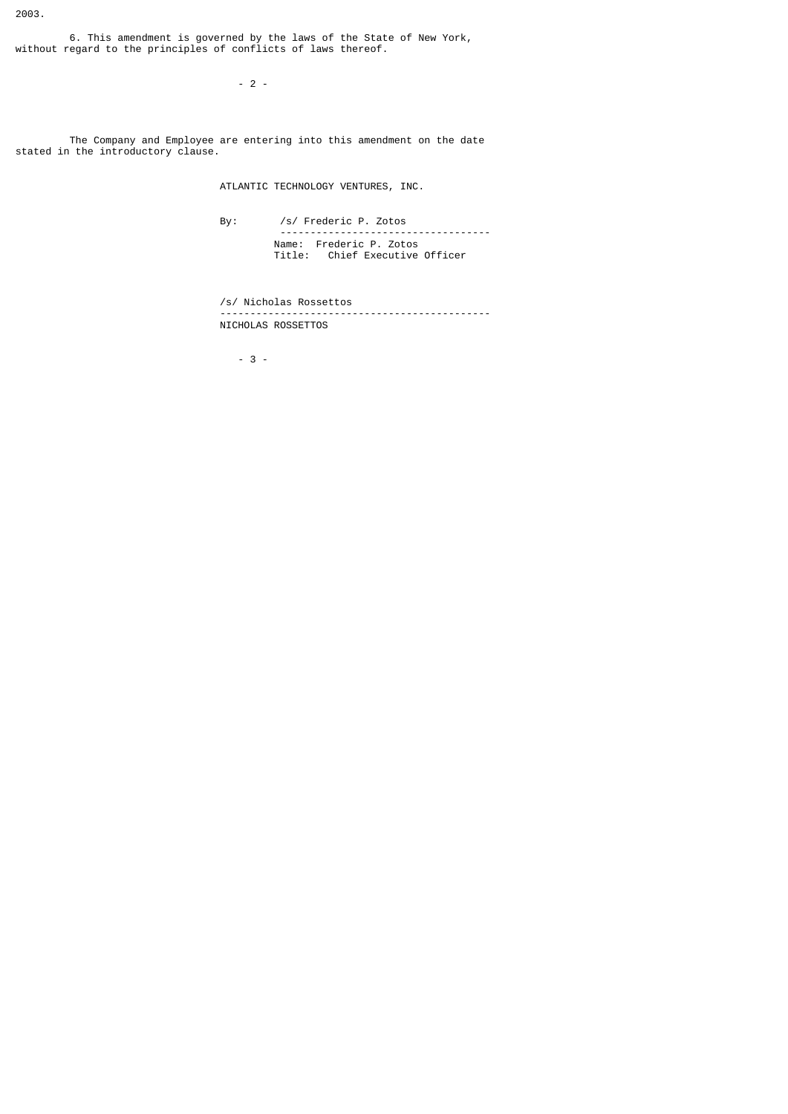2003.

 6. This amendment is governed by the laws of the State of New York, without regard to the principles of conflicts of laws thereof.

 $- 2 -$ 

 The Company and Employee are entering into this amendment on the date stated in the introductory clause.

ATLANTIC TECHNOLOGY VENTURES, INC.

 By: /s/ Frederic P. Zotos ----------------------------------- Name: Frederic P. Zotos Title: Chief Executive Officer

 /s/ Nicholas Rossettos --------------------------------------------- NICHOLAS ROSSETTOS

- 3 -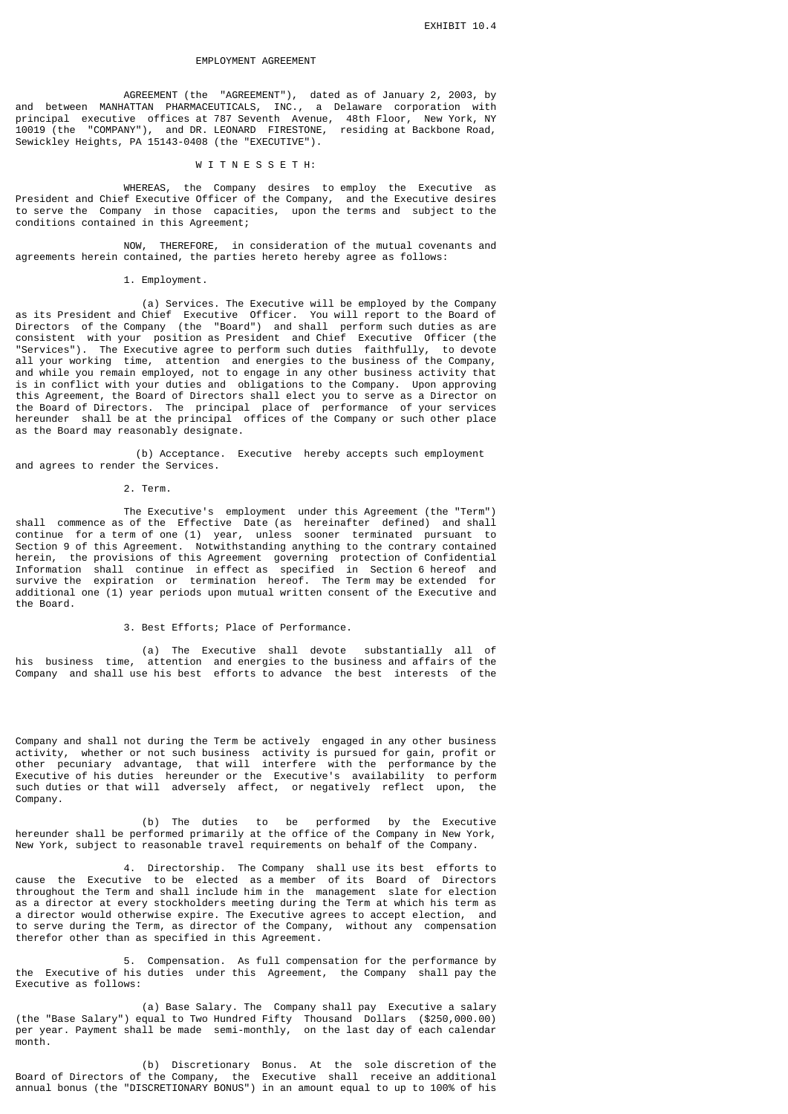### EMPLOYMENT AGREEMENT

 AGREEMENT (the "AGREEMENT"), dated as of January 2, 2003, by and between MANHATTAN PHARMACEUTICALS, INC., a Delaware corporation with principal executive offices at 787 Seventh Avenue, 48th Floor, New York, NY 10019 (the "COMPANY"), and DR. LEONARD FIRESTONE, residing at Backbone Road, Sewickley Heights, PA 15143-0408 (the "EXECUTIVE").

## W I T N E S S E T H:

 WHEREAS, the Company desires to employ the Executive as President and Chief Executive Officer of the Company, and the Executive desires to serve the Company in those capacities, upon the terms and subject to the conditions contained in this Agreement;

 NOW, THEREFORE, in consideration of the mutual covenants and agreements herein contained, the parties hereto hereby agree as follows:

1. Employment.

 (a) Services. The Executive will be employed by the Company as its President and Chief Executive Officer. You will report to the Board of Directors of the Company (the "Board") and shall perform such duties as are consistent with your position as President and Chief Executive Officer (the "Services"). The Executive agree to perform such duties faithfully, to devote all your working time, attention and energies to the business of the Company, and while you remain employed, not to engage in any other business activity that is in conflict with your duties and obligations to the Company. Upon approving this Agreement, the Board of Directors shall elect you to serve as a Director on the Board of Directors. The principal place of performance of your services hereunder shall be at the principal offices of the Company or such other place as the Board may reasonably designate.

 (b) Acceptance. Executive hereby accepts such employment and agrees to render the Services.

2. Term.

 The Executive's employment under this Agreement (the "Term") shall commence as of the Effective Date (as hereinafter defined) and shall continue for a term of one (1) year, unless sooner terminated pursuant to Section 9 of this Agreement. Notwithstanding anything to the contrary contained herein, the provisions of this Agreement governing protection of Confidential Information shall continue in effect as specified in Section 6 hereof and survive the expiration or termination hereof. The Term may be extended for additional one (1) year periods upon mutual written consent of the Executive and the Board.

## 3. Best Efforts; Place of Performance.

 (a) The Executive shall devote substantially all of his business time, attention and energies to the business and affairs of the Company and shall use his best efforts to advance the best interests of the

Company and shall not during the Term be actively engaged in any other business activity, whether or not such business activity is pursued for gain, profit or other pecuniary advantage, that will interfere with the performance by the Executive of his duties hereunder or the Executive's availability to perform such duties or that will adversely affect, or negatively reflect upon, the Company.

 (b) The duties to be performed by the Executive hereunder shall be performed primarily at the office of the Company in New York, New York, subject to reasonable travel requirements on behalf of the Company.

 4. Directorship. The Company shall use its best efforts to cause the Executive to be elected as a member of its Board of Directors throughout the Term and shall include him in the management slate for election as a director at every stockholders meeting during the Term at which his term as a director would otherwise expire. The Executive agrees to accept election, and to serve during the Term, as director of the Company, without any compensation therefor other than as specified in this Agreement.

 5. Compensation. As full compensation for the performance by the Executive of his duties under this Agreement, the Company shall pay the Executive as follows:

 (a) Base Salary. The Company shall pay Executive a salary (the "Base Salary") equal to Two Hundred Fifty Thousand Dollars (\$250,000.00) per year. Payment shall be made semi-monthly, on the last day of each calendar month.

 (b) Discretionary Bonus. At the sole discretion of the Board of Directors of the Company, the Executive shall receive an additional annual bonus (the "DISCRETIONARY BONUS") in an amount equal to up to 100% of his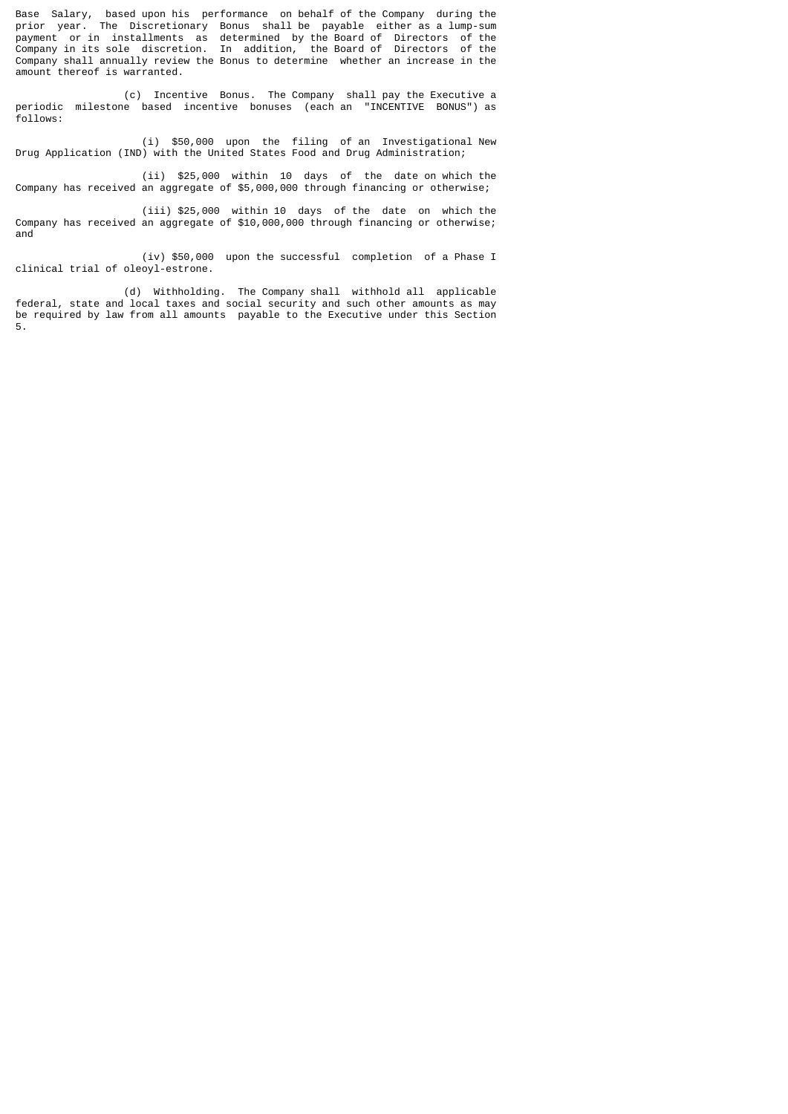Base Salary, based upon his performance on behalf of the Company during the prior year. The Discretionary Bonus shall be payable either as a lump-sum payment or in installments as determined by the Board of Directors of the Company in its sole discretion. In addition, the Board of Directors of the Company shall annually review the Bonus to determine whether an increase in the amount thereof is warranted.

 (c) Incentive Bonus. The Company shall pay the Executive a periodic milestone based incentive bonuses (each an "INCENTIVE BONUS") as follows:

 (i) \$50,000 upon the filing of an Investigational New Drug Application (IND) with the United States Food and Drug Administration;

 (ii) \$25,000 within 10 days of the date on which the Company has received an aggregate of \$5,000,000 through financing or otherwise;

 (iii) \$25,000 within 10 days of the date on which the Company has received an aggregate of \$10,000,000 through financing or otherwise; and

 (iv) \$50,000 upon the successful completion of a Phase I clinical trial of oleoyl-estrone.

 (d) Withholding. The Company shall withhold all applicable federal, state and local taxes and social security and such other amounts as may be required by law from all amounts payable to the Executive under this Section 5.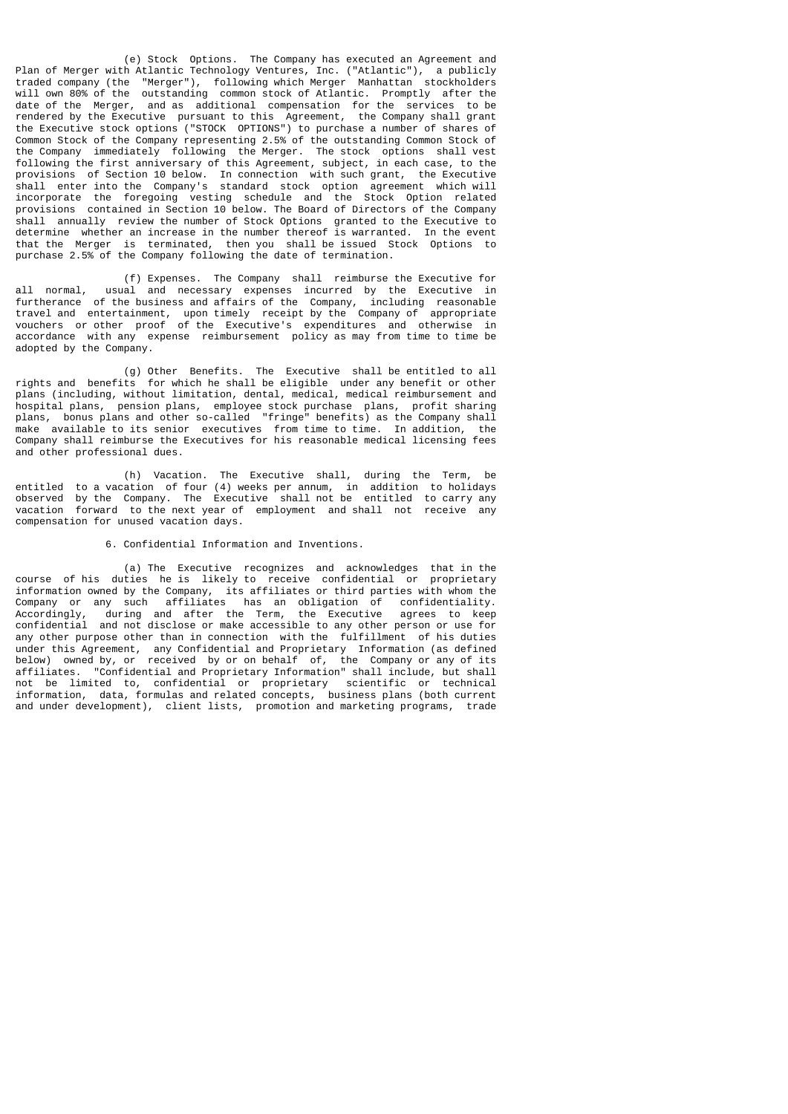(e) Stock Options. The Company has executed an Agreement and Plan of Merger with Atlantic Technology Ventures, Inc. ("Atlantic"), a publicly traded company (the "Merger"), following which Merger Manhattan stockholders will own 80% of the outstanding common stock of Atlantic. Promptly after the date of the Merger, and as additional compensation for the services to be rendered by the Executive pursuant to this Agreement, the Company shall grant the Executive stock options ("STOCK OPTIONS") to purchase a number of shares of Common Stock of the Company representing 2.5% of the outstanding Common Stock of the Company immediately following the Merger. The stock options shall vest following the first anniversary of this Agreement, subject, in each case, to the provisions of Section 10 below. In connection with such grant, the Executive shall enter into the Company's standard stock option agreement which will incorporate the foregoing vesting schedule and the Stock Option related provisions contained in Section 10 below. The Board of Directors of the Company shall annually review the number of Stock Options granted to the Executive to determine whether an increase in the number thereof is warranted. In the event that the Merger is terminated, then you shall be issued Stock Options to purchase 2.5% of the Company following the date of termination.

 (f) Expenses. The Company shall reimburse the Executive for all normal, usual and necessary expenses incurred by the Executive in furtherance of the business and affairs of the Company, including reasonable travel and entertainment, upon timely receipt by the Company of appropriate vouchers or other proof of the Executive's expenditures and otherwise in accordance with any expense reimbursement policy as may from time to time be adopted by the Company.

 (g) Other Benefits. The Executive shall be entitled to all rights and benefits for which he shall be eligible under any benefit or other plans (including, without limitation, dental, medical, medical reimbursement and hospital plans, pension plans, employee stock purchase plans, profit sharing plans, bonus plans and other so-called "fringe" benefits) as the Company shall make available to its senior executives from time to time. In addition, the Company shall reimburse the Executives for his reasonable medical licensing fees and other professional dues.

 (h) Vacation. The Executive shall, during the Term, be entitled to a vacation of four (4) weeks per annum, in addition to holidays observed by the Company. The Executive shall not be entitled to carry any vacation forward to the next year of employment and shall not receive any compensation for unused vacation days.

6. Confidential Information and Inventions.

 (a) The Executive recognizes and acknowledges that in the course of his duties he is likely to receive confidential or proprietary information owned by the Company, its affiliates or third parties with whom the Company or any such affiliates has an obligation of confidentiality. Accordingly, during and after the Term, the Executive agrees to keep confidential and not disclose or make accessible to any other person or use for any other purpose other than in connection with the fulfillment of his duties under this Agreement, any Confidential and Proprietary Information (as defined below) owned by, or received by or on behalf of, the Company or any of its affiliates. "Confidential and Proprietary Information" shall include, but shall not be limited to, confidential or proprietary scientific or technical information, data, formulas and related concepts, business plans (both current and under development), client lists, promotion and marketing programs, trade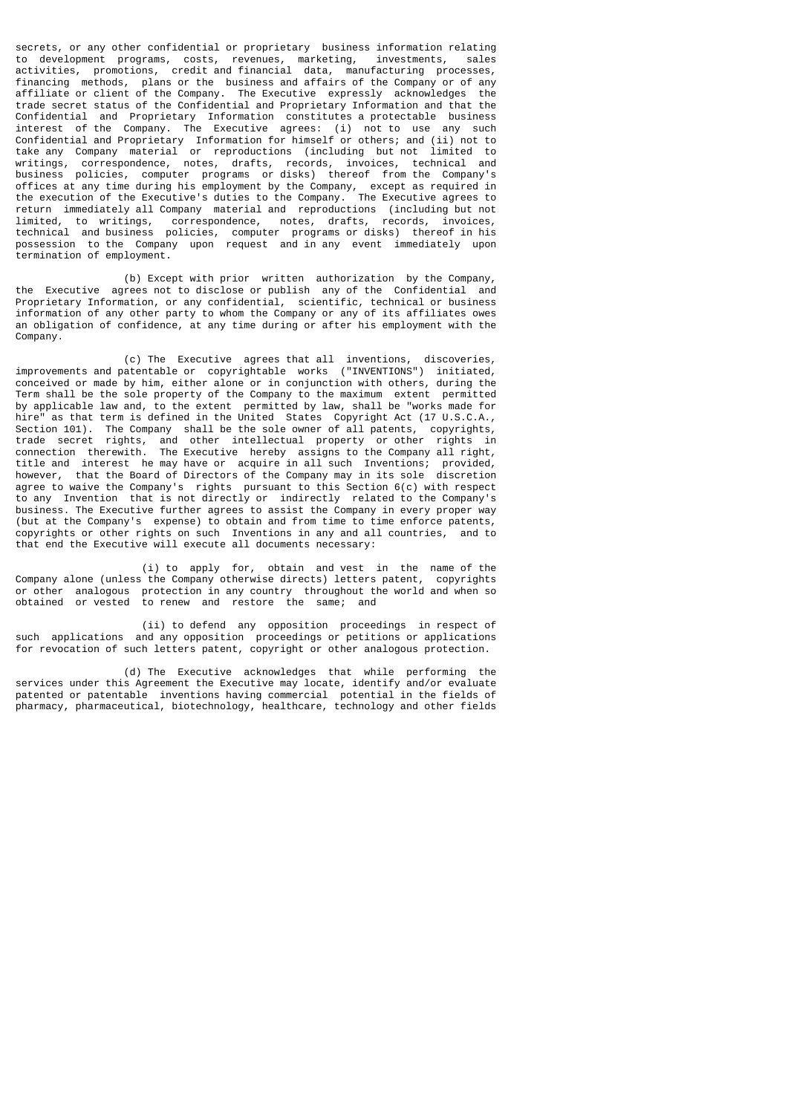secrets, or any other confidential or proprietary business information relating to development programs, costs, revenues, marketing, investments, sales activities, promotions, credit and financial data, manufacturing processes, financing methods, plans or the business and affairs of the Company or of any affiliate or client of the Company. The Executive expressly acknowledges the trade secret status of the Confidential and Proprietary Information and that the Confidential and Proprietary Information constitutes a protectable business interest of the Company. The Executive agrees: (i) not to use any such Confidential and Proprietary Information for himself or others; and (ii) not to take any Company material or reproductions (including but not limited to writings, correspondence, notes, drafts, records, invoices, technical and business policies, computer programs or disks) thereof from the Company's offices at any time during his employment by the Company, except as required in the execution of the Executive's duties to the Company. The Executive agrees to return immediately all Company material and reproductions (including but not limited, to writings, correspondence, notes, drafts, records, invoices, technical and business policies, computer programs or disks) thereof in his possession to the Company upon request and in any event immediately upon termination of employment.

 (b) Except with prior written authorization by the Company, the Executive agrees not to disclose or publish any of the Confidential and Proprietary Information, or any confidential, scientific, technical or business information of any other party to whom the Company or any of its affiliates owes an obligation of confidence, at any time during or after his employment with the Company.

 (c) The Executive agrees that all inventions, discoveries, improvements and patentable or copyrightable works ("INVENTIONS") initiated, conceived or made by him, either alone or in conjunction with others, during the Term shall be the sole property of the Company to the maximum extent permitted Term shall be the sole property of the Company to the maximum extent permitted by applicable law and, to the extent permitted by law, shall be "works made for hire" as that term is defined in the United States Copyright Act (17 U.S.C.A., Section 101). The Company shall be the sole owner of all patents, copyrights, trade secret rights, and other intellectual property or other rights in connection therewith. The Executive hereby assigns to the Company all right, title and interest he may have or acquire in all such Inventions; provided, however, that the Board of Directors of the Company may in its sole discretion agree to waive the Company's rights pursuant to this Section 6(c) with respect to any Invention that is not directly or indirectly related to the Company's business. The Executive further agrees to assist the Company in every proper way (but at the Company's expense) to obtain and from time to time enforce patents, copyrights or other rights on such Inventions in any and all countries, and to that end the Executive will execute all documents necessary:

 (i) to apply for, obtain and vest in the name of the Company alone (unless the Company otherwise directs) letters patent, or other analogous protection in any country throughout the world and when so obtained or vested to renew and restore the same; and

 (ii) to defend any opposition proceedings in respect of such applications and any opposition proceedings or petitions or applications for revocation of such letters patent, copyright or other analogous protection.

 (d) The Executive acknowledges that while performing the services under this Agreement the Executive may locate, identify and/or evaluate patented or patentable inventions having commercial potential in the fields of pharmacy, pharmaceutical, biotechnology, healthcare, technology and other fields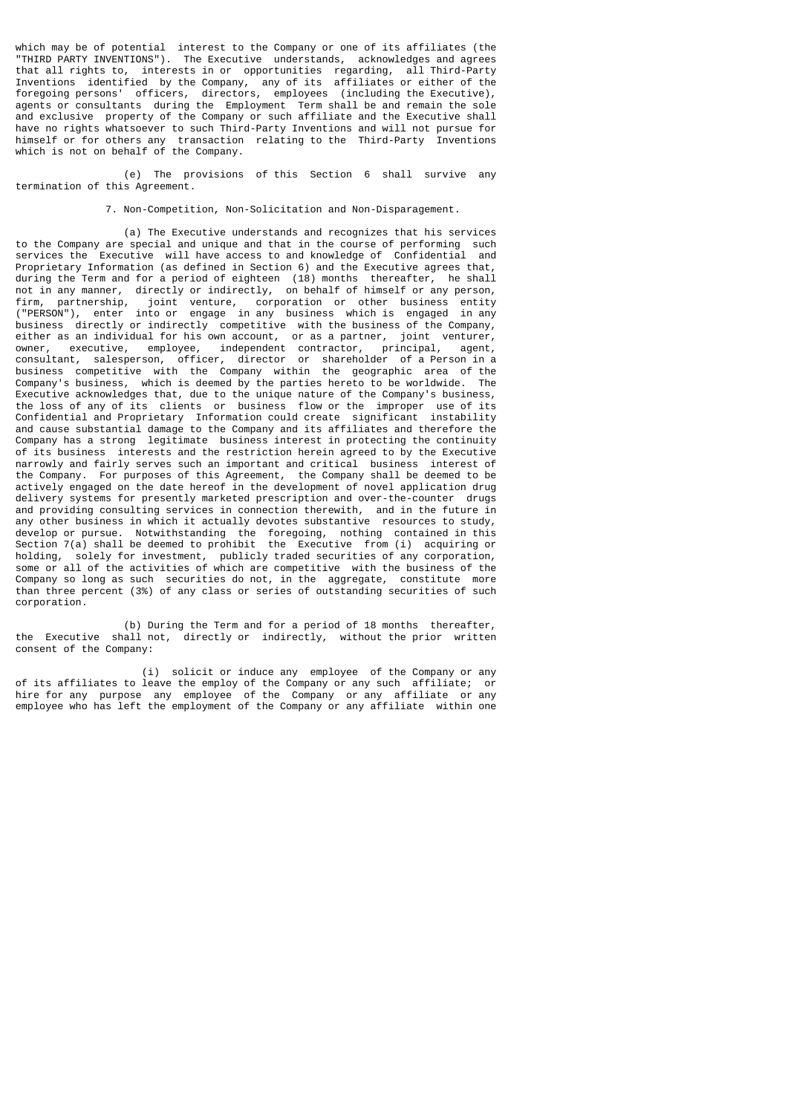which may be of potential interest to the Company or one of its affiliates (the "THIRD PARTY INVENTIONS"). The Executive understands, acknowledges and agrees that all rights to, interests in or opportunities regarding, all Third-Party Inventions identified by the Company, any of its affiliates or either of the foregoing persons' officers, directors, employees (including the Executive), agents or consultants during the Employment Term shall be and remain the sole and exclusive property of the Company or such affiliate and the Executive shall have no rights whatsoever to such Third-Party Inventions and will not pursue for himself or for others any transaction relating to the Third-Party Inventions which is not on behalf of the Company.

 (e) The provisions of this Section 6 shall survive any termination of this Agreement.

7. Non-Competition, Non-Solicitation and Non-Disparagement.

 (a) The Executive understands and recognizes that his services to the Company are special and unique and that in the course of performing such services the Executive will have access to and knowledge of Confidential and Proprietary Information (as defined in Section 6) and the Executive agrees that, during the Term and for a period of eighteen (18) months thereafter, he shall not in any manner, directly or indirectly, on behalf of himself or any person, firm, partnership, joint venture, corporation or other business entity ("PERSON"), enter into or engage in any business which is engaged in any business directly or indirectly competitive with the business of the Company, either as an individual for his own account, or as a partner, joint venturer, owner, executive, employee, independent contractor, principal, agent, consultant, salesperson, officer, director or shareholder of a Person in a business competitive with the Company within the geographic area of the Company's business, which is deemed by the parties hereto to be worldwide. The Executive acknowledges that, due to the unique nature of the Company's business, the loss of any of its clients or business flow or the improper use of its Confidential and Proprietary Information could create significant instability and cause substantial damage to the Company and its affiliates and therefore the Company has a strong legitimate business interest in protecting the continuity of its business interests and the restriction herein agreed to by the Executive narrowly and fairly serves such an important and critical business interest of the Company. For purposes of this Agreement, the Company shall be deemed to be actively engaged on the date hereof in the development of novel application drug delivery systems for presently marketed prescription and over-the-counter drugs and providing consulting services in connection therewith, and in the future in any other business in which it actually devotes substantive resources to study, develop or pursue. Notwithstanding the foregoing, nothing contained in this Section 7(a) shall be deemed to prohibit the Executive from (i) acquiring or holding, solely for investment, publicly traded securities of any corporation, some or all of the activities of which are competitive with the business of the Company so long as such securities do not, in the aggregate, constitute more than three percent (3%) of any class or series of outstanding securities of such corporation.

 (b) During the Term and for a period of 18 months thereafter, the Executive shall not, directly or indirectly, without the prior written consent of the Company:

 (i) solicit or induce any employee of the Company or any of its affiliates to leave the employ of the Company or any such affiliate; or hire for any purpose any employee of the Company or any affiliate or any employee who has left the employment of the Company or any affiliate within one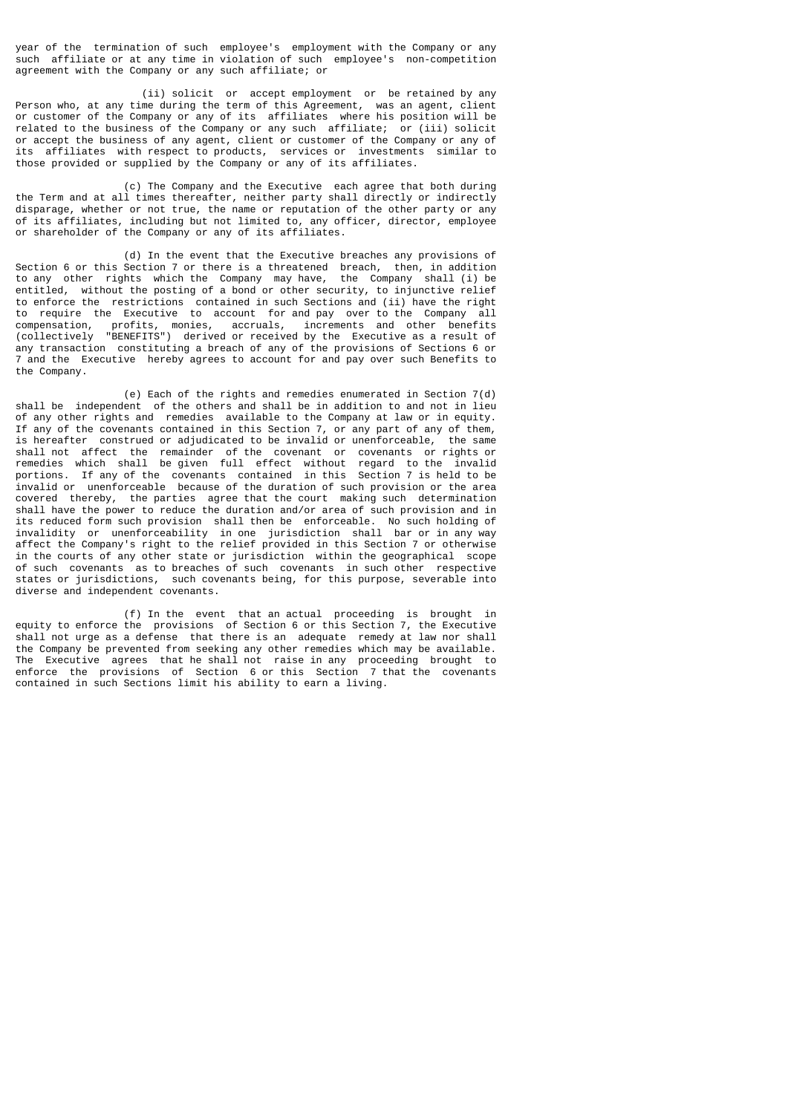year of the termination of such employee's employment with the Company or any such affiliate or at any time in violation of such employee's non-competition agreement with the Company or any such affiliate; or

 (ii) solicit or accept employment or be retained by any Person who, at any time during the term of this Agreement, was an agent, client or customer of the Company or any of its affiliates where his position will be related to the business of the Company or any such affiliate; or (iii) solicit or accept the business of any agent, client or customer of the Company or any of its affiliates with respect to products, services or investments similar to those provided or supplied by the Company or any of its affiliates.

 (c) The Company and the Executive each agree that both during the Term and at all times thereafter, neither party shall directly or indirectly disparage, whether or not true, the name or reputation of the other party or any of its affiliates, including but not limited to, any officer, director, employee or shareholder of the Company or any of its affiliates.

 (d) In the event that the Executive breaches any provisions of Section 6 or this Section 7 or there is a threatened breach, then, in addition<br>to any other rights which the Company may have, the Company shall (i) be to any other rights which the Company may have, the Company entitled, without the posting of a bond or other security, to injunctive relief to enforce the restrictions contained in such Sections and (ii) have the right to require the Executive to account for and pay over to the Company all compensation, profits, monies, accruals, increments and other benefits (collectively "BENEFITS") derived or received by the Executive as a result of any transaction constituting a breach of any of the provisions of Sections 6 or 7 and the Executive hereby agrees to account for and pay over such Benefits to the Company.

 (e) Each of the rights and remedies enumerated in Section 7(d) shall be independent of the others and shall be in addition to and not in lieu of any other rights and remedies available to the Company at law or in equity. If any of the covenants contained in this Section 7, or any part of any of them, is hereafter construed or adjudicated to be invalid or unenforceable, the same shall not affect the remainder of the covenant or covenants or rights or remedies which shall be given full effect without regard to the invalid portions. If any of the covenants contained in this Section 7 is held to be invalid or unenforceable because of the duration of such provision or the area covered thereby, the parties agree that the court making such determination shall have the power to reduce the duration and/or area of such provision and in its reduced form such provision shall then be enforceable. No such holding of invalidity or unenforceability in one jurisdiction shall bar or in any way affect the Company's right to the relief provided in this Section 7 or otherwise in the courts of any other state or jurisdiction within the geographical scope of such covenants as to breaches of such covenants in such other respective states or jurisdictions, such covenants being, for this purpose, severable into diverse and independent covenants.

 (f) In the event that an actual proceeding is brought in equity to enforce the provisions of Section 6 or this Section 7, the Executive shall not urge as a defense that there is an adequate remedy at law nor shall the Company be prevented from seeking any other remedies which may be available. The Executive agrees that he shall not raise in any proceeding brought to enforce the provisions of Section 6 or this Section 7 that the covenants contained in such Sections limit his ability to earn a living.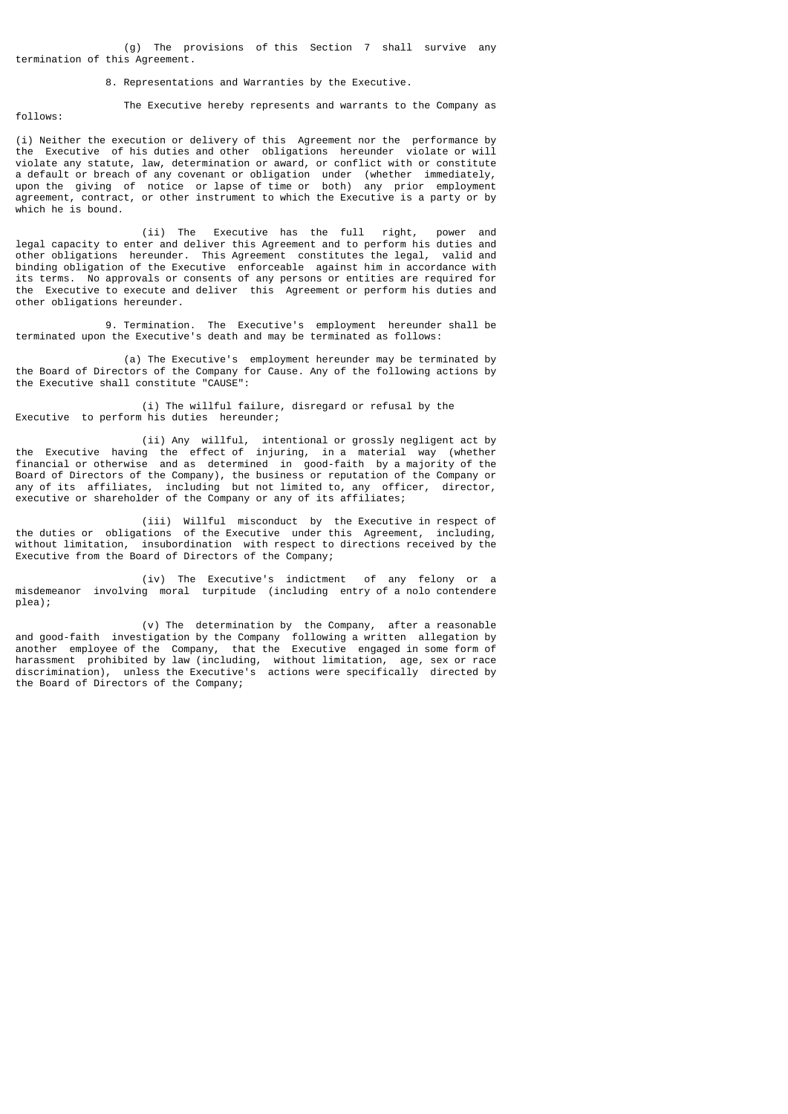(g) The provisions of this Section 7 shall survive any termination of this Agreement.

8. Representations and Warranties by the Executive.

The Executive hereby represents and warrants to the Company as

follows:

(i) Neither the execution or delivery of this Agreement nor the performance by the Executive of his duties and other obligations hereunder violate or will violate any statute, law, determination or award, or conflict with or constitute a default or breach of any covenant or obligation under (whether immediately, upon the giving of notice or lapse of time or both) any prior employment agreement, contract, or other instrument to which the Executive is a party or by which he is bound.

 (ii) The Executive has the full right, power and legal capacity to enter and deliver this Agreement and to perform his duties and other obligations hereunder. This Agreement constitutes the legal, valid and binding obligation of the Executive enforceable against him in accordance with its terms. No approvals or consents of any persons or entities are required for the Executive to execute and deliver this Agreement or perform his duties and other obligations hereunder.

 9. Termination. The Executive's employment hereunder shall be terminated upon the Executive's death and may be terminated as follows:

 (a) The Executive's employment hereunder may be terminated by the Board of Directors of the Company for Cause. Any of the following actions by the Executive shall constitute "CAUSE":

 (i) The willful failure, disregard or refusal by the Executive to perform his duties hereunder:

 (ii) Any willful, intentional or grossly negligent act by the Executive having the effect of injuring, in a material way (whether financial or otherwise and as determined in good-faith by a majority of the Board of Directors of the Company), the business or reputation of the Company or any of its affiliates, including but not limited to, any officer, director, executive or shareholder of the Company or any of its affiliates;

 (iii) Willful misconduct by the Executive in respect of the duties or obligations of the Executive under this Agreement, including, without limitation, insubordination with respect to directions received by the Executive from the Board of Directors of the Company;

 (iv) The Executive's indictment of any felony or a misdemeanor involving moral turpitude (including entry of a nolo contendere plea);

 (v) The determination by the Company, after a reasonable and good-faith investigation by the Company following a written allegation by another employee of the Company, that the Executive engaged in some form of harassment prohibited by law (including, without limitation, age, sex or race discrimination), unless the Executive's actions were specifically directed by the Board of Directors of the Company;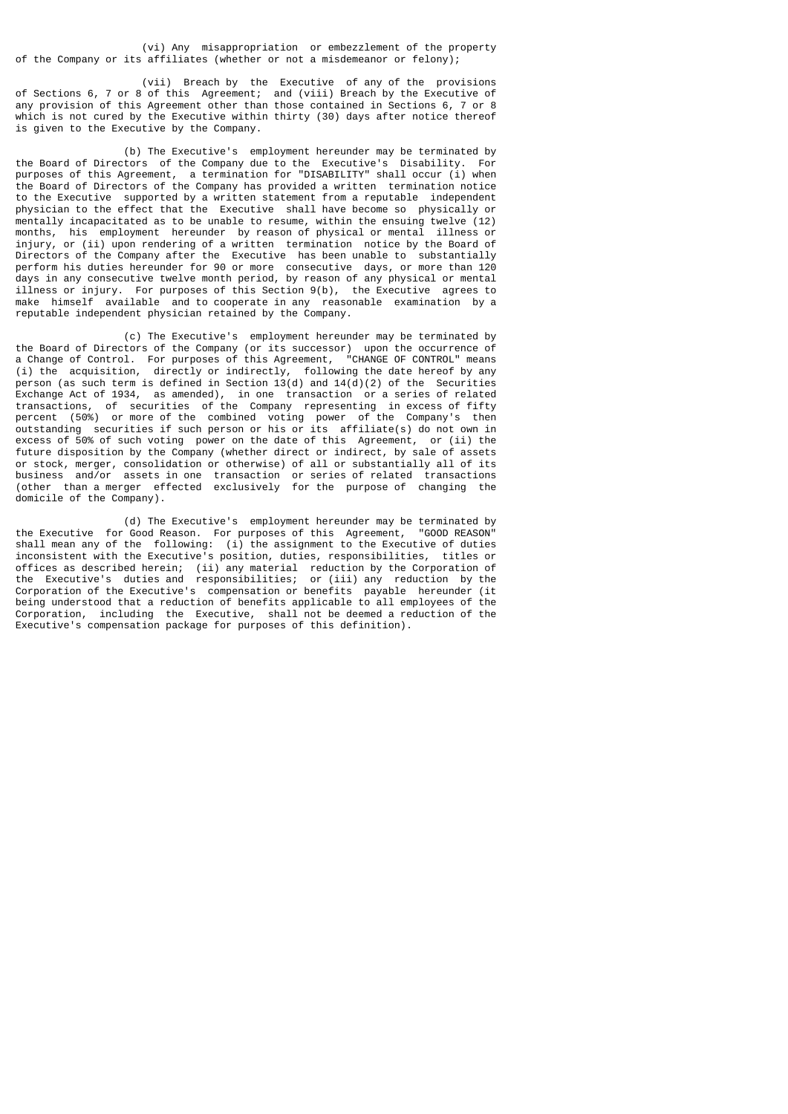(vi) Any misappropriation or embezzlement of the property of the Company or its affiliates (whether or not a misdemeanor or felony);

 (vii) Breach by the Executive of any of the provisions of Sections 6, 7 or 8 of this Agreement; and (viii) Breach by the Executive of any provision of this Agreement other than those contained in Sections 6, 7 or 8 which is not cured by the Executive within thirty (30) days after notice thereof is given to the Executive by the Company.

 (b) The Executive's employment hereunder may be terminated by the Board of Directors of the Company due to the Executive's Disability. For purposes of this Agreement, a termination for "DISABILITY" shall occur (i) when the Board of Directors of the Company has provided a written termination notice to the Executive supported by a written statement from a reputable independent physician to the effect that the Executive shall have become so physically or mentally incapacitated as to be unable to resume, within the ensuing twelve (12) months, his employment hereunder by reason of physical or mental illness or injury, or (ii) upon rendering of a written termination notice by the Board of Directors of the Company after the Executive has been unable to substantially perform his duties hereunder for 90 or more consecutive days, or more than 120 days in any consecutive twelve month period, by reason of any physical or mental illness or injury. For purposes of this Section 9(b), the Executive agrees to make himself available and to cooperate in any reasonable examination by a reputable independent physician retained by the Company.

 (c) The Executive's employment hereunder may be terminated by the Board of Directors of the Company (or its successor) upon the occurrence of a Change of Control. For purposes of this Agreement, "CHANGE OF CONTROL" means (i) the acquisition, directly or indirectly, following the date hereof by any person (as such term is defined in Section 13(d) and 14(d)(2) of the Securities Exchange Act of 1934, as amended), in one transaction or a series of related transactions, of securities of the Company representing in excess of fifty percent (50%) or more of the combined voting power of the Company's then outstanding securities if such person or his or its affiliate(s) do not own in excess of 50% of such voting power on the date of this Agreement, or (ii) the future disposition by the Company (whether direct or indirect, by sale of assets or stock, merger, consolidation or otherwise) of all or substantially all of its business and/or assets in one transaction or series of related transactions (other than a merger effected exclusively for the purpose of changing the domicile of the Company).

 (d) The Executive's employment hereunder may be terminated by the Executive for Good Reason. For purposes of this Agreement, "GOOD REASON" shall mean any of the following: (i) the assignment to the Executive of duties inconsistent with the Executive's position, duties, responsibilities, titles or offices as described herein; (ii) any material reduction by the Corporation of the Executive's duties and responsibilities; or (iii) any reduction by the Corporation of the Executive's compensation or benefits payable hereunder (it being understood that a reduction of benefits applicable to all employees of the Corporation, including the Executive, shall not be deemed a reduction of the Executive's compensation package for purposes of this definition).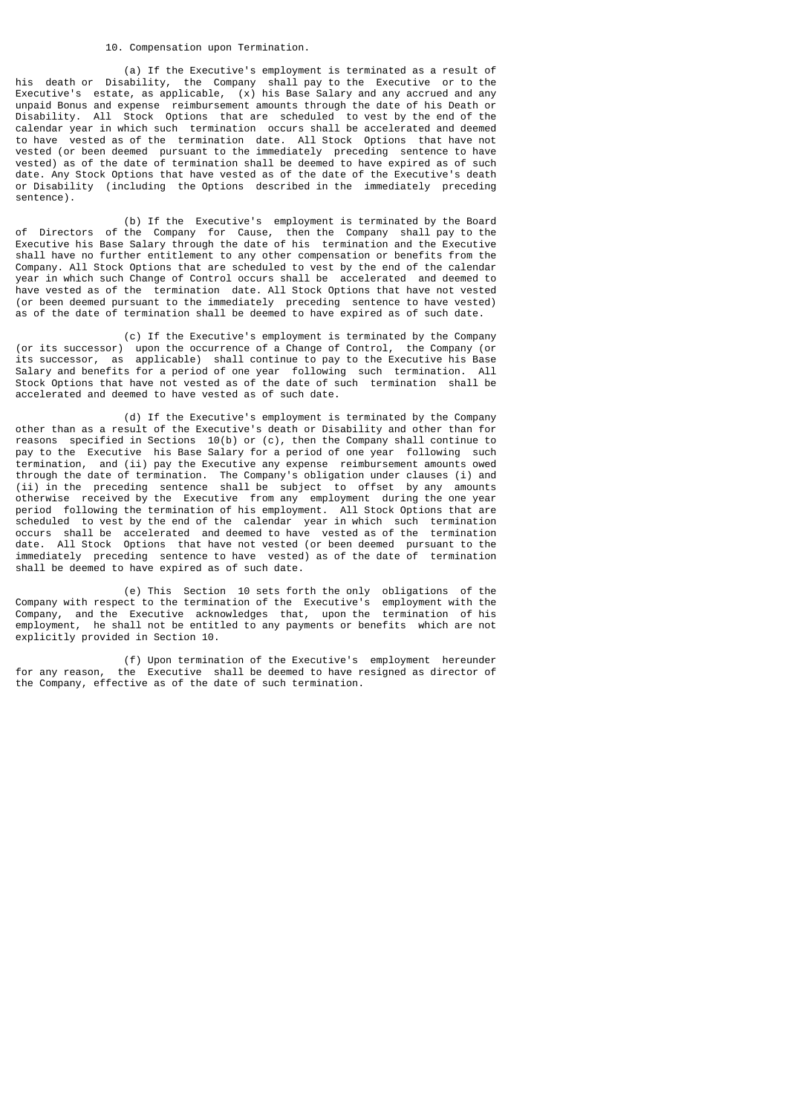#### 10. Compensation upon Termination.

 (a) If the Executive's employment is terminated as a result of his death or Disability, the Company shall pay to the Executive or to the Executive's estate, as applicable, (x) his Base Salary and any accrued and any unpaid Bonus and expense reimbursement amounts through the date of his Death or Disability. All Stock Options that are scheduled to vest by the end of the calendar year in which such termination occurs shall be accelerated and deemed to have vested as of the termination date. All Stock Options that have not vested (or been deemed pursuant to the immediately preceding sentence to have vested) as of the date of termination shall be deemed to have expired as of such date. Any Stock Options that have vested as of the date of the Executive's death or Disability (including the Options described in the immediately preceding sentence).

 (b) If the Executive's employment is terminated by the Board of Directors of the Company for Cause, then the Company shall pay to the Executive his Base Salary through the date of his termination and the Executive shall have no further entitlement to any other compensation or benefits from the Company. All Stock Options that are scheduled to vest by the end of the calendar year in which such Change of Control occurs shall be accelerated and deemed to have vested as of the termination date. All Stock Options that have not vested (or been deemed pursuant to the immediately preceding sentence to have vested) as of the date of termination shall be deemed to have expired as of such date.

 (c) If the Executive's employment is terminated by the Company (or its successor) upon the occurrence of a Change of Control, the Company (or its successor, as applicable) shall continue to pay to the Executive his Base Salary and benefits for a period of one year following such termination. All Stock Options that have not vested as of the date of such termination shall be accelerated and deemed to have vested as of such date.

 (d) If the Executive's employment is terminated by the Company other than as a result of the Executive's death or Disability and other than for reasons specified in Sections  $10(b)$  or (c), then the Company shall continue to pay to the Executive his Base Salary for a period of one year following such termination, and (ii) pay the Executive any expense reimbursement amounts owed through the date of termination. The Company's obligation under clauses (i) and (ii) in the preceding sentence shall be subject to offset by any amounts otherwise received by the Executive from any employment during the one year period following the termination of his employment. All Stock Options that are scheduled to vest by the end of the calendar year in which such termination occurs shall be accelerated and deemed to have vested as of the termination date. All Stock Options that have not vested (or been deemed pursuant to the immediately preceding sentence to have vested) as of the date of termination shall be deemed to have expired as of such date.

 (e) This Section 10 sets forth the only obligations of the Company with respect to the termination of the Executive's employment with the Company, and the Executive acknowledges that, upon the termination of his employment, he shall not be entitled to any payments or benefits which are not explicitly provided in Section 10.

 (f) Upon termination of the Executive's employment hereunder for any reason, the Executive shall be deemed to have resigned as director of the Company, effective as of the date of such termination.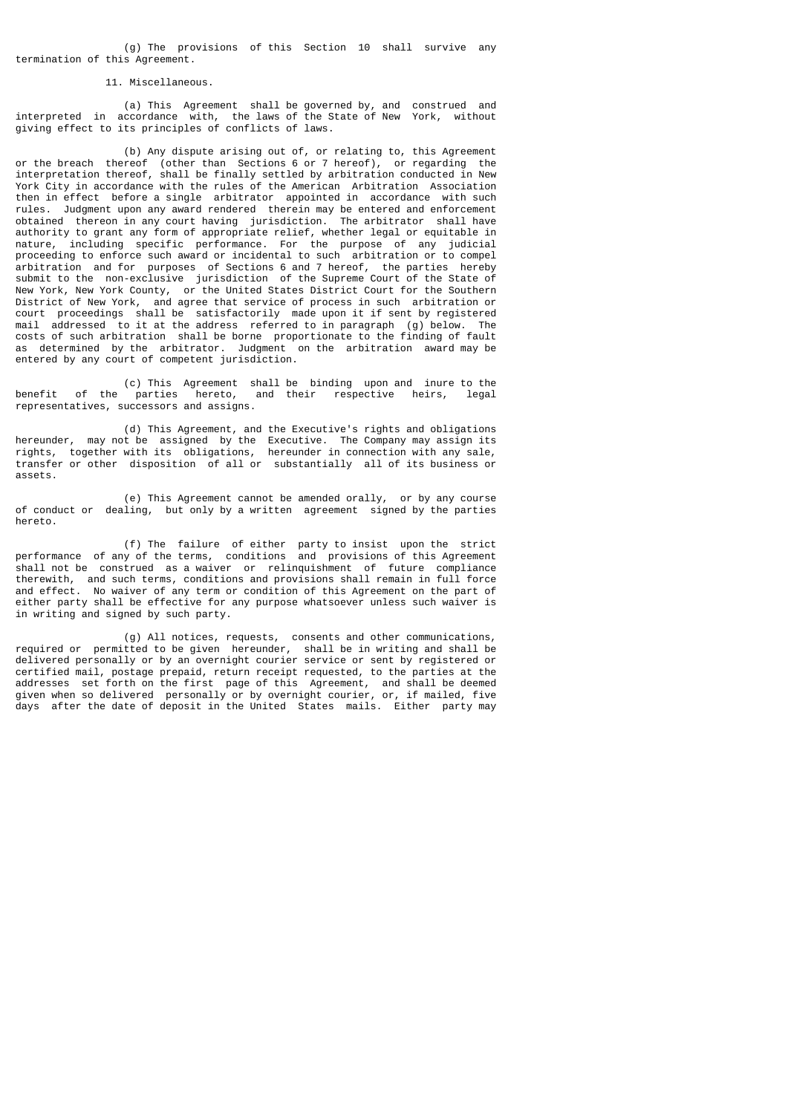(g) The provisions of this Section 10 shall survive any termination of this Agreement.

### 11. Miscellaneous.

 (a) This Agreement shall be governed by, and construed and interpreted in accordance with, the laws of the State of New York, without giving effect to its principles of conflicts of laws.

 (b) Any dispute arising out of, or relating to, this Agreement or the breach thereof (other than Sections 6 or 7 hereof), or regarding the interpretation thereof, shall be finally settled by arbitration conducted in New York City in accordance with the rules of the American Arbitration Association then in effect before a single arbitrator appointed in accordance with such rules. Judgment upon any award rendered therein may be entered and enforcement obtained thereon in any court having jurisdiction. The arbitrator shall have authority to grant any form of appropriate relief, whether legal or equitable in nature, including specific performance. For the purpose of any judicial proceeding to enforce such award or incidental to such arbitration or to compel arbitration and for purposes of Sections 6 and 7 hereof, the parties hereby submit to the non-exclusive jurisdiction of the Supreme Court of the State of New York, New York County, or the United States District Court for the Southern District of New York, and agree that service of process in such arbitration or court proceedings shall be satisfactorily made upon it if sent by registered mail addressed to it at the address referred to in paragraph (g) below. The costs of such arbitration shall be borne proportionate to the finding of fault as determined by the arbitrator. Judgment on the arbitration award may be entered by any court of competent jurisdiction.

 (c) This Agreement shall be binding upon and inure to the benefit of the parties hereto, and their respective heirs, representatives, successors and assigns.

 (d) This Agreement, and the Executive's rights and obligations hereunder, may not be assigned by the Executive. The Company may assign its rights, together with its obligations, hereunder in connection with any sale, transfer or other disposition of all or substantially all of its business or assets.

 (e) This Agreement cannot be amended orally, or by any course of conduct or dealing, but only by a written agreement signed by the parties hereto.

 (f) The failure of either party to insist upon the strict performance of any of the terms, conditions and provisions of this Agreement shall not be construed as a waiver or relinquishment of future compliance therewith, and such terms, conditions and provisions shall remain in full force and effect. No waiver of any term or condition of this Agreement on the part of either party shall be effective for any purpose whatsoever unless such waiver is in writing and signed by such party.

 (g) All notices, requests, consents and other communications, required or permitted to be given hereunder, shall be in writing and shall be delivered personally or by an overnight courier service or sent by registered or certified mail, postage prepaid, return receipt requested, to the parties at the addresses set forth on the first page of this Agreement, and shall be deemed given when so delivered personally or by overnight courier, or, if mailed, five days after the date of deposit in the United States mails. Either party may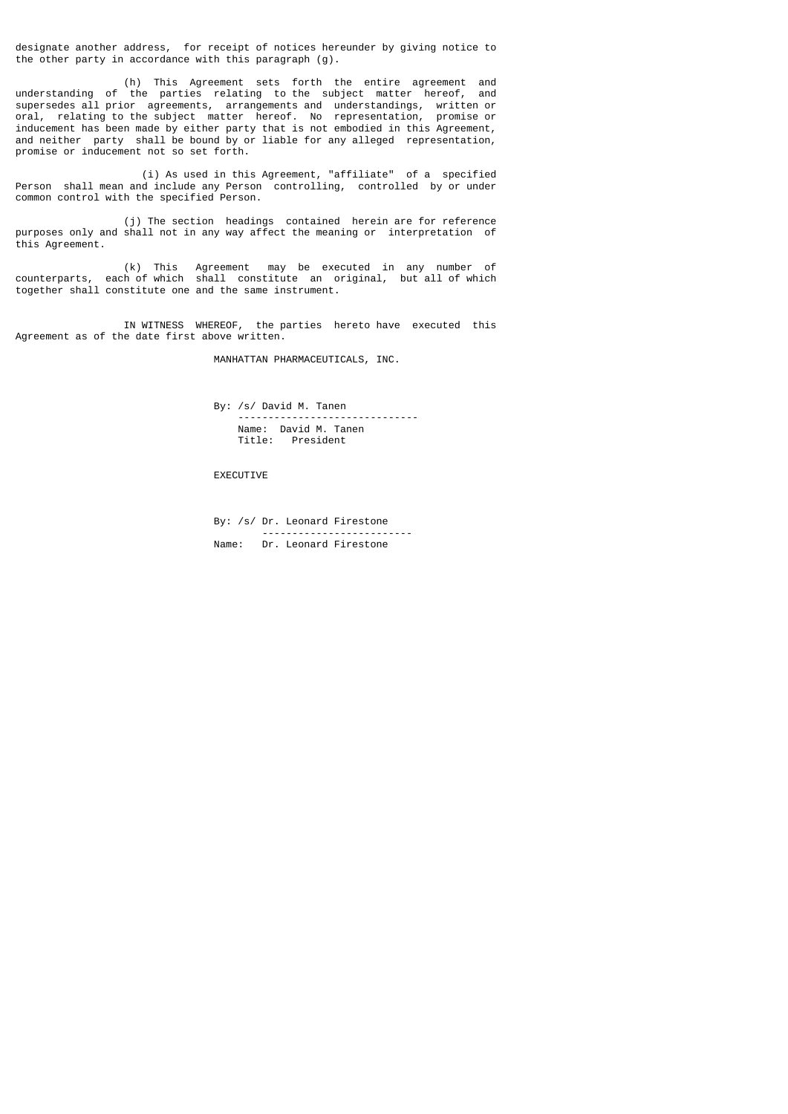designate another address, for receipt of notices hereunder by giving notice to the other party in accordance with this paragraph (g).

 (h) This Agreement sets forth the entire agreement and understanding of the parties relating to the subject matter hereof, and supersedes all prior agreements, arrangements and understandings, written or oral, relating to the subject matter hereof. No representation, promise or inducement has been made by either party that is not embodied in this Agreement, and neither party shall be bound by or liable for any alleged representation, promise or inducement not so set forth.

 (i) As used in this Agreement, "affiliate" of a specified Person shall mean and include any Person controlling, controlled by or under common control with the specified Person.

 (j) The section headings contained herein are for reference purposes only and shall not in any way affect the meaning or interpretation of this Agreement.

 (k) This Agreement may be executed in any number of counterparts, each of which shall constitute an original, but all of which together shall constitute one and the same instrument.

 IN WITNESS WHEREOF, the parties hereto have executed this Agreement as of the date first above written.

MANHATTAN PHARMACEUTICALS, INC.

 By: /s/ David M. Tanen ------------------------------ Name: David M. Tanen Title: President

EXECUTIVE

 By: /s/ Dr. Leonard Firestone -------------------------<br>Name: Dr. Leonard Firestone Dr. Leonard Firestone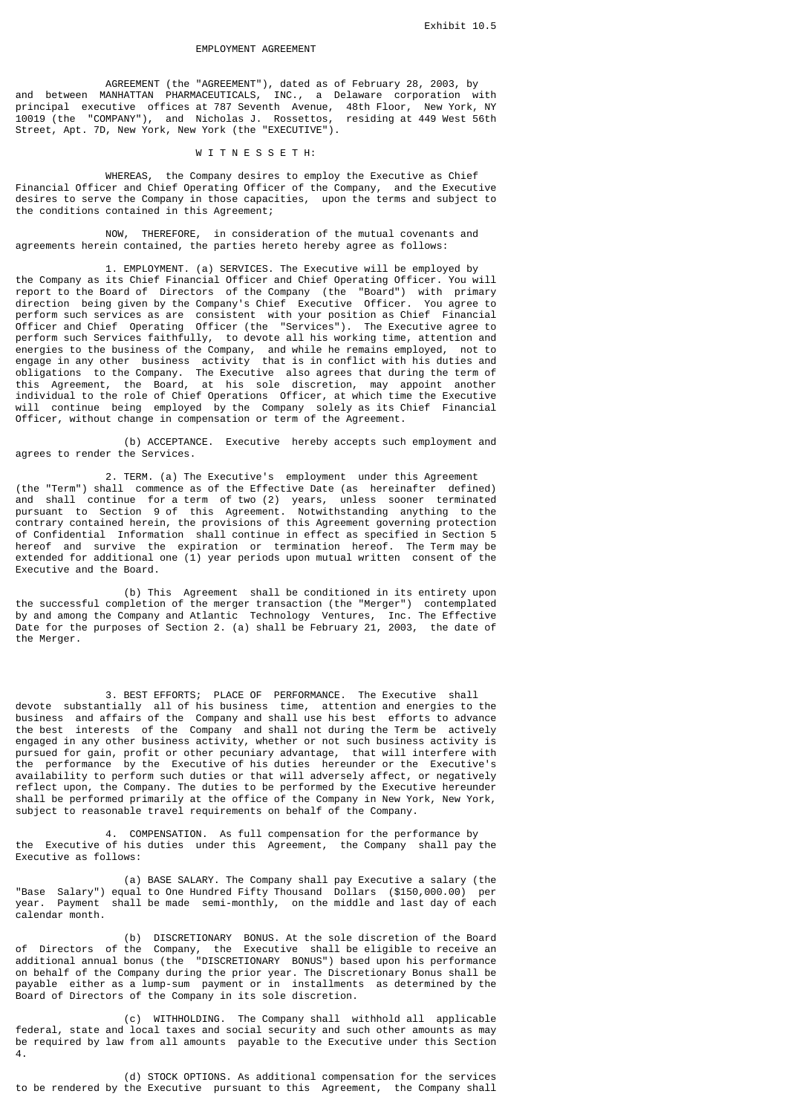## EMPLOYMENT AGREEMENT

 AGREEMENT (the "AGREEMENT"), dated as of February 28, 2003, by and between MANHATTAN PHARMACEUTICALS, INC., a Delaware corporation with principal executive offices at 787 Seventh Avenue, 48th Floor, New York, NY 10019 (the "COMPANY"), and Nicholas J. Rossettos, residing at 449 West 56th Street, Apt. 7D, New York, New York (the "EXECUTIVE").

## W I T N E S S E T H:

 WHEREAS, the Company desires to employ the Executive as Chief Financial Officer and Chief Operating Officer of the Company, and the Executive desires to serve the Company in those capacities, upon the terms and subject to the conditions contained in this Agreement;

 NOW, THEREFORE, in consideration of the mutual covenants and agreements herein contained, the parties hereto hereby agree as follows:

 1. EMPLOYMENT. (a) SERVICES. The Executive will be employed by the Company as its Chief Financial Officer and Chief Operating Officer. You will report to the Board of Directors of the Company (the "Board") with primary direction being given by the Company's Chief Executive Officer. You agree to perform such services as are consistent with your position as Chief Financial Officer and Chief Operating Officer (the "Services"). The Executive agree to perform such Services faithfully, to devote all his working time, attention and energies to the business of the Company, and while he remains employed, not to engage in any other business activity that is in conflict with his duties and obligations to the Company. The Executive also agrees that during the term of this Agreement, the Board, at his sole discretion, may appoint another individual to the role of Chief Operations Officer, at which time the Executive will continue being employed by the Company solely as its Chief Financial Officer, without change in compensation or term of the Agreement.

 (b) ACCEPTANCE. Executive hereby accepts such employment and agrees to render the Services.

 2. TERM. (a) The Executive's employment under this Agreement (the "Term") shall commence as of the Effective Date (as hereinafter defined) and shall continue for a term of two (2) years, unless sooner terminated pursuant to Section 9 of this Agreement. Notwithstanding anything to the contrary contained herein, the provisions of this Agreement governing protection of Confidential Information shall continue in effect as specified in Section 5 hereof and survive the expiration or termination hereof. The Term may be extended for additional one (1) year periods upon mutual written consent of the Executive and the Board.

 (b) This Agreement shall be conditioned in its entirety upon the successful completion of the merger transaction (the "Merger") contemplated by and among the Company and Atlantic Technology Ventures, Inc. The Effective Date for the purposes of Section 2. (a) shall be February 21, 2003, the date of the Merger.

 3. BEST EFFORTS; PLACE OF PERFORMANCE. The Executive shall devote substantially all of his business time, attention and energies to the business and affairs of the Company and shall use his best efforts to advance the best interests of the Company and shall not during the Term be actively engaged in any other business activity, whether or not such business activity is pursued for gain, profit or other pecuniary advantage, that will interfere with the performance by the Executive of his duties hereunder or the Executive's availability to perform such duties or that will adversely affect, or negatively reflect upon, the Company. The duties to be performed by the Executive hereunder shall be performed primarily at the office of the Company in New York, New York, subject to reasonable travel requirements on behalf of the Company.

 4. COMPENSATION. As full compensation for the performance by the Executive of his duties under this Agreement, the Company shall pay the Executive as follows:

 (a) BASE SALARY. The Company shall pay Executive a salary (the "Base Salary") equal to One Hundred Fifty Thousand Dollars (\$150,000.00) per year. Payment shall be made semi-monthly, on the middle and last day of each calendar month.

 (b) DISCRETIONARY BONUS. At the sole discretion of the Board of Directors of the Company, the Executive shall be eligible to receive an additional annual bonus (the "DISCRETIONARY BONUS") based upon his performance on behalf of the Company during the prior year. The Discretionary Bonus shall be payable either as a lump-sum payment or in installments as determined by the Board of Directors of the Company in its sole discretion.

 (c) WITHHOLDING. The Company shall withhold all applicable federal, state and local taxes and social security and such other amounts as may be required by law from all amounts payable to the Executive under this Section 4.

 (d) STOCK OPTIONS. As additional compensation for the services to be rendered by the Executive pursuant to this Agreement, the Company shall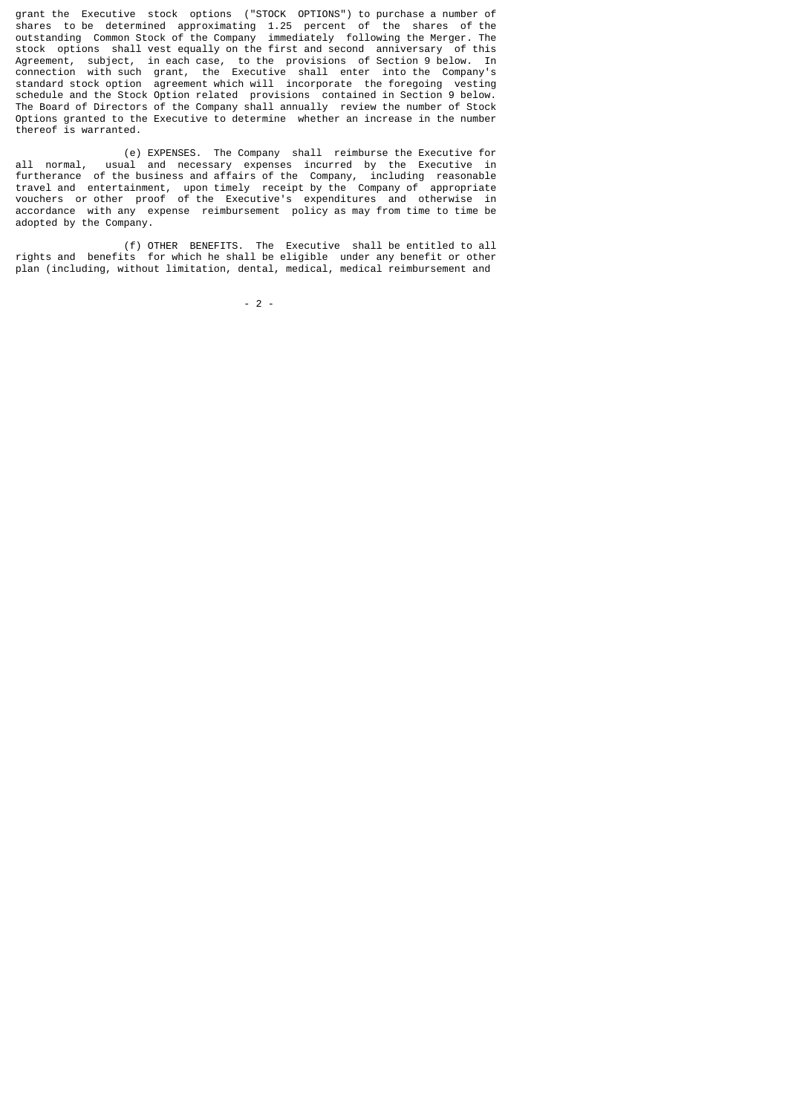grant the Executive stock options ("STOCK OPTIONS") to purchase a number of shares to be determined approximating 1.25 percent of the shares of the outstanding Common Stock of the Company immediately following the Merger. The stock options shall vest equally on the first and second anniversary of this Agreement, subject, in each case, to the provisions of Section 9 below. In connection with such grant, the Executive shall enter into the Company's standard stock option agreement which will incorporate the foregoing vesting schedule and the Stock Option related provisions contained in Section 9 below. The Board of Directors of the Company shall annually review the number of Stock Options granted to the Executive to determine whether an increase in the number thereof is warranted.

 (e) EXPENSES. The Company shall reimburse the Executive for all normal, usual and necessary expenses incurred by the Executive in furtherance of the business and affairs of the Company, including reasonable travel and entertainment, upon timely receipt by the Company of appropriate vouchers or other proof of the Executive's expenditures and otherwise in accordance with any expense reimbursement policy as may from time to time be adopted by the Company.

 (f) OTHER BENEFITS. The Executive shall be entitled to all rights and benefits for which he shall be eligible under any benefit or other plan (including, without limitation, dental, medical, medical reimbursement and

 $-2$  -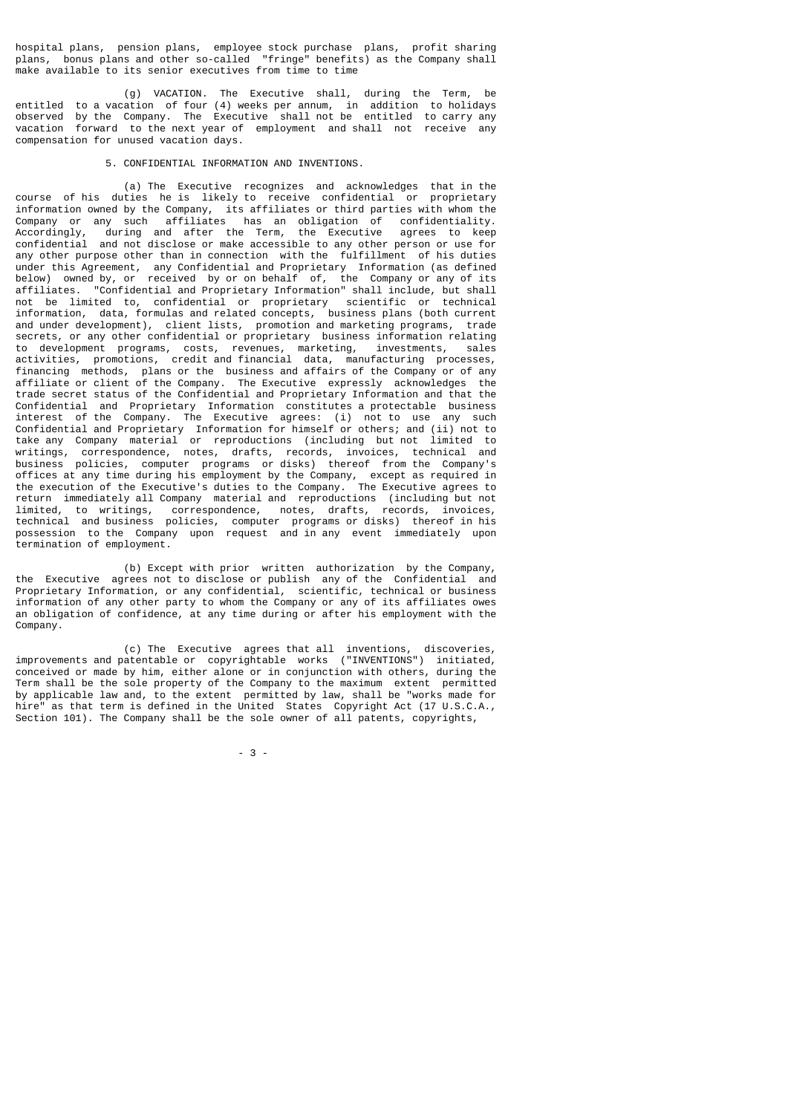hospital plans, pension plans, employee stock purchase plans, profit sharing plans, bonus plans and other so-called "fringe" benefits) as the Company shall make available to its senior executives from time to time

 (g) VACATION. The Executive shall, during the Term, be entitled to a vacation of four (4) weeks per annum, in addition to holidays observed by the Company. The Executive shall not be entitled to carry any vacation forward to the next year of employment and shall not receive any compensation for unused vacation days.

# 5. CONFIDENTIAL INFORMATION AND INVENTIONS.

 (a) The Executive recognizes and acknowledges that in the course of his duties he is likely to receive confidential or proprietary information owned by the Company, its affiliates or third parties with whom the Company or any such affiliates has an obligation of confidentiality. Accordingly, during and after the Term, the Executive agrees to keep confidential and not disclose or make accessible to any other person or use for any other purpose other than in connection with the fulfillment of his duties under this Agreement, any Confidential and Proprietary Information (as defined below) owned by, or received by or on behalf of, the Company or any of its affiliates. "Confidential and Proprietary Information" shall include, but shall not be limited to, confidential or proprietary scientific or technical information, data, formulas and related concepts, business plans (both current and under development), client lists, promotion and marketing programs, trade secrets, or any other confidential or proprietary business information relating to development programs, costs, revenues, marketing, investments, sales activities, promotions, credit and financial data, manufacturing processes, financing methods, plans or the business and affairs of the Company or of any affiliate or client of the Company. The Executive expressly acknowledges the trade secret status of the Confidential and Proprietary Information and that the Confidential and Proprietary Information constitutes a protectable business interest of the Company. The Executive agrees: (i) not to use any such Confidential and Proprietary Information for himself or others; and (ii) not to take any Company material or reproductions (including but not limited to writings, correspondence, notes, drafts, records, invoices, technical and business policies, computer programs or disks) thereof from the Company's offices at any time during his employment by the Company, except as required in the execution of the Executive's duties to the Company. The Executive agrees to return immediately all Company material and reproductions (including but not limited, to writings, correspondence, notes, drafts, records, invoices, technical and business policies, computer programs or disks) thereof in his possession to the Company upon request and in any event immediately upon termination of employment.

 (b) Except with prior written authorization by the Company, the Executive agrees not to disclose or publish any of the Confidential and Proprietary Information, or any confidential, scientific, technical or business information of any other party to whom the Company or any of its affiliates owes an obligation of confidence, at any time during or after his employment with the Company.

 (c) The Executive agrees that all inventions, discoveries, improvements and patentable or copyrightable works ("INVENTIONS") initiated, conceived or made by him, either alone or in conjunction with others, during the Term shall be the sole property of the Company to the maximum extent permitted by applicable law and, to the extent permitted by law, shall be "works made for hire" as that term is defined in the United States Copyright Act (17 U.S.C.A., Section 101). The Company shall be the sole owner of all patents, copyrights,

 $-3$  -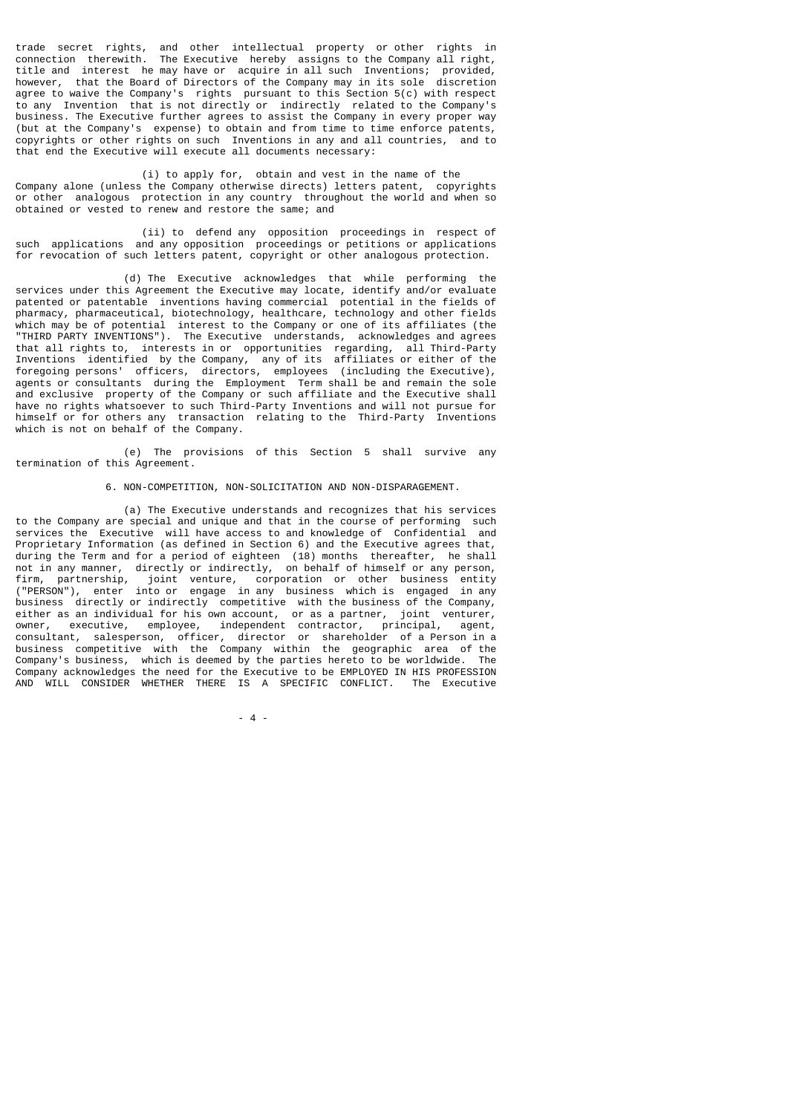trade secret rights, and other intellectual property or other rights in connection therewith. The Executive hereby assigns to the Company all right, title and interest he may have or acquire in all such Inventions; provided, however, that the Board of Directors of the Company may in its sole discretion agree to waive the Company's rights pursuant to this Section 5(c) with respect to any Invention that is not directly or indirectly related to the Company's business. The Executive further agrees to assist the Company in every proper way (but at the Company's expense) to obtain and from time to time enforce patents, copyrights or other rights on such Inventions in any and all countries, and to that end the Executive will execute all documents necessary:

 (i) to apply for, obtain and vest in the name of the Company alone (unless the Company otherwise directs) letters patent, copyrights or other analogous protection in any country throughout the world and when so obtained or vested to renew and restore the same; and

 (ii) to defend any opposition proceedings in respect of such applications and any opposition proceedings or petitions or applications for revocation of such letters patent, copyright or other analogous protection.

 (d) The Executive acknowledges that while performing the services under this Agreement the Executive may locate, identify and/or evaluate patented or patentable inventions having commercial potential in the fields of pharmacy, pharmaceutical, biotechnology, healthcare, technology and other fields which may be of potential interest to the Company or one of its affiliates (the "THIRD PARTY INVENTIONS"). The Executive understands, acknowledges and agrees that all rights to, interests in or opportunities regarding, all Third-Party Inventions identified by the Company, any of its affiliates or either of the foregoing persons' officers, directors, employees (including the Executive), agents or consultants during the Employment Term shall be and remain the sole and exclusive property of the Company or such affiliate and the Executive shall have no rights whatsoever to such Third-Party Inventions and will not pursue for himself or for others any transaction relating to the Third-Party Inventions which is not on behalf of the Company.

 (e) The provisions of this Section 5 shall survive any termination of this Agreement.

## 6. NON-COMPETITION, NON-SOLICITATION AND NON-DISPARAGEMENT.

 (a) The Executive understands and recognizes that his services to the Company are special and unique and that in the course of performing such services the Executive will have access to and knowledge of Confidential and Proprietary Information (as defined in Section 6) and the Executive agrees that, during the Term and for a period of eighteen (18) months thereafter, he shall not in any manner, directly or indirectly, on behalf of himself or any person, firm, partnership, joint venture, corporation or other business entity ("PERSON"), enter into or engage in any business which is engaged in any business directly or indirectly competitive with the business of the Company, either as an individual for his own account, or as a partner, joint venturer, owner, executive, employee, independent contractor, principal, agent, consultant, salesperson, officer, director or shareholder of a Person in a business competitive with the Company within the geographic area of the Company's business, which is deemed by the parties hereto to be worldwide. The Company acknowledges the need for the Executive to be EMPLOYED IN HIS PROFESSION AND WILL CONSIDER WHETHER THERE IS A SPECIFIC CONFLICT.

 $-4$  -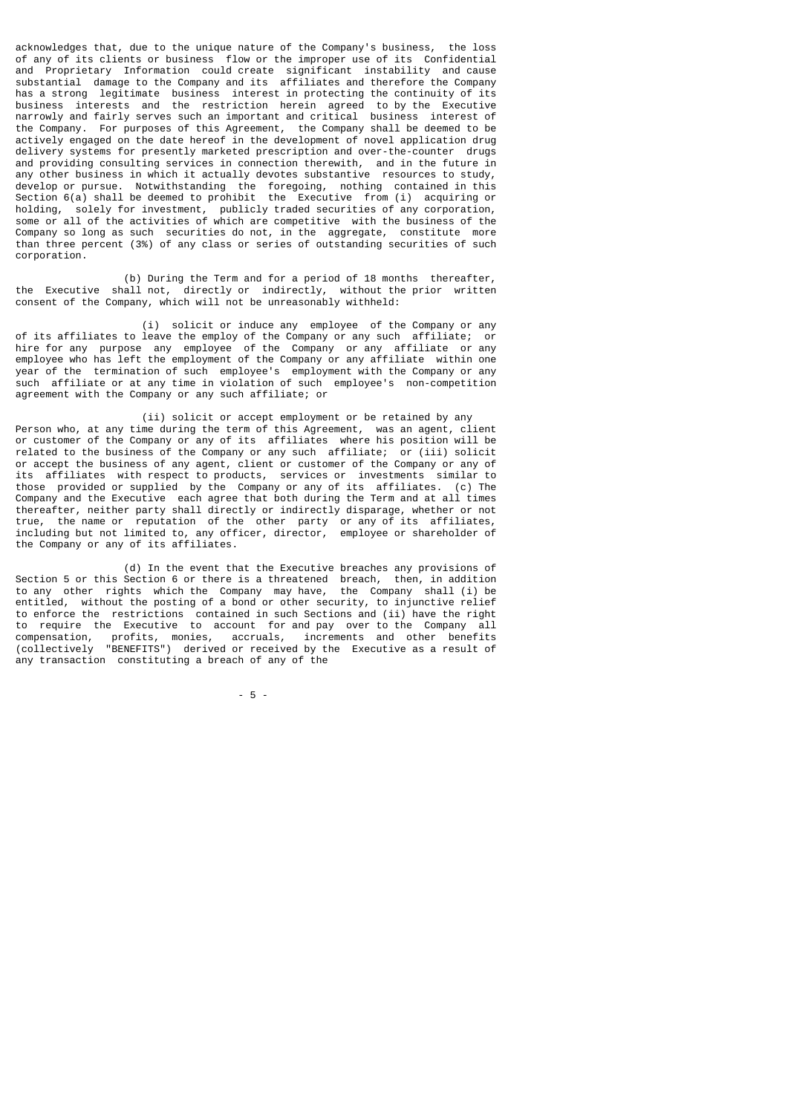acknowledges that, due to the unique nature of the Company's business, the loss of any of its clients or business flow or the improper use of its Confidential and Proprietary Information could create significant instability and cause substantial damage to the Company and its affiliates and therefore the Company has a strong legitimate business interest in protecting the continuity of its business interests and the restriction herein agreed to by the Executive narrowly and fairly serves such an important and critical business interest of the Company. For purposes of this Agreement, the Company shall be deemed to be actively engaged on the date hereof in the development of novel application drug delivery systems for presently marketed prescription and over-the-counter drugs and providing consulting services in connection therewith, and in the future in any other business in which it actually devotes substantive resources to study, develop or pursue. Notwithstanding the foregoing, nothing contained in this Section 6(a) shall be deemed to prohibit the Executive from (i) acquiring or holding, solely for investment, publicly traded securities of any corporation, some or all of the activities of which are competitive with the business of the Company so long as such securities do not, in the aggregate, constitute more than three percent (3%) of any class or series of outstanding securities of such corporation.

 (b) During the Term and for a period of 18 months thereafter, the Executive shall not, directly or indirectly, without the prior written consent of the Company, which will not be unreasonably withheld:

 (i) solicit or induce any employee of the Company or any of its affiliates to leave the employ of the Company or any such affiliate; or hire for any purpose any employee of the Company or any affiliate or any employee who has left the employment of the Company or any affiliate within one year of the termination of such employee's employment with the Company or any such affiliate or at any time in violation of such employee's non-competition agreement with the Company or any such affiliate; or

(ii) solicit or accept employment or be retained by any Person who, at any time during the term of this Agreement, was an agent, client or customer of the Company or any of its affiliates where his position will be related to the business of the Company or any such affiliate; or (iii) solicit or accept the business of any agent, client or customer of the Company or any of its affiliates with respect to products, services or investments similar to those provided or supplied by the Company or any of its affiliates. (c) The Company and the Executive each agree that both during the Term and at all times thereafter, neither party shall directly or indirectly disparage, whether or not true, the name or reputation of the other party or any of its affiliates, including but not limited to, any officer, director, employee or shareholder of the Company or any of its affiliates.

 (d) In the event that the Executive breaches any provisions of Section 5 or this Section 6 or there is a threatened breach, then, in addition to any other rights which the Company may have, the Company shall (i) be entitled, without the posting of a bond or other security, to injunctive relief to enforce the restrictions contained in such Sections and (ii) have the right to require the Executive to account for and pay over to the Company all compensation, profits, monies, accruals, increments and other benefits (collectively "BENEFITS") derived or received by the Executive as a result of any transaction constituting a breach of any of the

- 5 -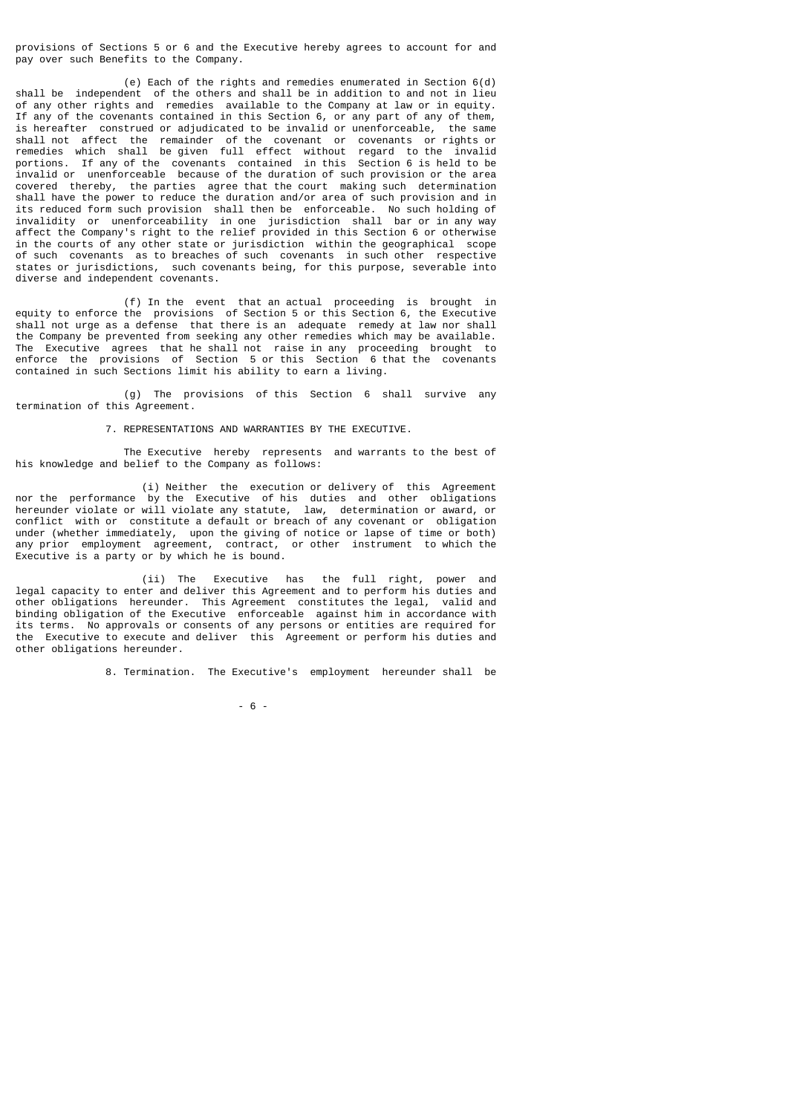provisions of Sections 5 or 6 and the Executive hereby agrees to account for and pay over such Benefits to the Company.

 (e) Each of the rights and remedies enumerated in Section 6(d) shall be independent of the others and shall be in addition to and not in lieu of any other rights and remedies available to the Company at law or in equity. If any of the covenants contained in this Section 6, or any part of any of them, is hereafter construed or adjudicated to be invalid or unenforceable, the same shall not affect the remainder of the covenant or covenants or rights or remedies which shall be given full effect without regard to the invalid portions. If any of the covenants contained in this Section 6 is held to be invalid or unenforceable because of the duration of such provision or the area covered thereby, the parties agree that the court making such determination shall have the power to reduce the duration and/or area of such provision and in its reduced form such provision shall then be enforceable. No such holding of invalidity or unenforceability in one jurisdiction shall bar or in any way affect the Company's right to the relief provided in this Section 6 or otherwise in the courts of any other state or jurisdiction within the geographical scope of such covenants as to breaches of such covenants in such other respective states or jurisdictions, such covenants being, for this purpose, severable into diverse and independent covenants.

 (f) In the event that an actual proceeding is brought in equity to enforce the provisions of Section 5 or this Section 6, the Executive shall not urge as a defense that there is an adequate remedy at law nor shall the Company be prevented from seeking any other remedies which may be available. The Executive agrees that he shall not raise in any proceeding brought to enforce the provisions of Section 5 or this Section 6 that the covenants contained in such Sections limit his ability to earn a living.

 (g) The provisions of this Section 6 shall survive any termination of this Agreement.

7. REPRESENTATIONS AND WARRANTIES BY THE EXECUTIVE.

 The Executive hereby represents and warrants to the best of his knowledge and belief to the Company as follows:

 (i) Neither the execution or delivery of this Agreement nor the performance by the Executive of his duties and other obligations hereunder violate or will violate any statute, law, determination or award, or conflict with or constitute a default or breach of any covenant or obligation under (whether immediately, upon the giving of notice or lapse of time or both) any prior employment agreement, contract, or other instrument to which the Executive is a party or by which he is bound.

 (ii) The Executive has the full right, power and legal capacity to enter and deliver this Agreement and to perform his duties and other obligations hereunder. This Agreement constitutes the legal, valid and binding obligation of the Executive enforceable against him in accordance with its terms. No approvals or consents of any persons or entities are required for the Executive to execute and deliver this Agreement or perform his duties and other obligations hereunder.

8. Termination. The Executive's employment hereunder shall be

 $- 6 - 6$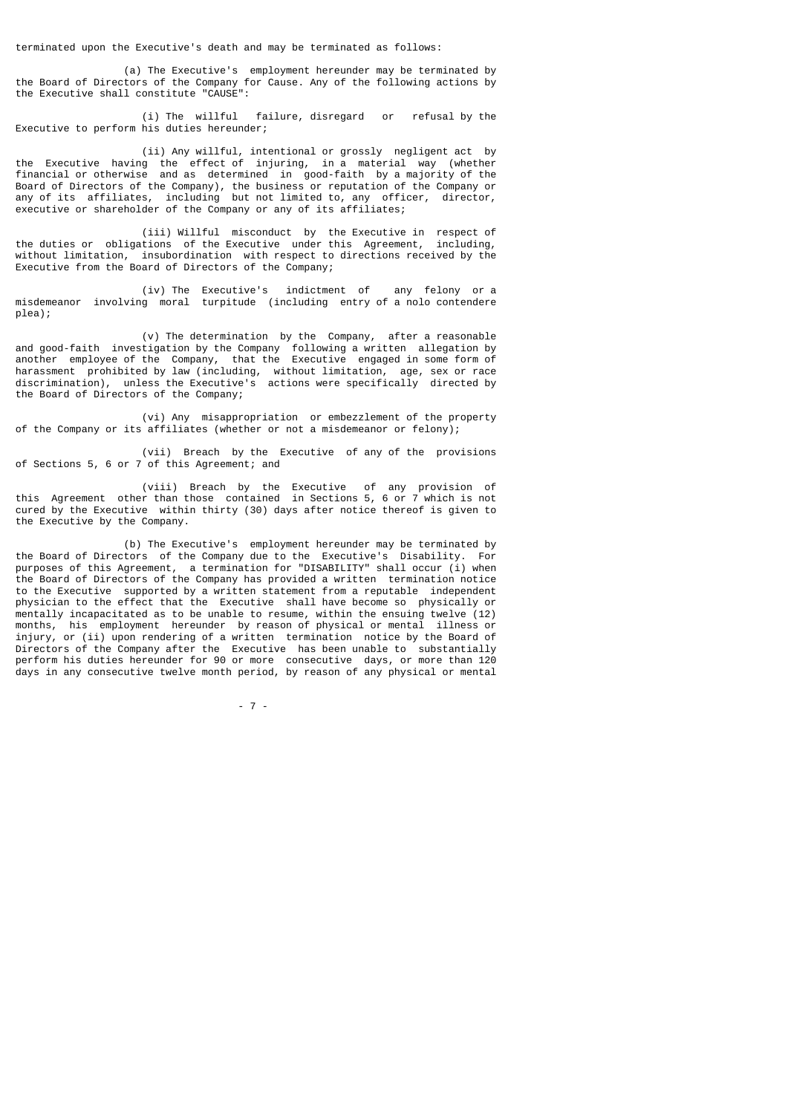terminated upon the Executive's death and may be terminated as follows:

 (a) The Executive's employment hereunder may be terminated by the Board of Directors of the Company for Cause. Any of the following actions by the Executive shall constitute "CAUSE":

 (i) The willful failure, disregard or refusal by the Executive to perform his duties hereunder;

 (ii) Any willful, intentional or grossly negligent act by the Executive having the effect of injuring, in a material way (whether financial or otherwise and as determined in good-faith by a majority of the Board of Directors of the Company), the business or reputation of the Company or any of its affiliates, including but not limited to, any officer, director, executive or shareholder of the Company or any of its affiliates;

 (iii) Willful misconduct by the Executive in respect of the duties or obligations of the Executive under this Agreement, including, without limitation, insubordination with respect to directions received by the Executive from the Board of Directors of the Company;

 (iv) The Executive's indictment of any felony or a misdemeanor involving moral turpitude (including entry of a nolo contendere plea);

 (v) The determination by the Company, after a reasonable and good-faith investigation by the Company following a written allegation by another employee of the Company, that the Executive engaged in some form of harassment prohibited by law (including, without limitation, age, sex or race discrimination), unless the Executive's actions were specifically directed by the Board of Directors of the Company;

 (vi) Any misappropriation or embezzlement of the property of the Company or its affiliates (whether or not a misdemeanor or felony);

 (vii) Breach by the Executive of any of the provisions of Sections 5, 6 or 7 of this Agreement; and

 (viii) Breach by the Executive of any provision of this Agreement other than those contained in Sections 5, 6 or 7 which is not cured by the Executive within thirty (30) days after notice thereof is given to the Executive by the Company.

 (b) The Executive's employment hereunder may be terminated by the Board of Directors of the Company due to the Executive's Disability. For purposes of this Agreement, a termination for "DISABILITY" shall occur (i) when the Board of Directors of the Company has provided a written termination notice to the Executive supported by a written statement from a reputable independent physician to the effect that the Executive shall have become so physically or mentally incapacitated as to be unable to resume, within the ensuing twelve (12) months, his employment hereunder by reason of physical or mental illness or injury, or (ii) upon rendering of a written termination notice by the Board of Directors of the Company after the Executive has been unable to substantially perform his duties hereunder for 90 or more consecutive days, or more than 120 days in any consecutive twelve month period, by reason of any physical or mental

- 7 -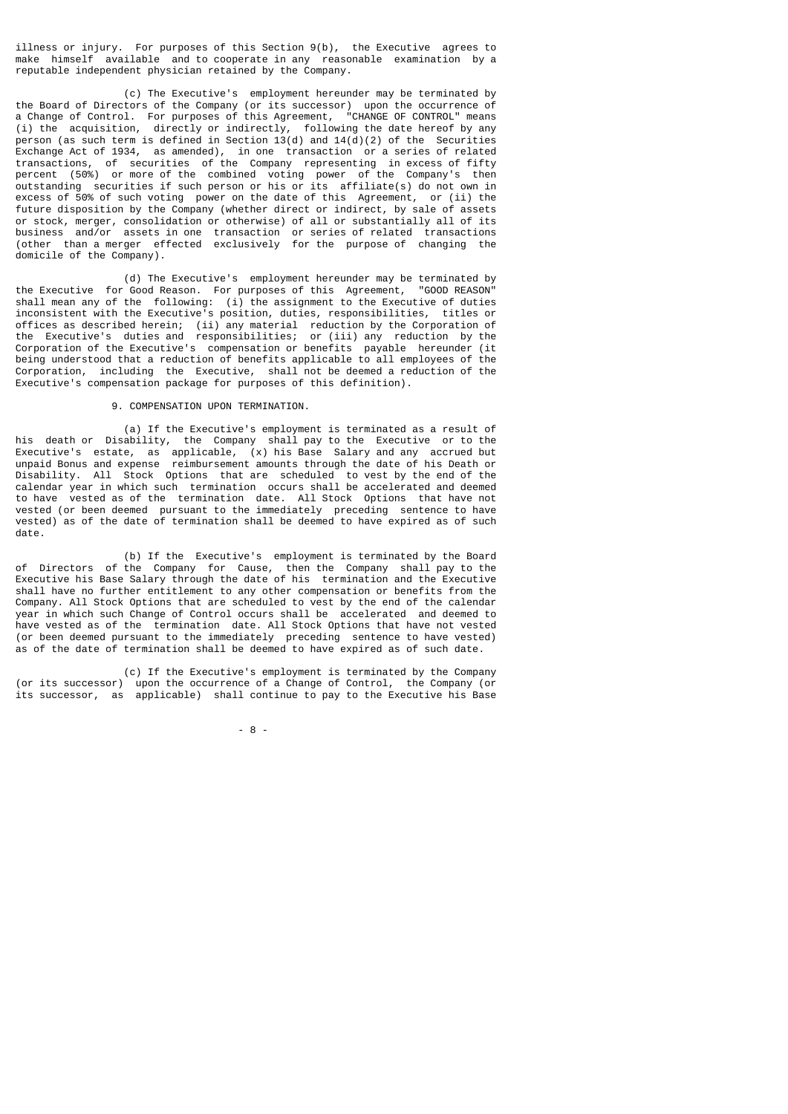illness or injury. For purposes of this Section 9(b), the Executive agrees to make himself available and to cooperate in any reasonable examination by a reputable independent physician retained by the Company.

 (c) The Executive's employment hereunder may be terminated by the Board of Directors of the Company (or its successor) upon the occurrence of a Change of Control. For purposes of this Agreement, "CHANGE OF CONTROL" means (i) the acquisition, directly or indirectly, following the date hereof by any person (as such term is defined in Section 13(d) and 14(d)(2) of the Securities Exchange Act of 1934, as amended), in one transaction or a series of related transactions, of securities of the Company representing in excess of fifty percent (50%) or more of the combined voting power of the Company's then outstanding securities if such person or his or its affiliate(s) do not own in excess of 50% of such voting power on the date of this Agreement, or (ii) the future disposition by the Company (whether direct or indirect, by sale of assets or stock, merger, consolidation or otherwise) of all or substantially all of its business and/or assets in one transaction or series of related transactions (other than a merger effected exclusively for the purpose of changing the domicile of the Company).

 (d) The Executive's employment hereunder may be terminated by the Executive for Good Reason. For purposes of this Agreement, "GOOD REASON" shall mean any of the following: (i) the assignment to the Executive of duties inconsistent with the Executive's position, duties, responsibilities, titles or offices as described herein; (ii) any material reduction by the Corporation of the Executive's duties and responsibilities; or (iii) any reduction by the Corporation of the Executive's compensation or benefits payable hereunder (it being understood that a reduction of benefits applicable to all employees of the Corporation, including the Executive, shall not be deemed a reduction of the Executive's compensation package for purposes of this definition).

## 9. COMPENSATION UPON TERMINATION.

 (a) If the Executive's employment is terminated as a result of his death or Disability, the Company shall pay to the Executive or to the Executive's estate, as applicable, (x) his Base Salary and any accrued but unpaid Bonus and expense reimbursement amounts through the date of his Death or Disability. All Stock Options that are scheduled to vest by the end of the calendar year in which such termination occurs shall be accelerated and deemed to have vested as of the termination date. All Stock Options that have not vested (or been deemed pursuant to the immediately preceding sentence to have vested) as of the date of termination shall be deemed to have expired as of such date.

 (b) If the Executive's employment is terminated by the Board of Directors of the Company for Cause, then the Company shall pay to the Executive his Base Salary through the date of his termination and the Executive shall have no further entitlement to any other compensation or benefits from the Company. All Stock Options that are scheduled to vest by the end of the calendar year in which such Change of Control occurs shall be accelerated and deemed to have vested as of the termination date. All Stock Options that have not vested (or been deemed pursuant to the immediately preceding sentence to have vested) as of the date of termination shall be deemed to have expired as of such date.

 (c) If the Executive's employment is terminated by the Company (or its successor) upon the occurrence of a Change of Control, the Company (or its successor, as applicable) shall continue to pay to the Executive his Base

 $-8$  -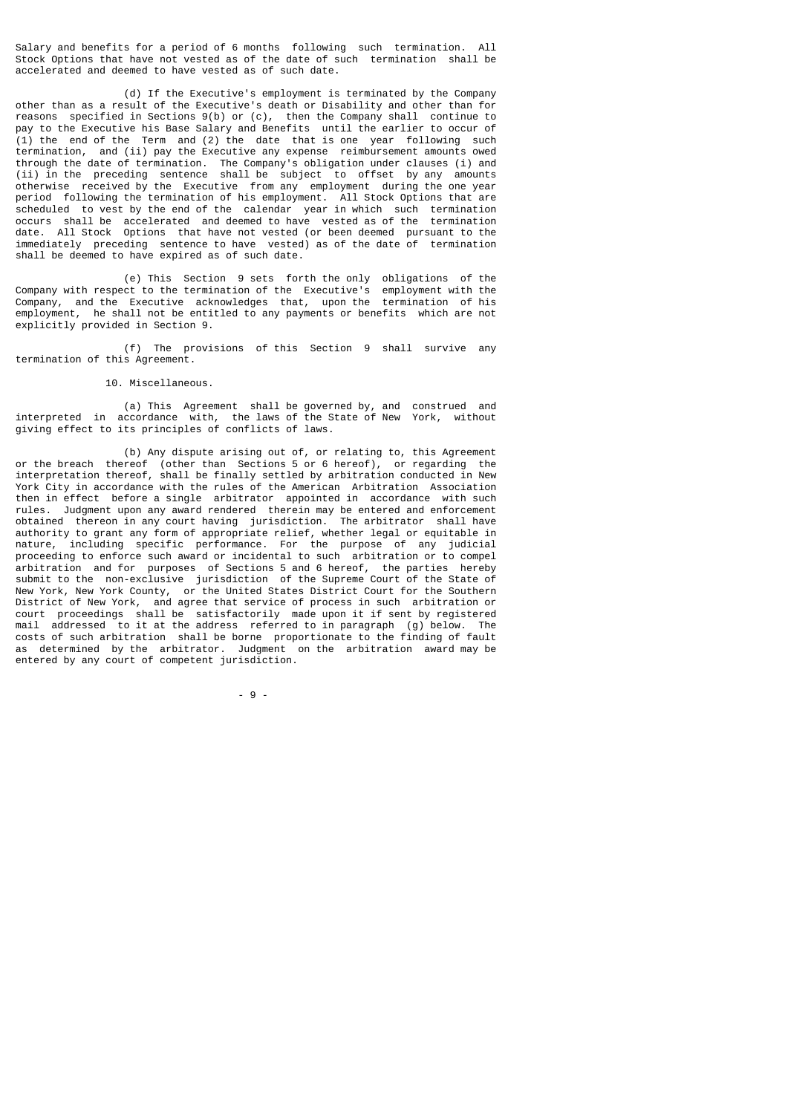Salary and benefits for a period of 6 months following such termination. All Stock Options that have not vested as of the date of such termination shall be accelerated and deemed to have vested as of such date.

 (d) If the Executive's employment is terminated by the Company other than as a result of the Executive's death or Disability and other than for reasons specified in Sections 9(b) or (c), then the Company shall continue to pay to the Executive his Base Salary and Benefits until the earlier to occur of (1) the end of the Term and (2) the date that is one year following such termination, and (ii) pay the Executive any expense reimbursement amounts owed through the date of termination. The Company's obligation under clauses (i) and (ii) in the preceding sentence shall be subject to offset by any amounts otherwise received by the Executive from any employment during the one year period following the termination of his employment. All Stock Options that are scheduled to vest by the end of the calendar year in which such termination occurs shall be accelerated and deemed to have vested as of the termination date. All Stock Options that have not vested (or been deemed pursuant to the immediately preceding sentence to have vested) as of the date of termination shall be deemed to have expired as of such date.

 (e) This Section 9 sets forth the only obligations of the Company with respect to the termination of the Executive's employment with the Company, and the Executive acknowledges that, upon the termination of his employment, he shall not be entitled to any payments or benefits which are not explicitly provided in Section 9.

 (f) The provisions of this Section 9 shall survive any termination of this Agreement.

### 10. Miscellaneous.

 (a) This Agreement shall be governed by, and construed and interpreted in accordance with, the laws of the State of New York, without giving effect to its principles of conflicts of laws.

 (b) Any dispute arising out of, or relating to, this Agreement or the breach thereof (other than Sections 5 or 6 hereof), or regarding the interpretation thereof, shall be finally settled by arbitration conducted in New York City in accordance with the rules of the American Arbitration Association then in effect before a single arbitrator appointed in accordance with such rules. Judgment upon any award rendered therein may be entered and enforcement obtained thereon in any court having jurisdiction. The arbitrator shall have authority to grant any form of appropriate relief, whether legal or equitable in nature, including specific performance. For the purpose of any judicial proceeding to enforce such award or incidental to such arbitration or to compel arbitration and for purposes of Sections 5 and 6 hereof, the parties hereby submit to the non-exclusive jurisdiction of the Supreme Court of the State of New York, New York County, or the United States District Court for the Southern District of New York, and agree that service of process in such arbitration or court proceedings shall be satisfactorily made upon it if sent by registered mail addressed to it at the address referred to in paragraph (g) below. The costs of such arbitration shall be borne proportionate to the finding of fault as determined by the arbitrator. Judgment on the arbitration award may be entered by any court of competent jurisdiction.

- 9 -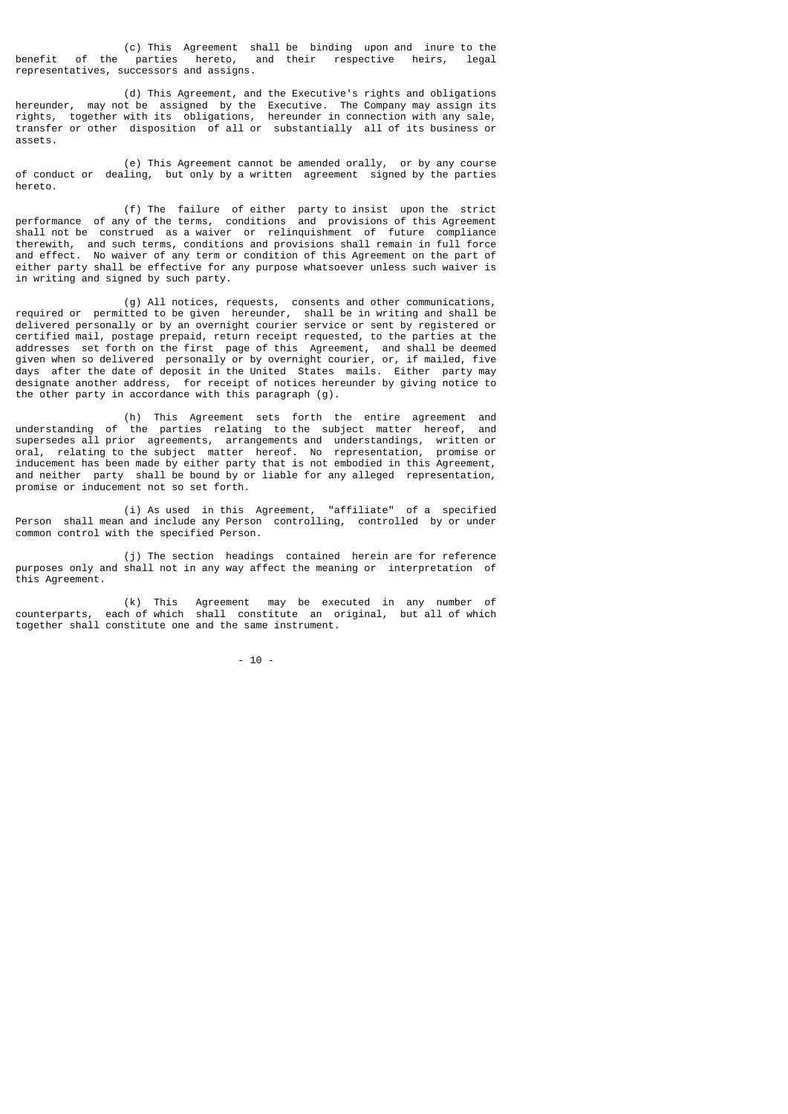(c) This Agreement shall be binding upon and inure to the<br>benefit of the parties hereto, and their respective heirs, legal parties hereto, and their respective heirs, representatives, successors and assigns.

 (d) This Agreement, and the Executive's rights and obligations hereunder, may not be assigned by the Executive. The Company may assign its rights, together with its obligations, hereunder in connection with any sale, transfer or other disposition of all or substantially all of its business or assets.

 (e) This Agreement cannot be amended orally, or by any course of conduct or dealing, but only by a written agreement signed by the parties hereto.

 (f) The failure of either party to insist upon the strict performance of any of the terms, conditions and provisions of this Agreement shall not be construed as a waiver or relinquishment of future compliance therewith, and such terms, conditions and provisions shall remain in full force and effect. No waiver of any term or condition of this Agreement on the part of either party shall be effective for any purpose whatsoever unless such waiver is in writing and signed by such party.

 (g) All notices, requests, consents and other communications, required or permitted to be given hereunder, shall be in writing and shall be delivered personally or by an overnight courier service or sent by registered or certified mail, postage prepaid, return receipt requested, to the parties at the addresses set forth on the first page of this Agreement, and shall be deemed given when so delivered personally or by overnight courier, or, if mailed, five days after the date of deposit in the United States mails. Either party may designate another address, for receipt of notices hereunder by giving notice to the other party in accordance with this paragraph (g).

 (h) This Agreement sets forth the entire agreement and understanding of the parties relating to the subject matter hereof, and supersedes all prior agreements, arrangements and understandings, written or<br>oral, relating to the subject matter hereof. No representation, promise or oral, relating to the subject matter hereof. No representation, inducement has been made by either party that is not embodied in this Agreement, and neither party shall be bound by or liable for any alleged representation, promise or inducement not so set forth.

 (i) As used in this Agreement, "affiliate" of a specified Person shall mean and include any Person controlling, controlled by or under common control with the specified Person.

 (j) The section headings contained herein are for reference purposes only and shall not in any way affect the meaning or interpretation of this Agreement.

 (k) This Agreement may be executed in any number of counterparts, each of which shall constitute an original, but all of which together shall constitute one and the same instrument.

 $-10 -$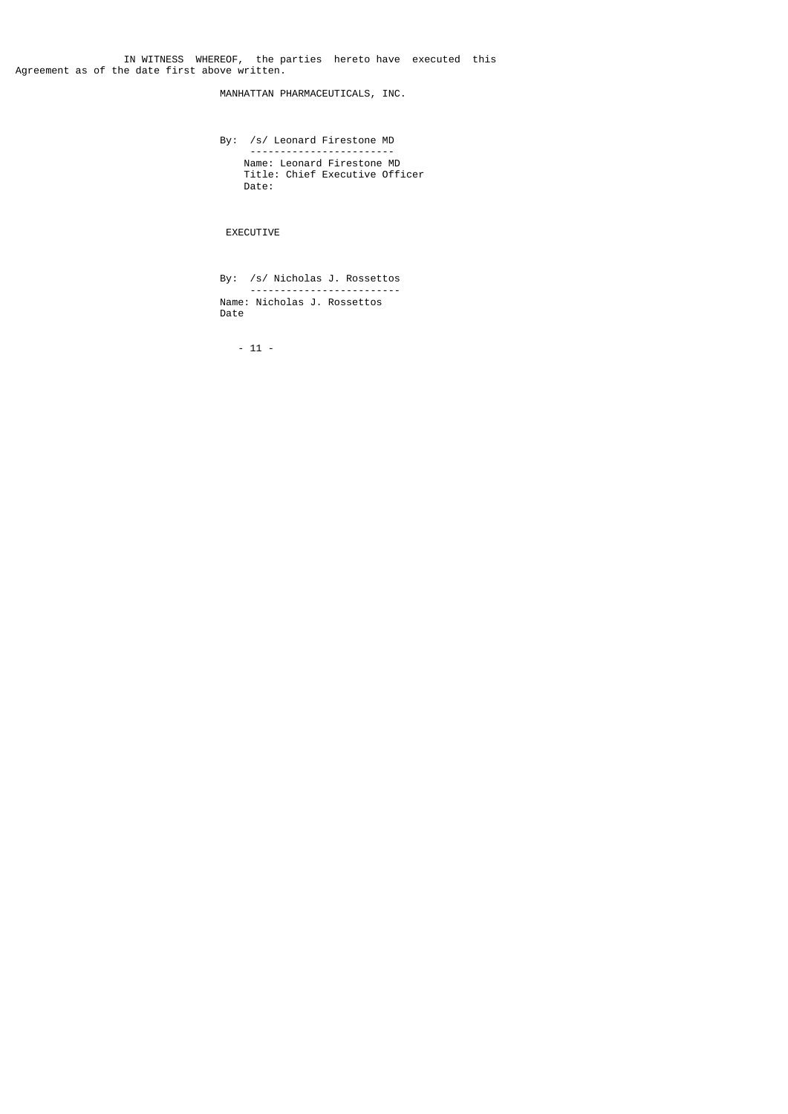IN WITNESS WHEREOF, the parties hereto have executed this Agreement as of the date first above written.

MANHATTAN PHARMACEUTICALS, INC.

 By: /s/ Leonard Firestone MD ------------------------ Name: Leonard Firestone MD Title: Chief Executive Officer Date:

EXECUTIVE

 By: /s/ Nicholas J. Rossettos ------------------------- Name: Nicholas J. Rossettos Date

 $-11 -$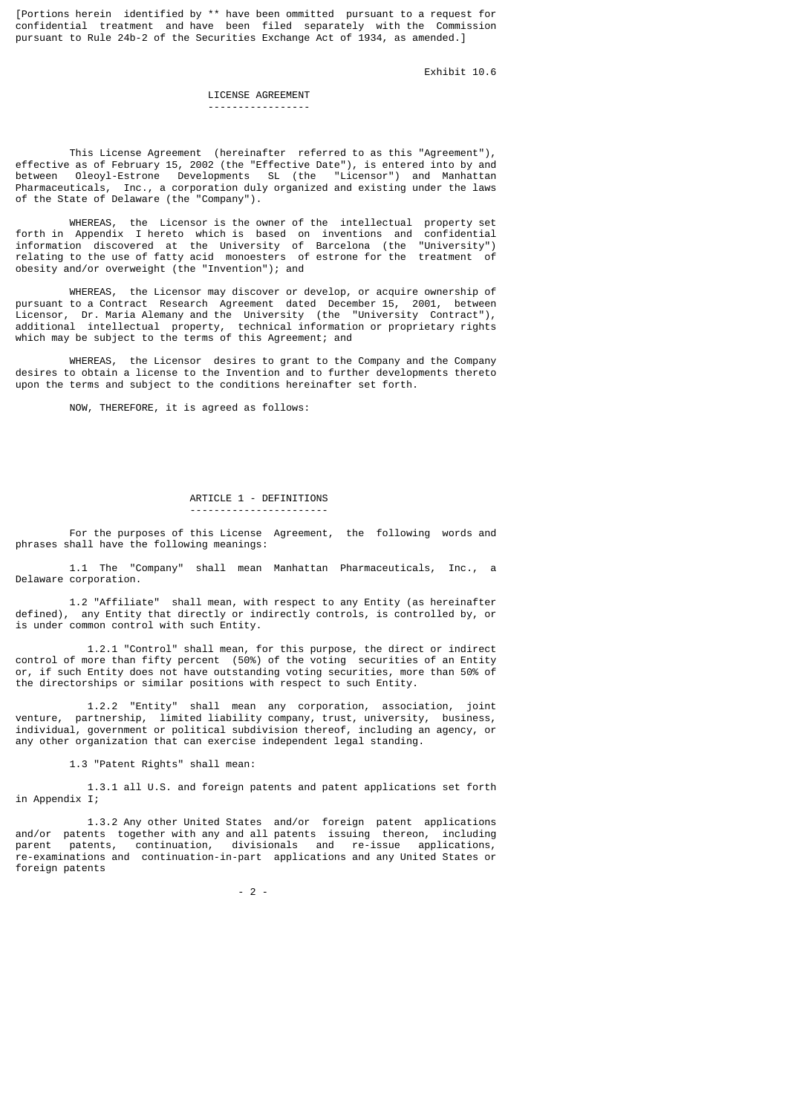[Portions herein identified by \*\* have been ommitted pursuant to a request for confidential treatment and have been filed separately with the Commission pursuant to Rule 24b-2 of the Securities Exchange Act of 1934, as amended.]

Exhibit 10.6

#### LICENSE AGREEMENT -----------------

 This License Agreement (hereinafter referred to as this "Agreement"), effective as of February 15, 2002 (the "Effective Date"), is entered into by and between Oleoyl-Estrone Developments SL (the "Licensor") and Manhattan Pharmaceuticals, Inc., a corporation duly organized and existing under the laws of the State of Delaware (the "Company").

 WHEREAS, the Licensor is the owner of the intellectual property set forth in Appendix I hereto which is based on inventions and confidential information discovered at the University of Barcelona (the "University") relating to the use of fatty acid monoesters of estrone for the treatment of obesity and/or overweight (the "Invention"); and

 WHEREAS, the Licensor may discover or develop, or acquire ownership of pursuant to a Contract Research Agreement dated December 15, 2001, between Licensor, Dr. Maria Alemany and the University (the "University Contract"), additional intellectual property, technical information or proprietary rights which may be subject to the terms of this Agreement; and

 WHEREAS, the Licensor desires to grant to the Company and the Company desires to obtain a license to the Invention and to further developments thereto upon the terms and subject to the conditions hereinafter set forth.

NOW, THEREFORE, it is agreed as follows:

#### ARTICLE 1 - DEFINITIONS -----------------------

 For the purposes of this License Agreement, the following words and phrases shall have the following meanings:

 1.1 The "Company" shall mean Manhattan Pharmaceuticals, Inc., a Delaware corporation.

 1.2 "Affiliate" shall mean, with respect to any Entity (as hereinafter defined), any Entity that directly or indirectly controls, is controlled by, or is under common control with such Entity.

 1.2.1 "Control" shall mean, for this purpose, the direct or indirect control of more than fifty percent (50%) of the voting securities of an Entity or, if such Entity does not have outstanding voting securities, more than 50% of the directorships or similar positions with respect to such Entity.

 1.2.2 "Entity" shall mean any corporation, association, joint venture, partnership, limited liability company, trust, university, business, individual, government or political subdivision thereof, including an agency, or any other organization that can exercise independent legal standing.

1.3 "Patent Rights" shall mean:

 1.3.1 all U.S. and foreign patents and patent applications set forth in Appendix I;

 1.3.2 Any other United States and/or foreign patent applications and/or patents together with any and all patents issuing thereon, including parent patents, continuation, divisionals and re-issue applications, re-examinations and continuation-in-part applications and any United States or foreign patents

 $-2$  -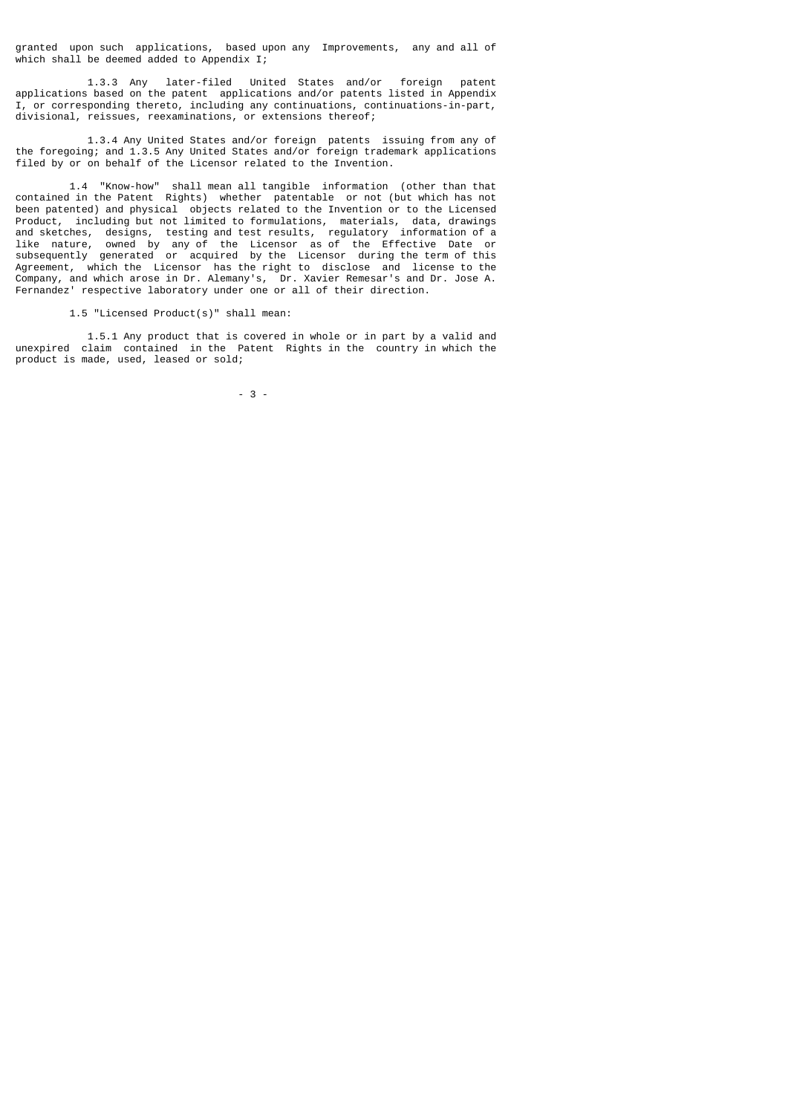granted upon such applications, based upon any Improvements, any and all of which shall be deemed added to Appendix I;

 1.3.3 Any later-filed United States and/or foreign patent applications based on the patent applications and/or patents listed in Appendix I, or corresponding thereto, including any continuations, continuations-in-part, divisional, reissues, reexaminations, or extensions thereof;

 1.3.4 Any United States and/or foreign patents issuing from any of the foregoing; and 1.3.5 Any United States and/or foreign trademark applications filed by or on behalf of the Licensor related to the Invention.

 1.4 "Know-how" shall mean all tangible information (other than that contained in the Patent Rights) whether patentable or not (but which has not been patented) and physical objects related to the Invention or to the Licensed Product, including but not limited to formulations, materials, data, drawings and sketches, designs, testing and test results, regulatory information of a like nature, owned by any of the Licensor as of the Effective Date or subsequently generated or acquired by the Licensor during the term of this Agreement, which the Licensor has the right to disclose and license to the Company, and which arose in Dr. Alemany's, Dr. Xavier Remesar's and Dr. Jose A. Fernandez' respective laboratory under one or all of their direction.

1.5 "Licensed Product(s)" shall mean:

 1.5.1 Any product that is covered in whole or in part by a valid and unexpired claim contained in the Patent Rights in the country in which the product is made, used, leased or sold;

- 3 -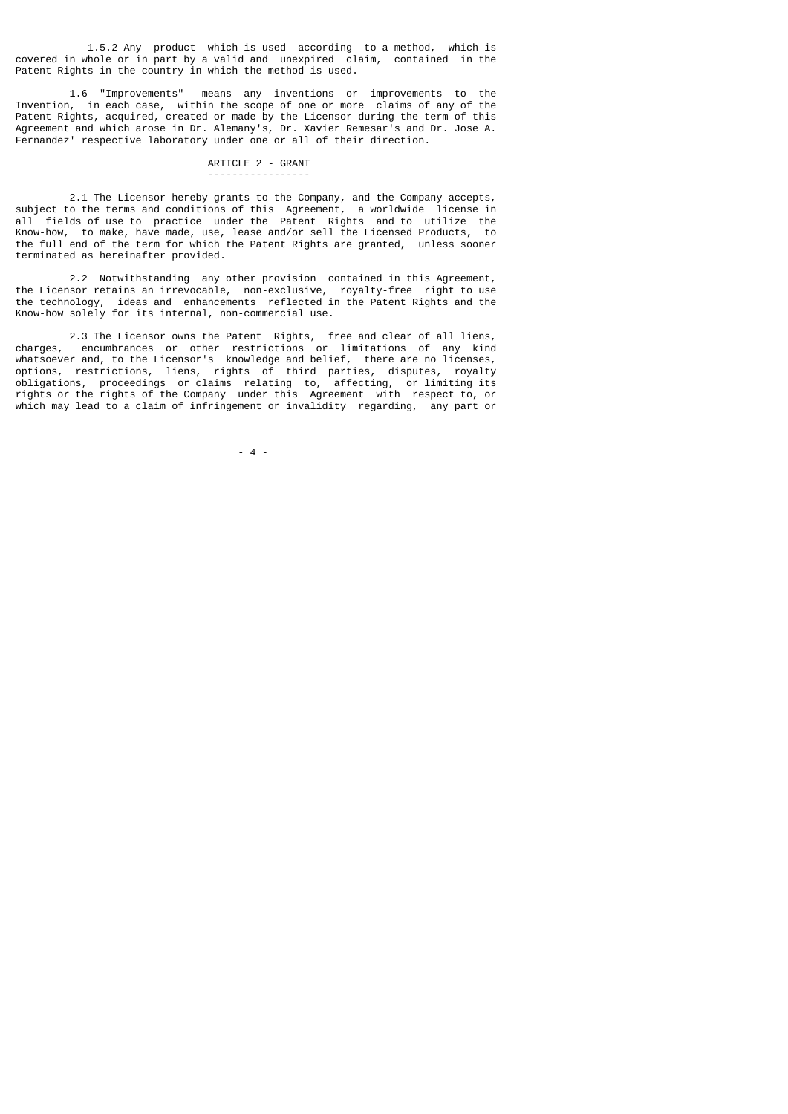1.5.2 Any product which is used according to a method, which is covered in whole or in part by a valid and unexpired claim, contained in the Patent Rights in the country in which the method is used.

 1.6 "Improvements" means any inventions or improvements to the Invention, in each case, within the scope of one or more claims of any of the Patent Rights, acquired, created or made by the Licensor during the term of this Agreement and which arose in Dr. Alemany's, Dr. Xavier Remesar's and Dr. Jose A. Fernandez' respective laboratory under one or all of their direction.

## ARTICLE 2 - GRANT -----------------

 2.1 The Licensor hereby grants to the Company, and the Company accepts, subject to the terms and conditions of this Agreement, a worldwide license in all fields of use to practice under the Patent Rights and to utilize the Know-how, to make, have made, use, lease and/or sell the Licensed Products, to the full end of the term for which the Patent Rights are granted, unless sooner terminated as hereinafter provided.

 2.2 Notwithstanding any other provision contained in this Agreement, the Licensor retains an irrevocable, non-exclusive, royalty-free right to use the technology, ideas and enhancements reflected in the Patent Rights and the Know-how solely for its internal, non-commercial use.

 2.3 The Licensor owns the Patent Rights, free and clear of all liens, charges, encumbrances or other restrictions or limitations of any kind whatsoever and, to the Licensor's knowledge and belief, there are no licenses, options, restrictions, liens, rights of third parties, disputes, royalty obligations, proceedings or claims relating to, affecting, or limiting its rights or the rights of the Company under this Agreement with respect to, or which may lead to a claim of infringement or invalidity regarding, any part or

 $-4$  -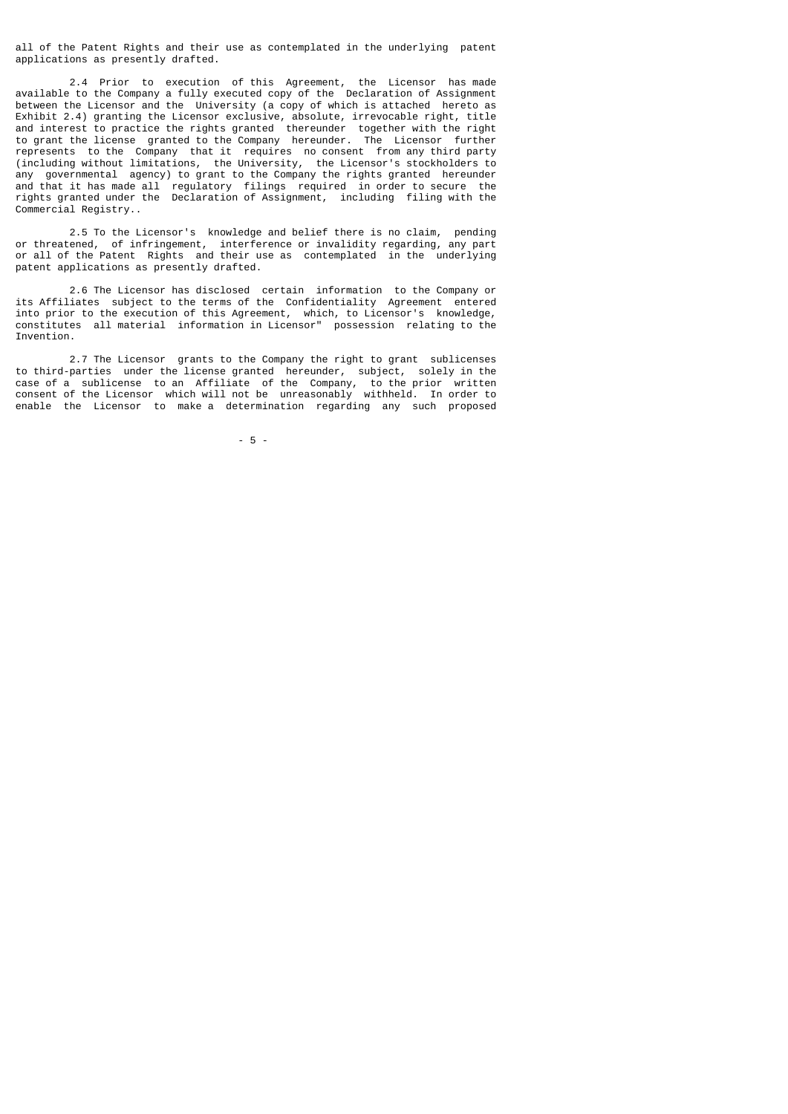all of the Patent Rights and their use as contemplated in the underlying patent applications as presently drafted.

 2.4 Prior to execution of this Agreement, the Licensor has made available to the Company a fully executed copy of the Declaration of Assignment between the Licensor and the University (a copy of which is attached hereto as Exhibit 2.4) granting the Licensor exclusive, absolute, irrevocable right, title and interest to practice the rights granted thereunder together with the right to grant the license granted to the Company hereunder. The Licensor further represents to the Company that it requires no consent from any third party (including without limitations, the University, the Licensor's stockholders to any governmental agency) to grant to the Company the rights granted hereunder and that it has made all regulatory filings required in order to secure the rights granted under the Declaration of Assignment, including filing with the Commercial Registry..

 2.5 To the Licensor's knowledge and belief there is no claim, pending or threatened, of infringement, interference or invalidity regarding, any part or all of the Patent Rights and their use as contemplated in the underlying patent applications as presently drafted.

 2.6 The Licensor has disclosed certain information to the Company or its Affiliates subject to the terms of the Confidentiality Agreement entered into prior to the execution of this Agreement, which, to Licensor's knowledge, constitutes all material information in Licensor" possession relating to the Invention.

 2.7 The Licensor grants to the Company the right to grant sublicenses to third-parties under the license granted hereunder, subject, solely in the case of a sublicense to an Affiliate of the Company, to the prior written consent of the Licensor which will not be unreasonably withheld. In order to enable the Licensor to make a determination regarding any such proposed

- 5 -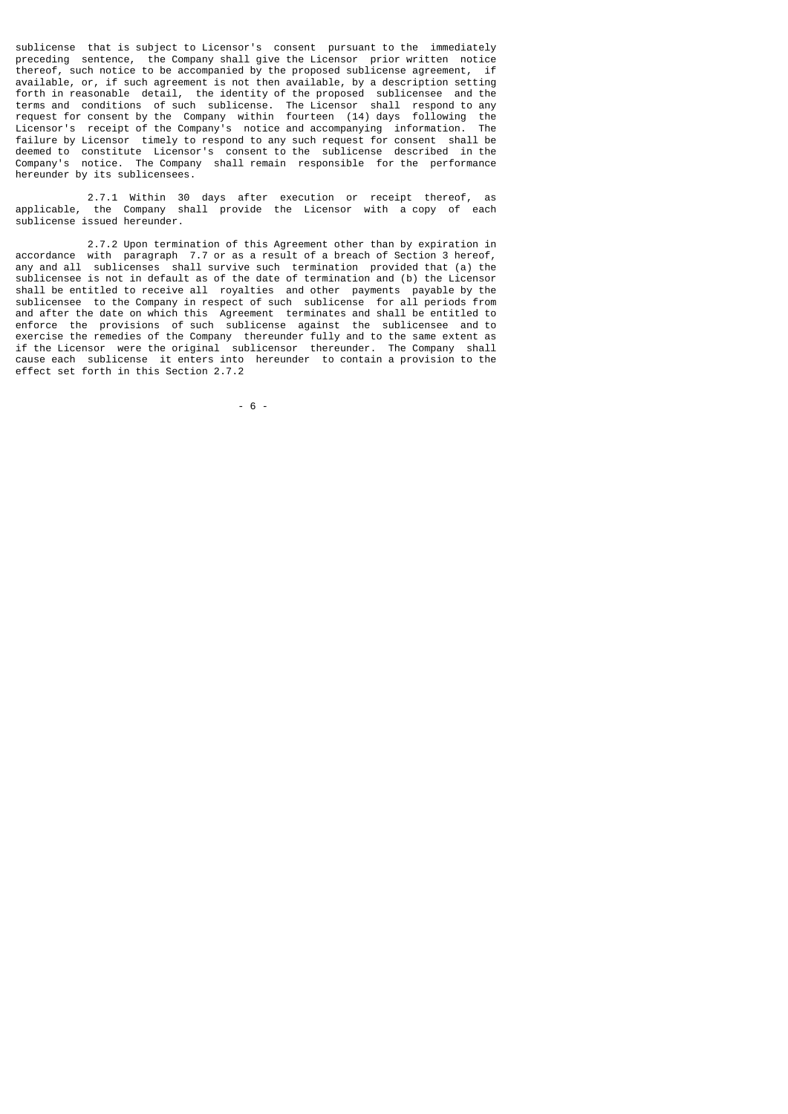sublicense that is subject to Licensor's consent pursuant to the immediately preceding sentence, the Company shall give the Licensor prior written notice thereof, such notice to be accompanied by the proposed sublicense agreement, if available, or, if such agreement is not then available, by a description setting forth in reasonable detail, the identity of the proposed sublicensee and the terms and conditions of such sublicense. The Licensor shall respond to any request for consent by the Company within fourteen (14) days following the Licensor's receipt of the Company's notice and accompanying information. The failure by Licensor timely to respond to any such request for consent shall be deemed to constitute Licensor's consent to the sublicense described in the Company's notice. The Company shall remain responsible for the performance hereunder by its sublicensees.

 2.7.1 Within 30 days after execution or receipt thereof, as applicable, the Company shall provide the Licensor with a copy of each sublicense issued hereunder.

 2.7.2 Upon termination of this Agreement other than by expiration in accordance with paragraph 7.7 or as a result of a breach of Section 3 hereof, any and all sublicenses shall survive such termination provided that (a) the sublicensee is not in default as of the date of termination and (b) the Licensor shall be entitled to receive all royalties and other payments payable by the sublicensee to the Company in respect of such sublicense for all periods from and after the date on which this Agreement terminates and shall be entitled to enforce the provisions of such sublicense against the sublicensee and to exercise the remedies of the Company thereunder fully and to the same extent as if the Licensor were the original sublicensor thereunder. The Company shall cause each sublicense it enters into hereunder to contain a provision to the effect set forth in this Section 2.7.2

 $- 6 - 6$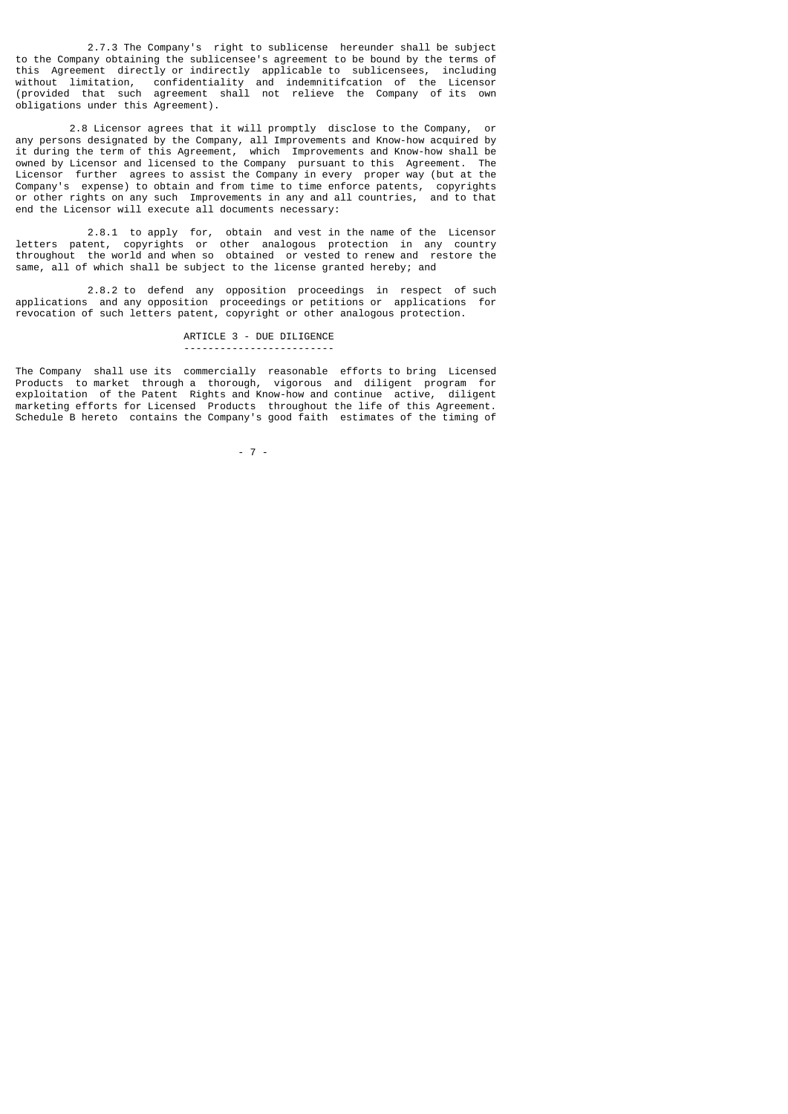2.7.3 The Company's right to sublicense hereunder shall be subject to the Company obtaining the sublicensee's agreement to be bound by the terms of this Agreement directly or indirectly applicable to sublicensees, including without limitation, confidentiality and indemnitifcation of the Licensor (provided that such agreement shall not relieve the Company of its own obligations under this Agreement).

 2.8 Licensor agrees that it will promptly disclose to the Company, or any persons designated by the Company, all Improvements and Know-how acquired by it during the term of this Agreement, which Improvements and Know-how shall be owned by Licensor and licensed to the Company pursuant to this Agreement. The Licensor further agrees to assist the Company in every proper way (but at the Company's expense) to obtain and from time to time enforce patents, copyrights or other rights on any such Improvements in any and all countries, and to that end the Licensor will execute all documents necessary:

 2.8.1 to apply for, obtain and vest in the name of the Licensor letters patent, copyrights or other analogous protection in any country throughout the world and when so obtained or vested to renew and restore the same, all of which shall be subject to the license granted hereby; and

 2.8.2 to defend any opposition proceedings in respect of such applications and any opposition proceedings or petitions or applications for revocation of such letters patent, copyright or other analogous protection.

### ARTICLE 3 - DUE DILIGENCE -------------------------

The Company shall use its commercially reasonable efforts to bring Licensed Products to market through a thorough, vigorous and diligent program for exploitation of the Patent Rights and Know-how and continue active, diligent marketing efforts for Licensed Products throughout the life of this Agreement. Schedule B hereto contains the Company's good faith estimates of the timing of

- 7 -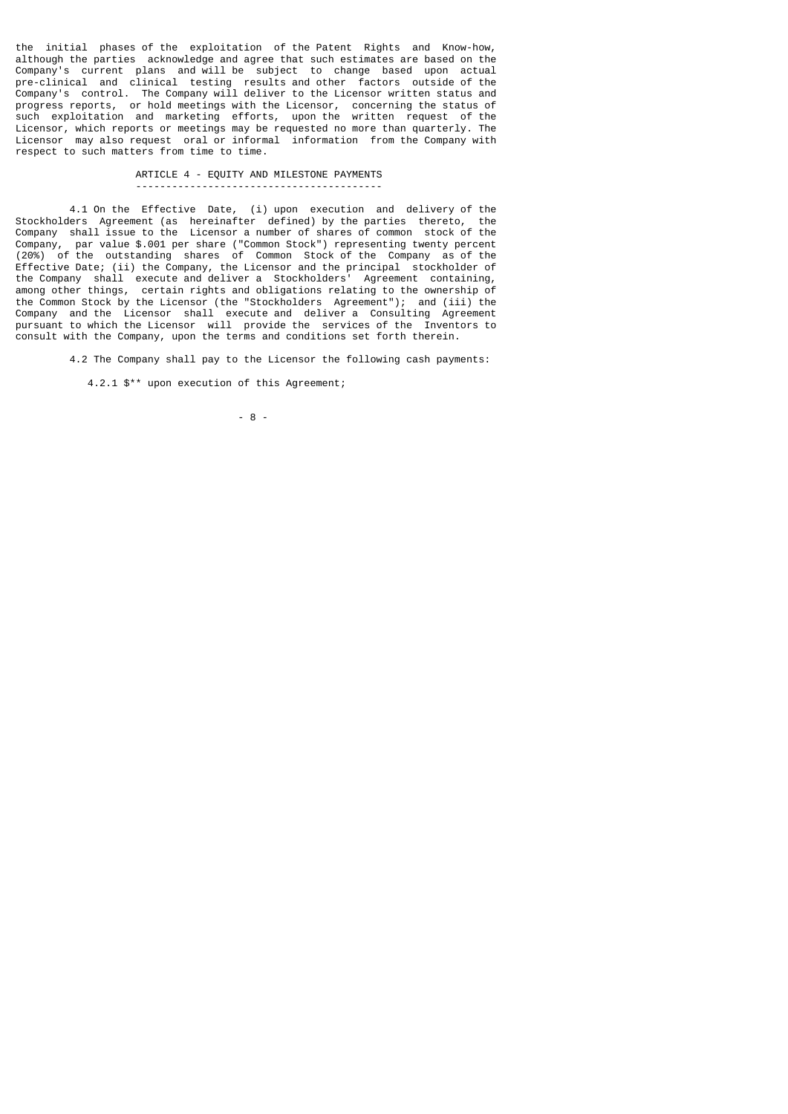the initial phases of the exploitation of the Patent Rights and Know-how, although the parties acknowledge and agree that such estimates are based on the Company's current plans and will be subject to change based upon actual pre-clinical and clinical testing results and other factors outside of the Company's control. The Company will deliver to the Licensor written status and progress reports, or hold meetings with the Licensor, concerning the status of such exploitation and marketing efforts, upon the written request of the Licensor, which reports or meetings may be requested no more than quarterly. The Licensor may also request oral or informal information from the Company with respect to such matters from time to time.

## ARTICLE 4 - EQUITY AND MILESTONE PAYMENTS

#### -----------------------------------------

 4.1 On the Effective Date, (i) upon execution and delivery of the Stockholders Agreement (as hereinafter defined) by the parties thereto, the Company shall issue to the Licensor a number of shares of common stock of the Company, par value \$.001 per share ("Common Stock") representing twenty percent (20%) of the outstanding shares of Common Stock of the Company as of the Effective Date; (ii) the Company, the Licensor and the principal stockholder of the Company shall execute and deliver a Stockholders' Agreement containing, among other things, certain rights and obligations relating to the ownership of the Common Stock by the Licensor (the "Stockholders Agreement"); and (iii) the Company and the Licensor shall execute and deliver a Consulting Agreement pursuant to which the Licensor will provide the services of the Inventors to consult with the Company, upon the terms and conditions set forth therein.

4.2 The Company shall pay to the Licensor the following cash payments:

4.2.1 \$\*\* upon execution of this Agreement;

- 8 -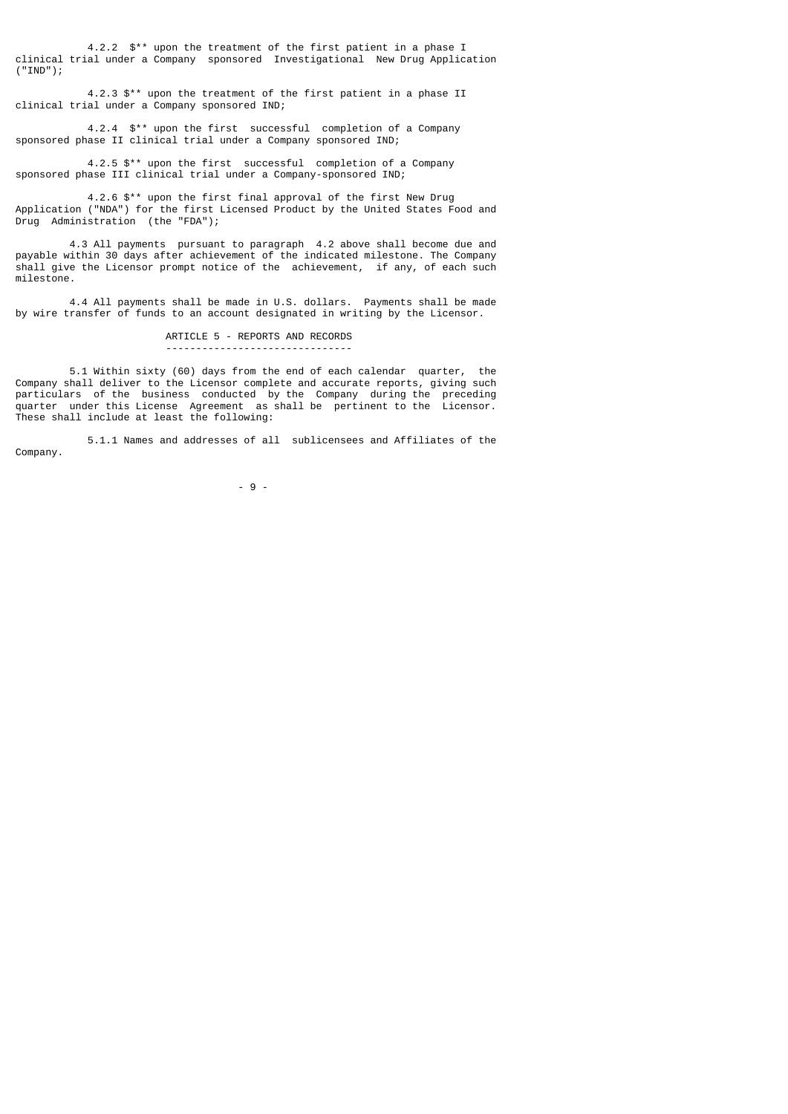4.2.2 \$\*\* upon the treatment of the first patient in a phase I clinical trial under a Company sponsored Investigational New Drug Application ("IND");

 4.2.3 \$\*\* upon the treatment of the first patient in a phase II clinical trial under a Company sponsored IND;

 4.2.4 \$\*\* upon the first successful completion of a Company sponsored phase II clinical trial under a Company sponsored IND;

 4.2.5 \$\*\* upon the first successful completion of a Company sponsored phase III clinical trial under a Company-sponsored IND;

 4.2.6 \$\*\* upon the first final approval of the first New Drug Application ("NDA") for the first Licensed Product by the United States Food and Drug Administration (the "FDA");

 4.3 All payments pursuant to paragraph 4.2 above shall become due and payable within 30 days after achievement of the indicated milestone. The Company shall give the Licensor prompt notice of the achievement, if any, of each such milestone.

 4.4 All payments shall be made in U.S. dollars. Payments shall be made by wire transfer of funds to an account designated in writing by the Licensor.

 ARTICLE 5 - REPORTS AND RECORDS -------------------------------

 5.1 Within sixty (60) days from the end of each calendar quarter, the Company shall deliver to the Licensor complete and accurate reports, giving such particulars of the business conducted by the Company during the preceding quarter under this License Agreement as shall be pertinent to the Licensor. These shall include at least the following:

 5.1.1 Names and addresses of all sublicensees and Affiliates of the Company.

- 9 -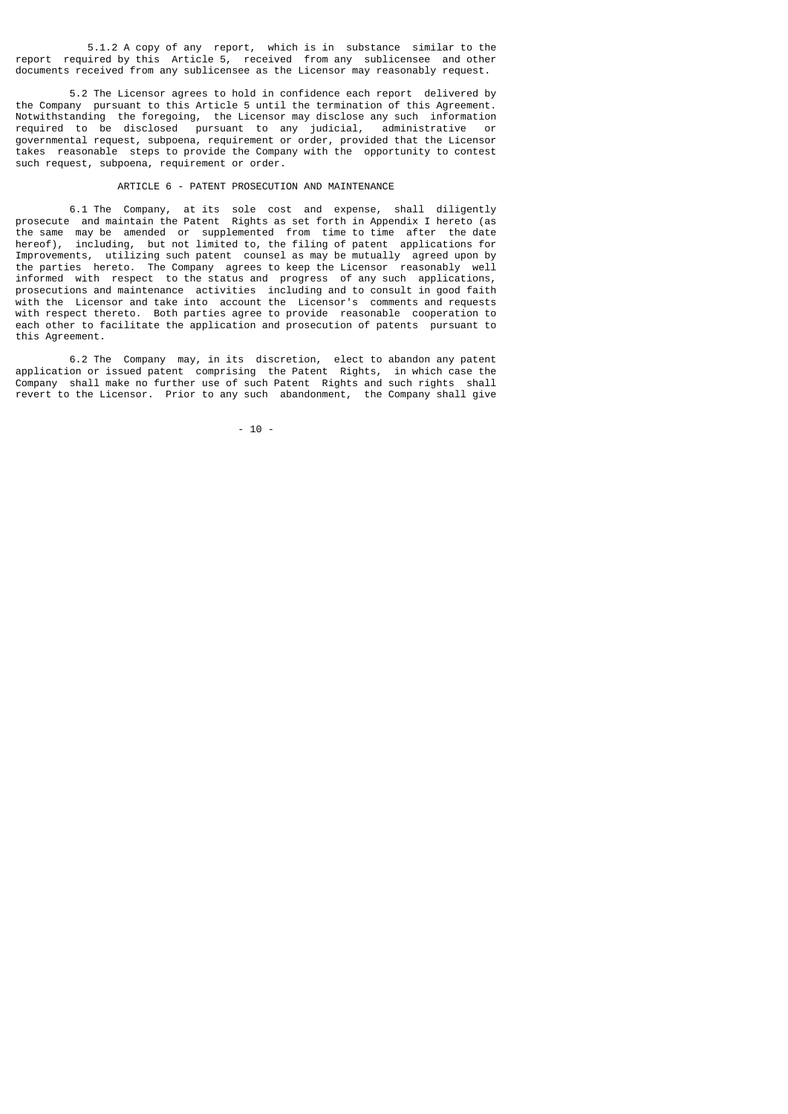5.1.2 A copy of any report, which is in substance similar to the report required by this Article 5, received from any sublicensee and other documents received from any sublicensee as the Licensor may reasonably request.

 5.2 The Licensor agrees to hold in confidence each report delivered by the Company pursuant to this Article 5 until the termination of this Agreement. Notwithstanding the foregoing, the Licensor may disclose any such information required to be disclosed pursuant to any judicial, administrative or governmental request, subpoena, requirement or order, provided that the Licensor takes reasonable steps to provide the Company with the opportunity to contest such request, subpoena, requirement or order.

# ARTICLE 6 - PATENT PROSECUTION AND MAINTENANCE

 6.1 The Company, at its sole cost and expense, shall diligently prosecute and maintain the Patent Rights as set forth in Appendix I hereto (as the same may be amended or supplemented from time to time after the date hereof), including, but not limited to, the filing of patent applications for Improvements, utilizing such patent counsel as may be mutually agreed upon by the parties hereto. The Company agrees to keep the Licensor reasonably well informed with respect to the status and progress of any such applications, prosecutions and maintenance activities including and to consult in good faith with the Licensor and take into account the Licensor's comments and requests with respect thereto. Both parties agree to provide reasonable cooperation to each other to facilitate the application and prosecution of patents pursuant to this Agreement.

 6.2 The Company may, in its discretion, elect to abandon any patent application or issued patent comprising the Patent Rights, in which case the Company shall make no further use of such Patent Rights and such rights shall revert to the Licensor. Prior to any such abandonment, the Company shall give

- 10 -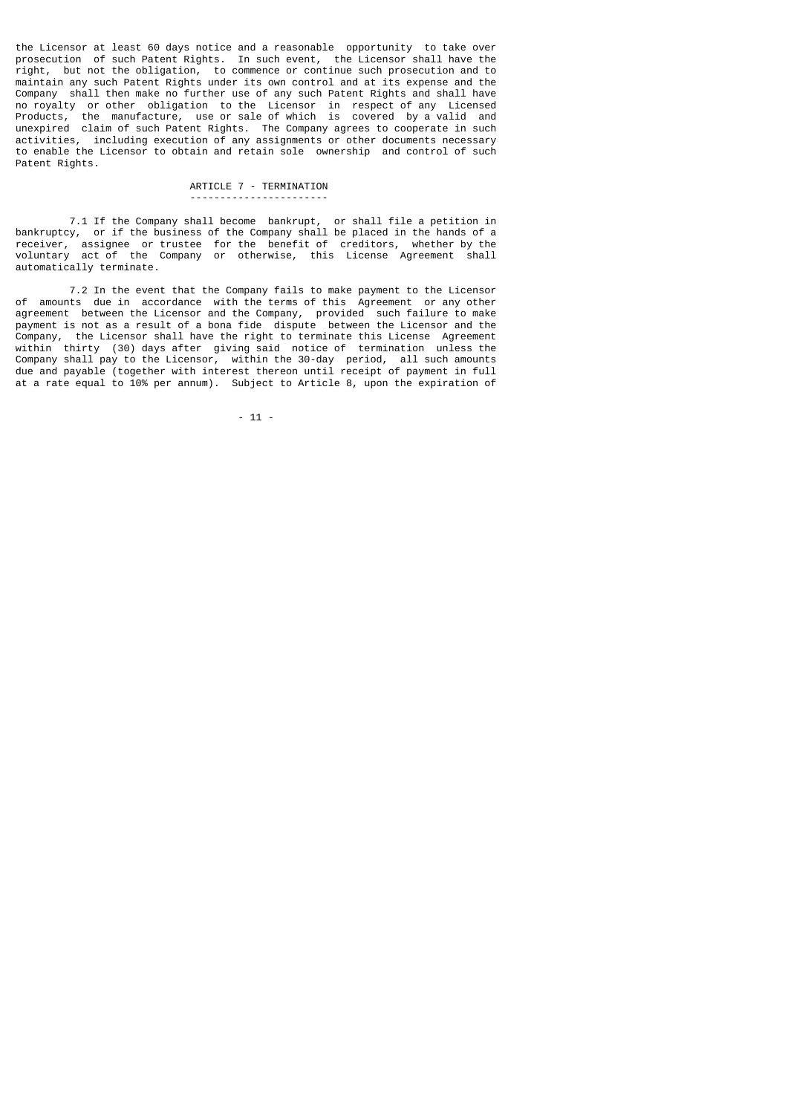the Licensor at least 60 days notice and a reasonable opportunity to take over prosecution of such Patent Rights. In such event, the Licensor shall have the right, but not the obligation, to commence or continue such prosecution and to maintain any such Patent Rights under its own control and at its expense and the Company shall then make no further use of any such Patent Rights and shall have no royalty or other obligation to the Licensor in respect of any Licensed Products, the manufacture, use or sale of which is covered by a valid and unexpired claim of such Patent Rights. The Company agrees to cooperate in such activities, including execution of any assignments or other documents necessary to enable the Licensor to obtain and retain sole ownership and control of such Patent Rights.

#### ARTICLE 7 - TERMINATION -----------------------

 7.1 If the Company shall become bankrupt, or shall file a petition in bankruptcy, or if the business of the Company shall be placed in the hands of a receiver, assignee or trustee for the benefit of creditors, whether by the voluntary act of the Company or otherwise, this License Agreement shall automatically terminate.

 7.2 In the event that the Company fails to make payment to the Licensor of amounts due in accordance with the terms of this Agreement or any other agreement between the Licensor and the Company, provided such failure to make payment is not as a result of a bona fide dispute between the Licensor and the Company, the Licensor shall have the right to terminate this License Agreement within thirty (30) days after giving said notice of termination unless the Company shall pay to the Licensor, within the 30-day period, all such amounts due and payable (together with interest thereon until receipt of payment in full at a rate equal to 10% per annum). Subject to Article 8, upon the expiration of

 $-11 -$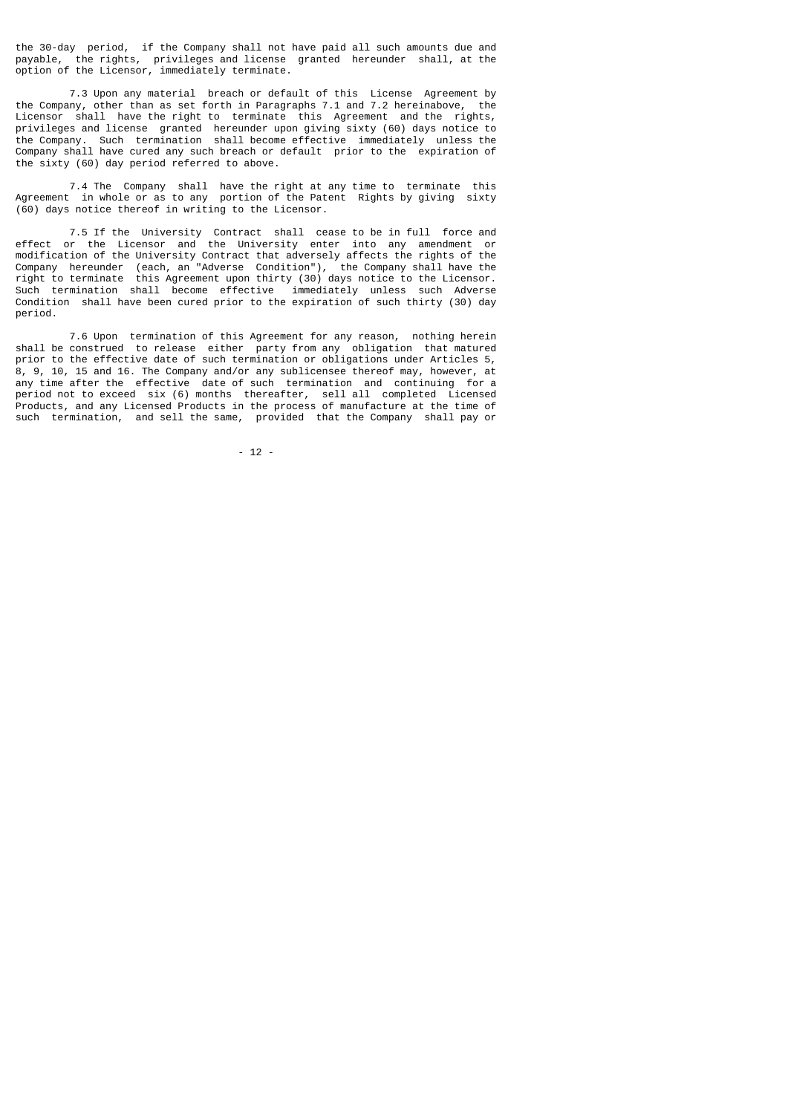the 30-day period, if the Company shall not have paid all such amounts due and payable, the rights, privileges and license granted hereunder shall, at the option of the Licensor, immediately terminate.

 7.3 Upon any material breach or default of this License Agreement by the Company, other than as set forth in Paragraphs 7.1 and 7.2 hereinabove, the Licensor shall have the right to terminate this Agreement and the rights, privileges and license granted hereunder upon giving sixty (60) days notice to the Company. Such termination shall become effective immediately unless the Company shall have cured any such breach or default prior to the expiration of the sixty (60) day period referred to above.

 7.4 The Company shall have the right at any time to terminate this Agreement in whole or as to any portion of the Patent Rights by giving sixty (60) days notice thereof in writing to the Licensor.

 7.5 If the University Contract shall cease to be in full force and effect or the Licensor and the University enter into any amendment or modification of the University Contract that adversely affects the rights of the Company hereunder (each, an "Adverse Condition"), the Company shall have the right to terminate this Agreement upon thirty (30) days notice to the Licensor. Such termination shall become effective immediately unless such Adverse Condition shall have been cured prior to the expiration of such thirty (30) day period.

 7.6 Upon termination of this Agreement for any reason, nothing herein shall be construed to release either party from any obligation that matured prior to the effective date of such termination or obligations under Articles 5, 8, 9, 10, 15 and 16. The Company and/or any sublicensee thereof may, however, at any time after the effective date of such termination and continuing for a period not to exceed six (6) months thereafter, sell all completed Licensed Products, and any Licensed Products in the process of manufacture at the time of such termination, and sell the same, provided that the Company shall pay or

 $- 12$  -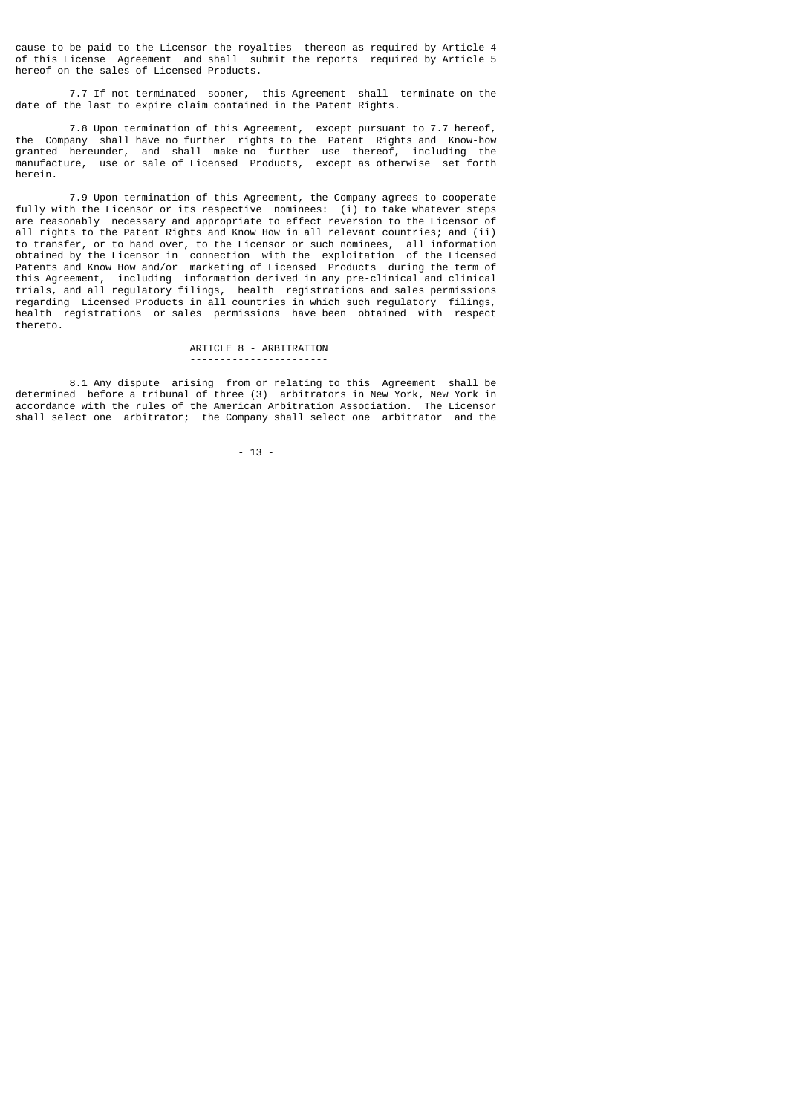cause to be paid to the Licensor the royalties thereon as required by Article 4 of this License Agreement and shall submit the reports required by Article 5 hereof on the sales of Licensed Products.

 7.7 If not terminated sooner, this Agreement shall terminate on the date of the last to expire claim contained in the Patent Rights.

 7.8 Upon termination of this Agreement, except pursuant to 7.7 hereof, the Company shall have no further rights to the Patent Rights and Know-how granted hereunder, and shall make no further use thereof, including the manufacture, use or sale of Licensed Products, except as otherwise set forth herein.

 7.9 Upon termination of this Agreement, the Company agrees to cooperate fully with the Licensor or its respective nominees: (i) to take whatever steps are reasonably necessary and appropriate to effect reversion to the Licensor of all rights to the Patent Rights and Know How in all relevant countries; and (ii) to transfer, or to hand over, to the Licensor or such nominees, all information obtained by the Licensor in connection with the exploitation of the Licensed Patents and Know How and/or marketing of Licensed Products during the term of this Agreement, including information derived in any pre-clinical and clinical trials, and all regulatory filings, health registrations and sales permissions regarding Licensed Products in all countries in which such regulatory filings, health registrations or sales permissions have been obtained with respect thereto.

#### ARTICLE 8 - ARBITRATION -----------------------

 8.1 Any dispute arising from or relating to this Agreement shall be determined before a tribunal of three (3) arbitrators in New York, New York in accordance with the rules of the American Arbitration Association. The Licensor shall select one arbitrator; the Company shall select one arbitrator and the

 $- 13 -$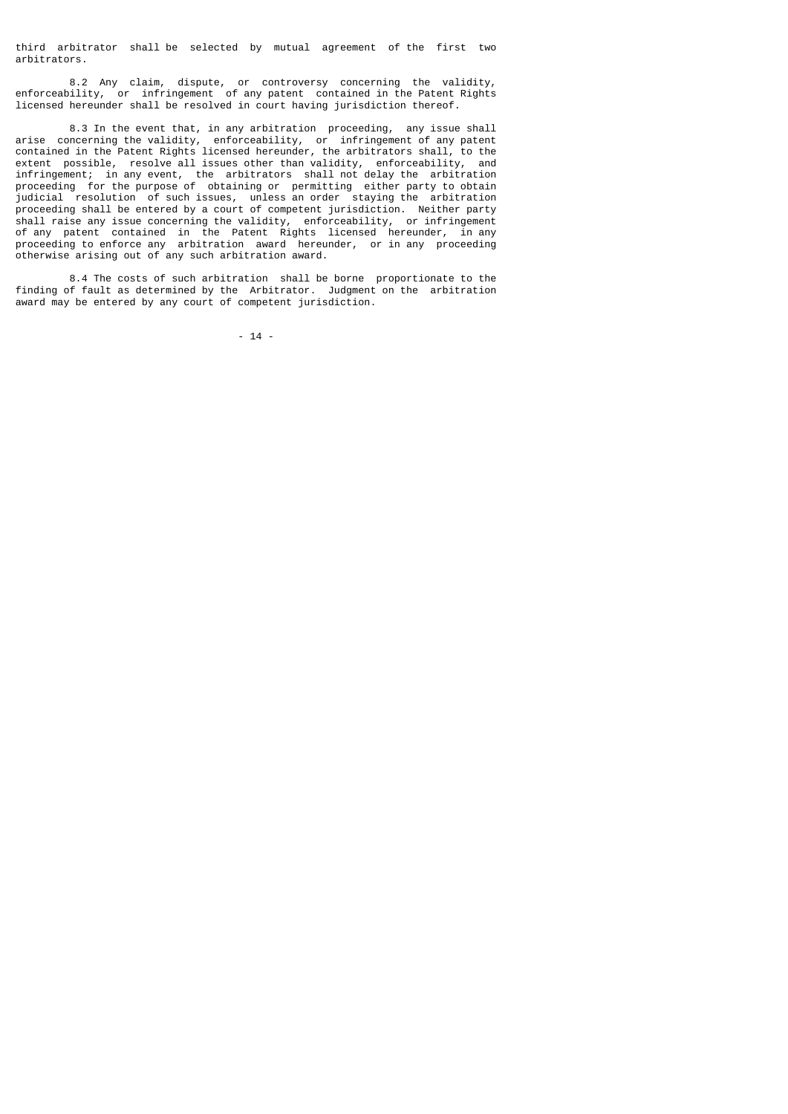third arbitrator shall be selected by mutual agreement of the first two arbitrators.

 8.2 Any claim, dispute, or controversy concerning the validity, enforceability, or infringement of any patent contained in the Patent Rights licensed hereunder shall be resolved in court having jurisdiction thereof.

 8.3 In the event that, in any arbitration proceeding, any issue shall arise concerning the validity, enforceability, or infringement of any patent contained in the Patent Rights licensed hereunder, the arbitrators shall, to the extent possible, resolve all issues other than validity, enforceability, and infringement; in any event, the arbitrators shall not delay the arbitration proceeding for the purpose of obtaining or permitting either party to obtain judicial resolution of such issues, unless an order staying the arbitration proceeding shall be entered by a court of competent jurisdiction. Neither party shall raise any issue concerning the validity, enforceability, or infringement of any patent contained in the Patent Rights licensed hereunder, in any proceeding to enforce any arbitration award hereunder, or in any proceeding otherwise arising out of any such arbitration award.

 8.4 The costs of such arbitration shall be borne proportionate to the finding of fault as determined by the Arbitrator. Judgment on the arbitration award may be entered by any court of competent jurisdiction.

- 14 -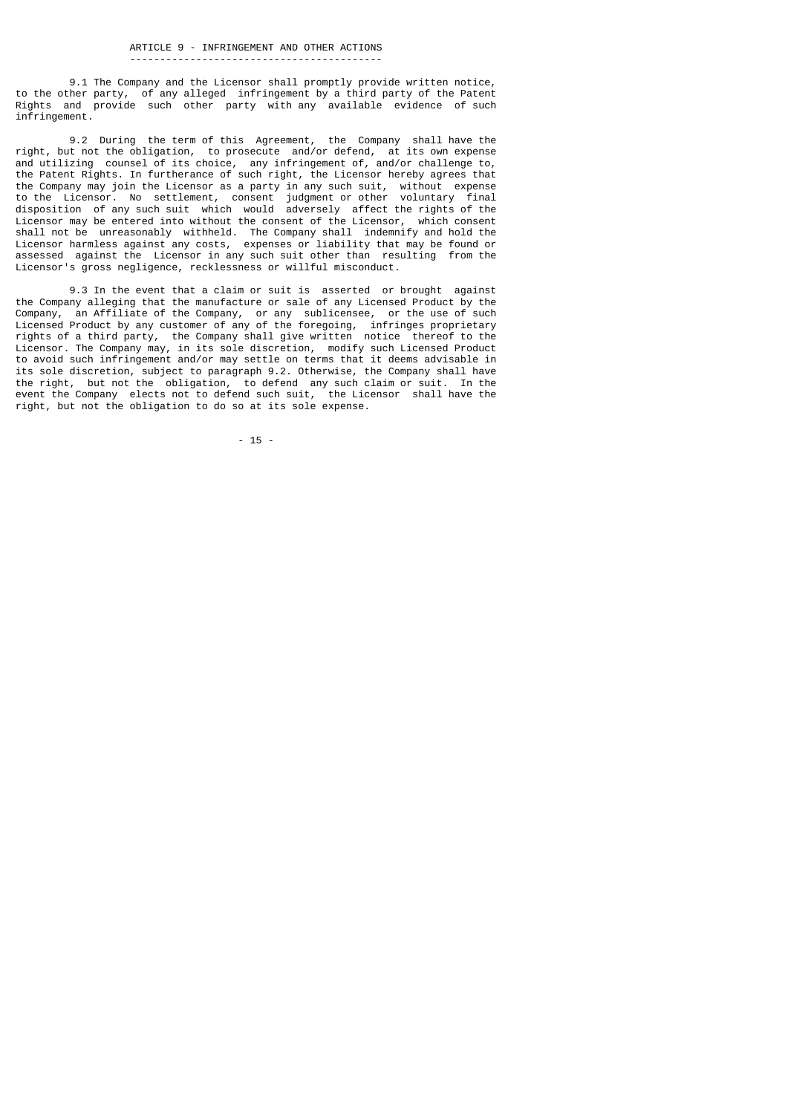9.1 The Company and the Licensor shall promptly provide written notice, to the other party, of any alleged infringement by a third party of the Patent Rights and provide such other party with any available evidence of such infringement.

 9.2 During the term of this Agreement, the Company shall have the right, but not the obligation, to prosecute and/or defend, at its own expense and utilizing counsel of its choice, any infringement of, and/or challenge to, the Patent Rights. In furtherance of such right, the Licensor hereby agrees that the Company may join the Licensor as a party in any such suit, without expense to the Licensor. No settlement, consent judgment or other voluntary final disposition of any such suit which would adversely affect the rights of the Licensor may be entered into without the consent of the Licensor, which consent shall not be unreasonably withheld. The Company shall indemnify and hold the Licensor harmless against any costs, expenses or liability that may be found or assessed against the Licensor in any such suit other than resulting from the Licensor's gross negligence, recklessness or willful misconduct.

 9.3 In the event that a claim or suit is asserted or brought against the Company alleging that the manufacture or sale of any Licensed Product by the Company, an Affiliate of the Company, or any sublicensee, or the use of such Licensed Product by any customer of any of the foregoing, infringes proprietary rights of a third party, the Company shall give written notice thereof to the Licensor. The Company may, in its sole discretion, modify such Licensed Product to avoid such infringement and/or may settle on terms that it deems advisable in its sole discretion, subject to paragraph 9.2. Otherwise, the Company shall have the right, but not the obligation, to defend any such claim or suit. In the event the Company elects not to defend such suit, the Licensor shall have the right, but not the obligation to do so at its sole expense.

- 15 -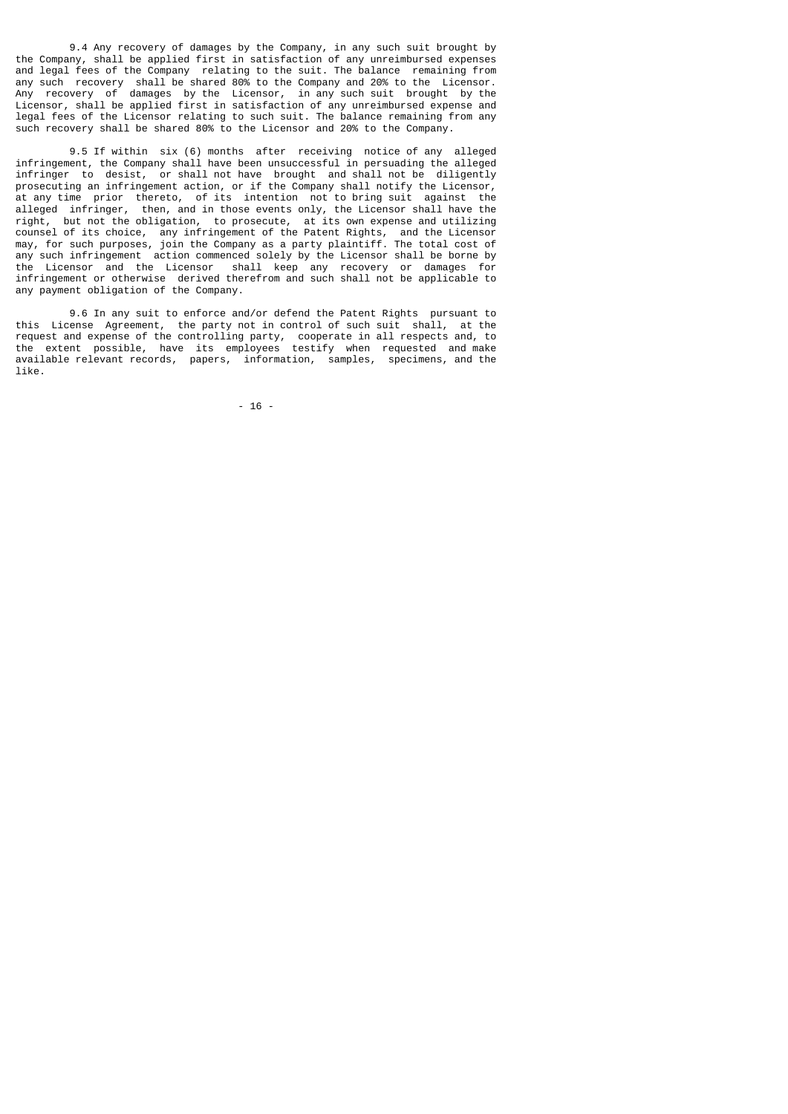9.4 Any recovery of damages by the Company, in any such suit brought by the Company, shall be applied first in satisfaction of any unreimbursed expenses and legal fees of the Company relating to the suit. The balance remaining from any such recovery shall be shared 80% to the Company and 20% to the Licensor. Any recovery of damages by the Licensor, in any such suit brought by the Licensor, shall be applied first in satisfaction of any unreimbursed expense and legal fees of the Licensor relating to such suit. The balance remaining from any such recovery shall be shared 80% to the Licensor and 20% to the Company.

 9.5 If within six (6) months after receiving notice of any alleged infringement, the Company shall have been unsuccessful in persuading the alleged infringer to desist, or shall not have brought and shall not be diligently prosecuting an infringement action, or if the Company shall notify the Licensor, at any time prior thereto, of its intention not to bring suit against the alleged infringer, then, and in those events only, the Licensor shall have the right, but not the obligation, to prosecute, at its own expense and utilizing counsel of its choice, any infringement of the Patent Rights, and the Licensor may, for such purposes, join the Company as a party plaintiff. The total cost of any such infringement action commenced solely by the Licensor shall be borne by the Licensor and the Licensor shall keep any recovery or damages for infringement or otherwise derived therefrom and such shall not be applicable to any payment obligation of the Company.

 9.6 In any suit to enforce and/or defend the Patent Rights pursuant to this License Agreement, the party not in control of such suit shall, at the request and expense of the controlling party, cooperate in all respects and, to the extent possible, have its employees testify when requested and make available relevant records, papers, information, samples, specimens, and the like.

- 16 -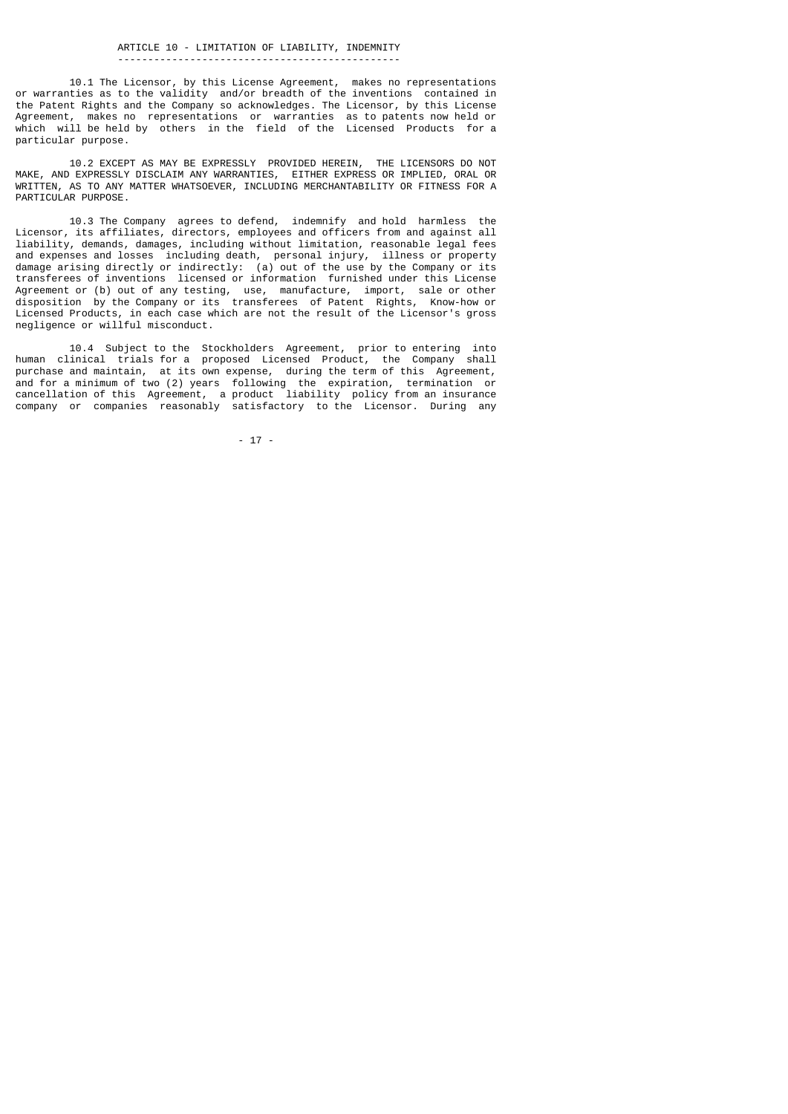#### ARTICLE 10 - LIMITATION OF LIABILITY, INDEMNITY -----------------------------------------------

 10.1 The Licensor, by this License Agreement, makes no representations or warranties as to the validity and/or breadth of the inventions contained in the Patent Rights and the Company so acknowledges. The Licensor, by this License Agreement, makes no representations or warranties as to patents now held or which will be held by others in the field of the Licensed Products for a particular purpose.

 10.2 EXCEPT AS MAY BE EXPRESSLY PROVIDED HEREIN, THE LICENSORS DO NOT MAKE, AND EXPRESSLY DISCLAIM ANY WARRANTIES, EITHER EXPRESS OR IMPLIED, ORAL OR WRITTEN, AS TO ANY MATTER WHATSOEVER, INCLUDING MERCHANTABILITY OR FITNESS FOR A PARTICULAR PURPOSE.

 10.3 The Company agrees to defend, indemnify and hold harmless the Licensor, its affiliates, directors, employees and officers from and against all liability, demands, damages, including without limitation, reasonable legal fees and expenses and losses including death, personal injury, illness or property damage arising directly or indirectly: (a) out of the use by the Company or its transferees of inventions licensed or information furnished under this License Agreement or (b) out of any testing, use, manufacture, import, sale or other disposition by the Company or its transferees of Patent Rights, Know-how or Licensed Products, in each case which are not the result of the Licensor's gross negligence or willful misconduct.

 10.4 Subject to the Stockholders Agreement, prior to entering into human clinical trials for a proposed Licensed Product, the Company shall purchase and maintain, at its own expense, during the term of this Agreement, and for a minimum of two (2) years following the expiration, termination or cancellation of this Agreement, a product liability policy from an insurance company or companies reasonably satisfactory to the Licensor. During any

- 17 -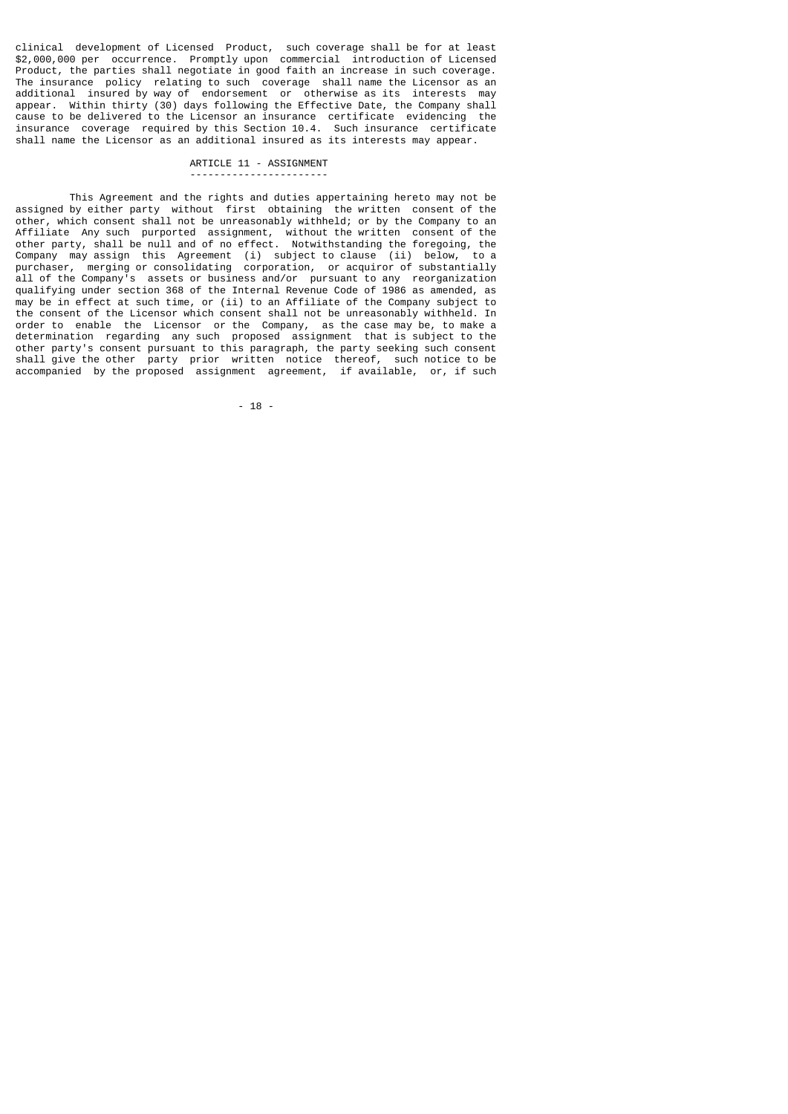clinical development of Licensed Product, such coverage shall be for at least \$2,000,000 per occurrence. Promptly upon commercial introduction of Licensed Product, the parties shall negotiate in good faith an increase in such coverage. The insurance policy relating to such coverage shall name the Licensor as an additional insured by way of endorsement or otherwise as its interests may appear. Within thirty (30) days following the Effective Date, the Company shall cause to be delivered to the Licensor an insurance certificate evidencing the insurance coverage required by this Section 10.4. Such insurance certificate shall name the Licensor as an additional insured as its interests may appear.

### ARTICLE 11 - ASSIGNMENT -----------------------

 This Agreement and the rights and duties appertaining hereto may not be assigned by either party without first obtaining the written consent of the other, which consent shall not be unreasonably withheld; or by the Company to an Affiliate Any such purported assignment, without the written consent of the other party, shall be null and of no effect. Notwithstanding the foregoing, the Company may assign this Agreement (i) subject to clause (ii) below, to a purchaser, merging or consolidating corporation, or acquiror of substantially all of the Company's assets or business and/or pursuant to any reorganization qualifying under section 368 of the Internal Revenue Code of 1986 as amended, as may be in effect at such time, or (ii) to an Affiliate of the Company subject to the consent of the Licensor which consent shall not be unreasonably withheld. In order to enable the Licensor or the Company, as the case may be, to make a determination regarding any such proposed assignment that is subject to the other party's consent pursuant to this paragraph, the party seeking such consent shall give the other party prior written notice thereof, such notice to be accompanied by the proposed assignment agreement, if available, or, if such

 $- 18 -$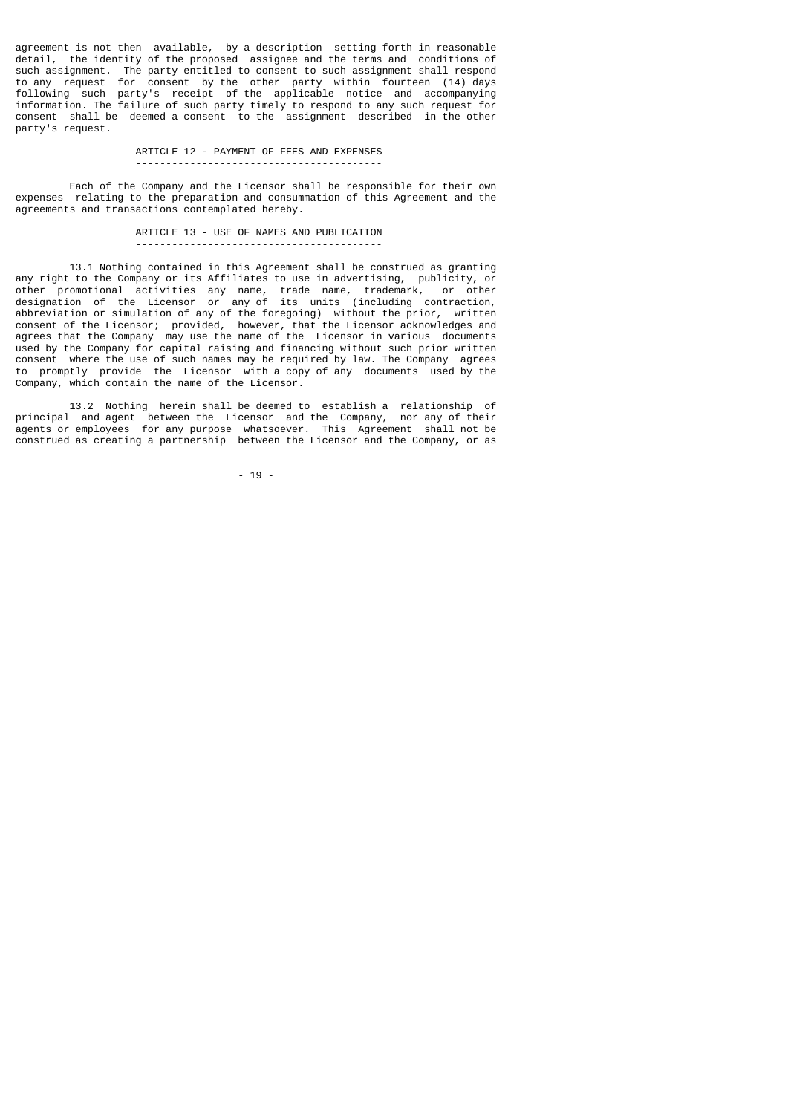agreement is not then available, by a description setting forth in reasonable detail, the identity of the proposed assignee and the terms and conditions of such assignment. The party entitled to consent to such assignment shall respond to any request for consent by the other party within fourteen (14) days following such party's receipt of the applicable notice and accompanying information. The failure of such party timely to respond to any such request for consent shall be deemed a consent to the assignment described in the other party's request.

## ARTICLE 12 - PAYMENT OF FEES AND EXPENSES

-----------------------------------------

 Each of the Company and the Licensor shall be responsible for their own expenses relating to the preparation and consummation of this Agreement and the agreements and transactions contemplated hereby.

 ARTICLE 13 - USE OF NAMES AND PUBLICATION -----------------------------------------

 13.1 Nothing contained in this Agreement shall be construed as granting any right to the Company or its Affiliates to use in advertising, publicity, or other promotional activities any name, trade name, trademark, or other designation of the Licensor or any of its units (including contraction, abbreviation or simulation of any of the foregoing) without the prior, written consent of the Licensor; provided, however, that the Licensor acknowledges and agrees that the Company may use the name of the Licensor in various documents used by the Company for capital raising and financing without such prior written consent where the use of such names may be required by law. The Company agrees to promptly provide the Licensor with a copy of any documents used by the Company, which contain the name of the Licensor.

 13.2 Nothing herein shall be deemed to establish a relationship of principal and agent between the Licensor and the Company, nor any of their agents or employees for any purpose whatsoever. This Agreement shall not be construed as creating a partnership between the Licensor and the Company, or as

- 19 -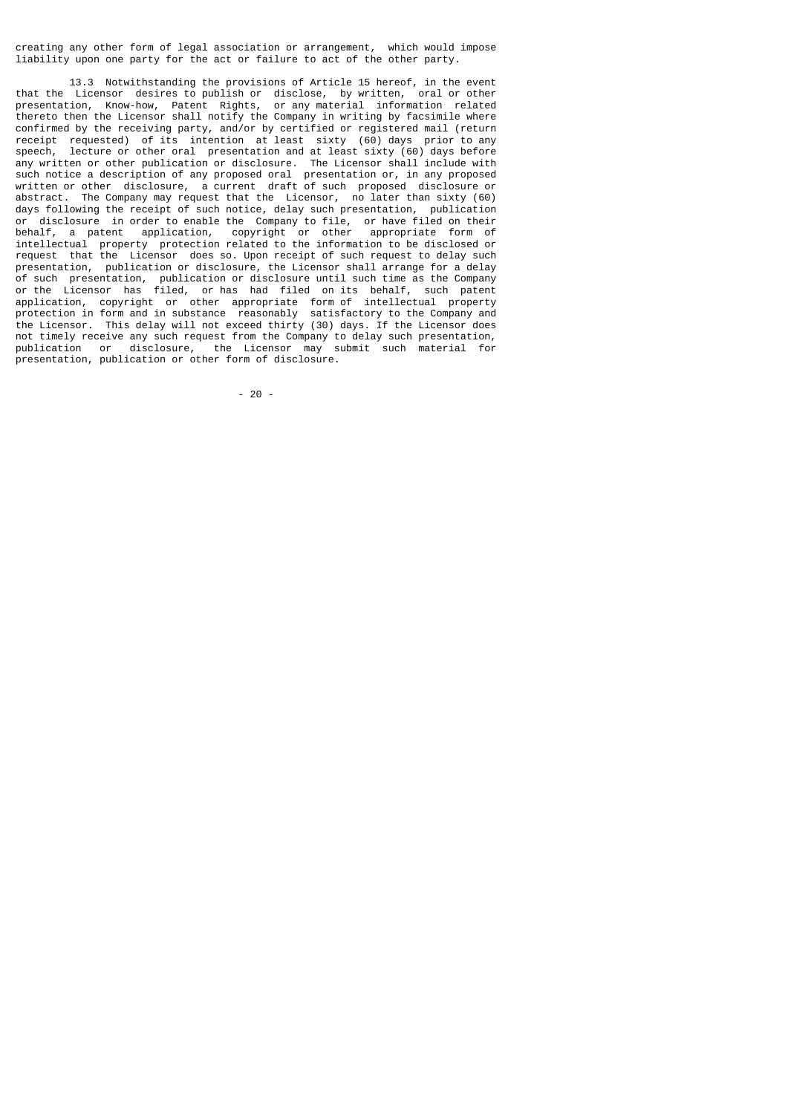creating any other form of legal association or arrangement, which would impose liability upon one party for the act or failure to act of the other party.

 13.3 Notwithstanding the provisions of Article 15 hereof, in the event that the Licensor desires to publish or disclose, by written, oral or other presentation, Know-how, Patent Rights, or any material information related thereto then the Licensor shall notify the Company in writing by facsimile where confirmed by the receiving party, and/or by certified or registered mail (return receipt requested) of its intention at least sixty (60) days prior to any speech, lecture or other oral presentation and at least sixty (60) days before any written or other publication or disclosure. The Licensor shall include with such notice a description of any proposed oral presentation or, in any proposed written or other disclosure, a current draft of such proposed disclosure or abstract. The Company may request that the Licensor, no later than sixty (60) days following the receipt of such notice, delay such presentation, publication or disclosure in order to enable the Company to file, or have filed on their behalf, a patent application, copyright or other appropriate form of intellectual property protection related to the information to be disclosed or request that the Licensor does so. Upon receipt of such request to delay such presentation, publication or disclosure, the Licensor shall arrange for a delay of such presentation, publication or disclosure until such time as the Company or the Licensor has filed, or has had filed on its behalf, such patent application, copyright or other appropriate form of intellectual property protection in form and in substance reasonably satisfactory to the Company and the Licensor. This delay will not exceed thirty (30) days. If the Licensor does not timely receive any such request from the Company to delay such presentation, publication or disclosure, the Licensor may submit such material for presentation, publication or other form of disclosure.

- 20 -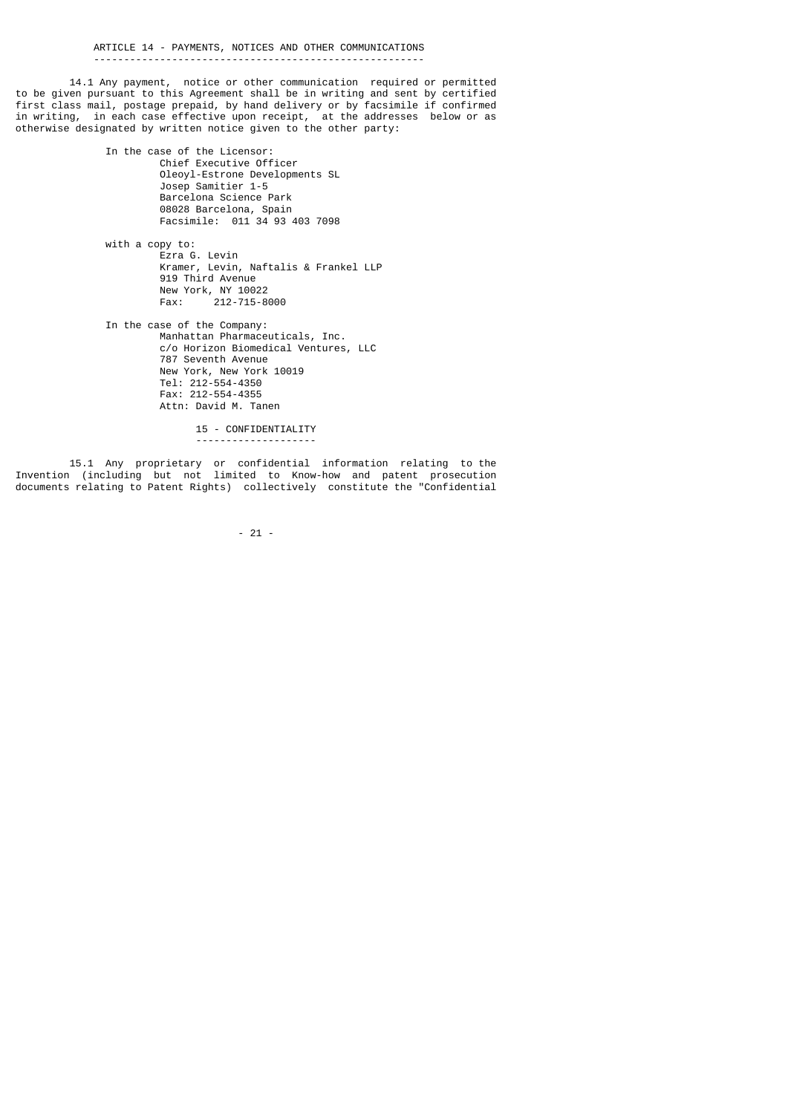14.1 Any payment, notice or other communication required or permitted to be given pursuant to this Agreement shall be in writing and sent by certified first class mail, postage prepaid, by hand delivery or by facsimile if confirmed in writing, in each case effective upon receipt, at the addresses below or as otherwise designated by written notice given to the other party:

 In the case of the Licensor: Chief Executive Officer Oleoyl-Estrone Developments SL Josep Samitier 1-5 Barcelona Science Park 08028 Barcelona, Spain Facsimile: 011 34 93 403 7098

- with a copy to: Ezra G. Levin Kramer, Levin, Naftalis & Frankel LLP 919 Third Avenue New York, NY 10022 Fax: 212-715-8000
- In the case of the Company: Manhattan Pharmaceuticals, Inc. c/o Horizon Biomedical Ventures, LLC 787 Seventh Avenue New York, New York 10019 Tel: 212-554-4350 Fax: 212-554-4355 Attn: David M. Tanen

 15 - CONFIDENTIALITY --------------------

 15.1 Any proprietary or confidential information relating to the Invention (including but not limited to Know-how and patent prosecution documents relating to Patent Rights) collectively constitute the "Confidential

- 21 -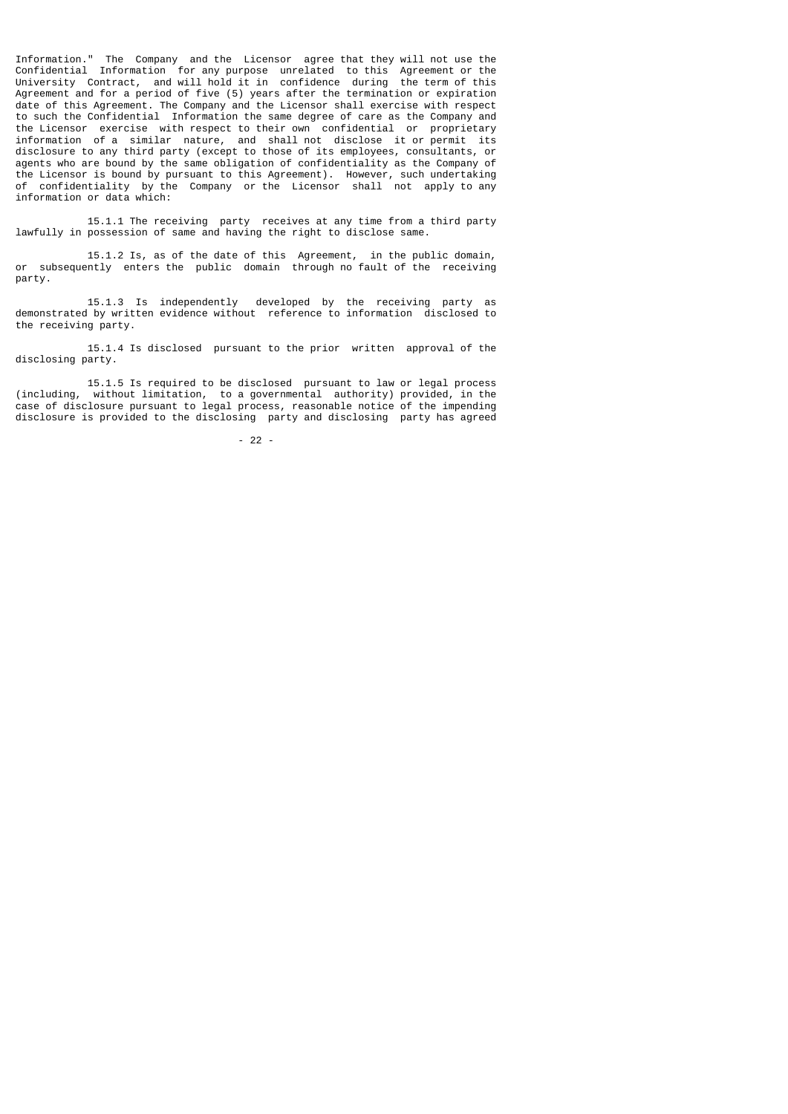Information." The Company and the Licensor agree that they will not use the Confidential Information for any purpose unrelated to this Agreement or the University Contract, and will hold it in confidence during the term of this Agreement and for a period of five (5) years after the termination or expiration date of this Agreement. The Company and the Licensor shall exercise with respect to such the Confidential Information the same degree of care as the Company and the Licensor exercise with respect to their own confidential or proprietary information of a similar nature, and shall not disclose it or permit its disclosure to any third party (except to those of its employees, consultants, or agents who are bound by the same obligation of confidentiality as the Company of the Licensor is bound by pursuant to this Agreement). However, such undertaking of confidentiality by the Company or the Licensor shall not apply to any information or data which:

 15.1.1 The receiving party receives at any time from a third party lawfully in possession of same and having the right to disclose same.

 15.1.2 Is, as of the date of this Agreement, in the public domain, or subsequently enters the public domain through no fault of the receiving party.

 15.1.3 Is independently developed by the receiving party as demonstrated by written evidence without reference to information disclosed to the receiving party.

 15.1.4 Is disclosed pursuant to the prior written approval of the disclosing party.

 15.1.5 Is required to be disclosed pursuant to law or legal process (including, without limitation, to a governmental authority) provided, in the case of disclosure pursuant to legal process, reasonable notice of the impending disclosure is provided to the disclosing party and disclosing party has agreed

- 22 -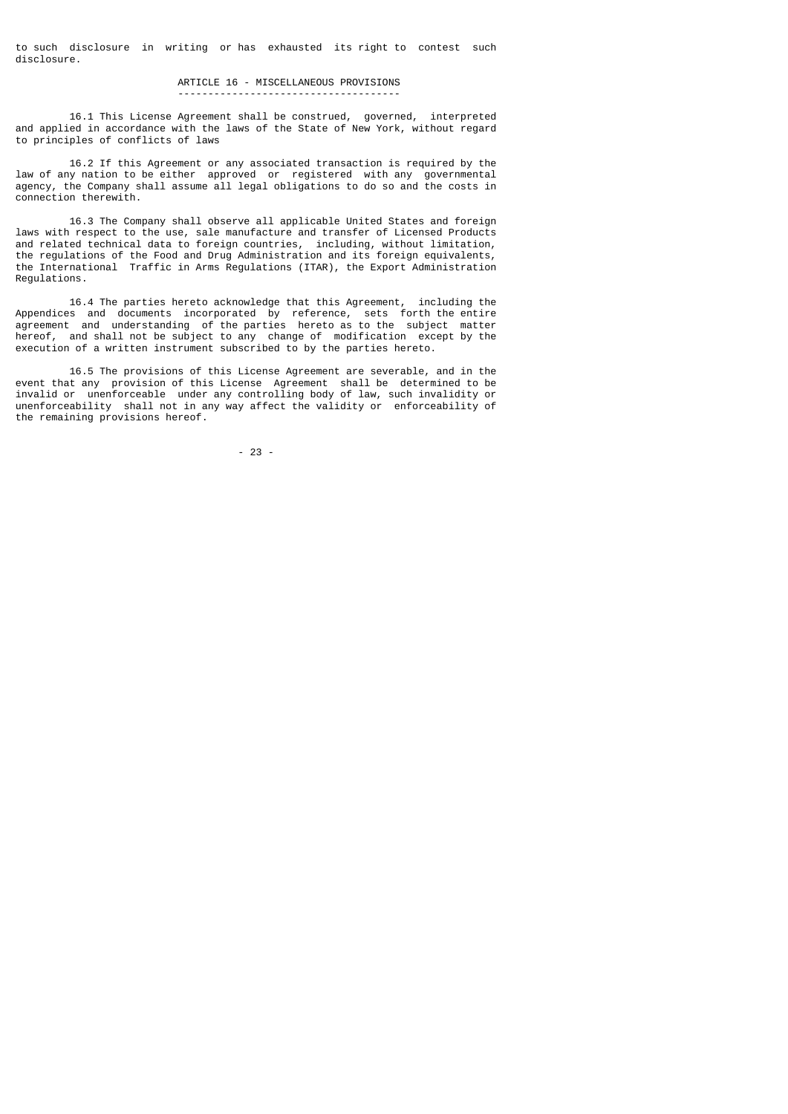to such disclosure in writing or has exhausted its right to contest such disclosure.

# ARTICLE 16 - MISCELLANEOUS PROVISIONS

-------------------------------------

 16.1 This License Agreement shall be construed, governed, interpreted and applied in accordance with the laws of the State of New York, without regard to principles of conflicts of laws

 16.2 If this Agreement or any associated transaction is required by the law of any nation to be either approved or registered with any governmental agency, the Company shall assume all legal obligations to do so and the costs in connection therewith.

 16.3 The Company shall observe all applicable United States and foreign laws with respect to the use, sale manufacture and transfer of Licensed Products and related technical data to foreign countries, including, without limitation, the regulations of the Food and Drug Administration and its foreign equivalents, the International Traffic in Arms Regulations (ITAR), the Export Administration Regulations.

 16.4 The parties hereto acknowledge that this Agreement, including the Appendices and documents incorporated by reference, sets forth the entire agreement and understanding of the parties hereto as to the subject matter hereof, and shall not be subject to any change of modification except by the execution of a written instrument subscribed to by the parties hereto.

 16.5 The provisions of this License Agreement are severable, and in the event that any provision of this License Agreement shall be determined to be invalid or unenforceable under any controlling body of law, such invalidity or unenforceability shall not in any way affect the validity or enforceability of the remaining provisions hereof.

- 23 -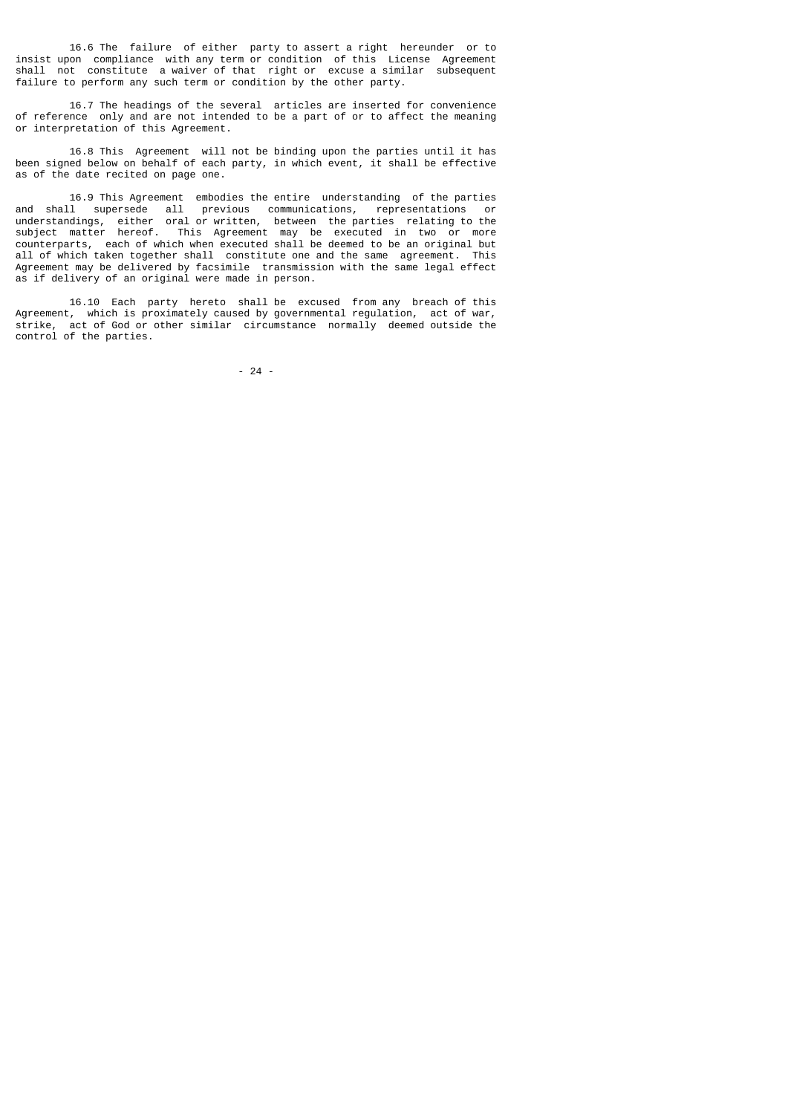16.6 The failure of either party to assert a right hereunder or to insist upon compliance with any term or condition of this License Agreement shall not constitute a waiver of that right or excuse a similar subsequent failure to perform any such term or condition by the other party.

 16.7 The headings of the several articles are inserted for convenience of reference only and are not intended to be a part of or to affect the meaning or interpretation of this Agreement.

 16.8 This Agreement will not be binding upon the parties until it has been signed below on behalf of each party, in which event, it shall be effective as of the date recited on page one.

 16.9 This Agreement embodies the entire understanding of the parties and shall supersede all previous communications, representations or understandings, either oral or written, between the parties relating to the subject matter hereof. This Agreement may be executed in two or more counterparts, each of which when executed shall be deemed to be an original but all of which taken together shall constitute one and the same agreement. This Agreement may be delivered by facsimile transmission with the same legal effect as if delivery of an original were made in person.

 16.10 Each party hereto shall be excused from any breach of this Agreement, which is proximately caused by governmental regulation, act of war, strike, act of God or other similar circumstance normally deemed outside the control of the parties.

- 24 -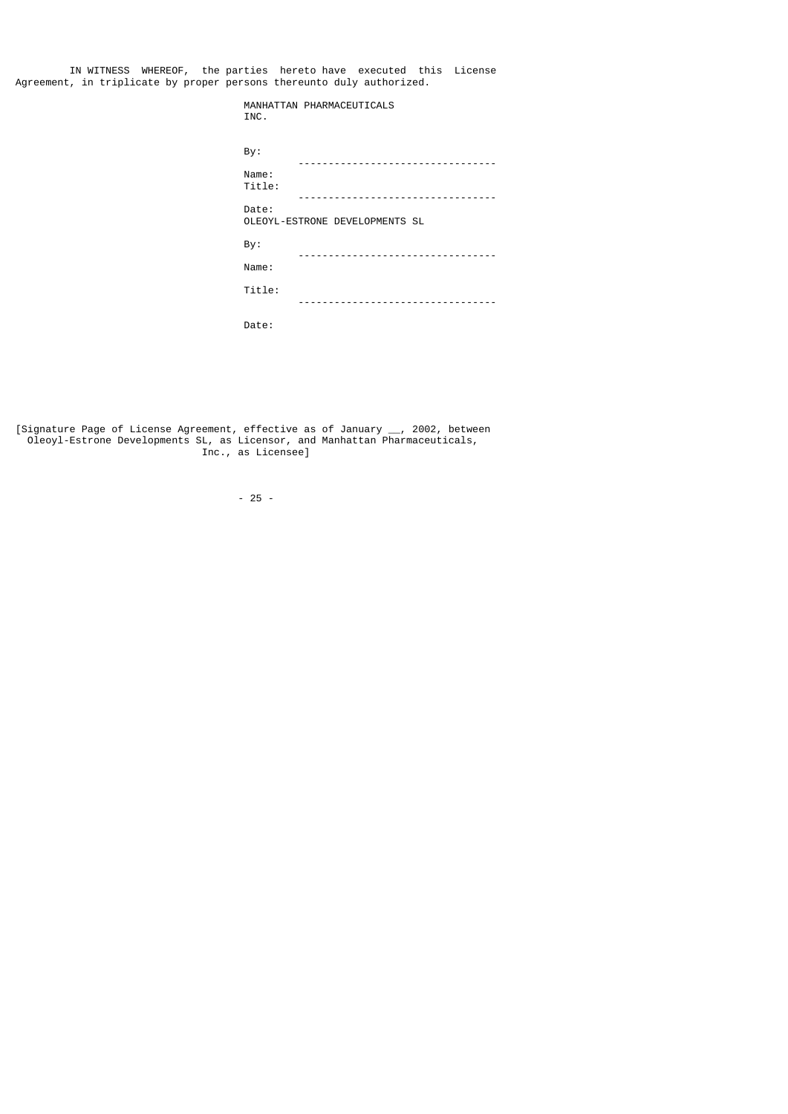IN WITNESS WHEREOF, the parties hereto have executed this License Agreement, in triplicate by proper persons thereunto duly authorized. MANHATTAN PHARMACEUTICALS<br>INC. INC. By: --------------------------------- Name: Title: --------------------------------- Date: OLEOYL-ESTRONE DEVELOPMENTS SL By: --------------------------------- Name: Title: --------------------------------- Date:

[Signature Page of License Agreement, effective as of January \_\_, 2002, between Oleoyl-Estrone Developments SL, as Licensor, and Manhattan Pharmaceuticals, Inc., as Licensee]

- 25 -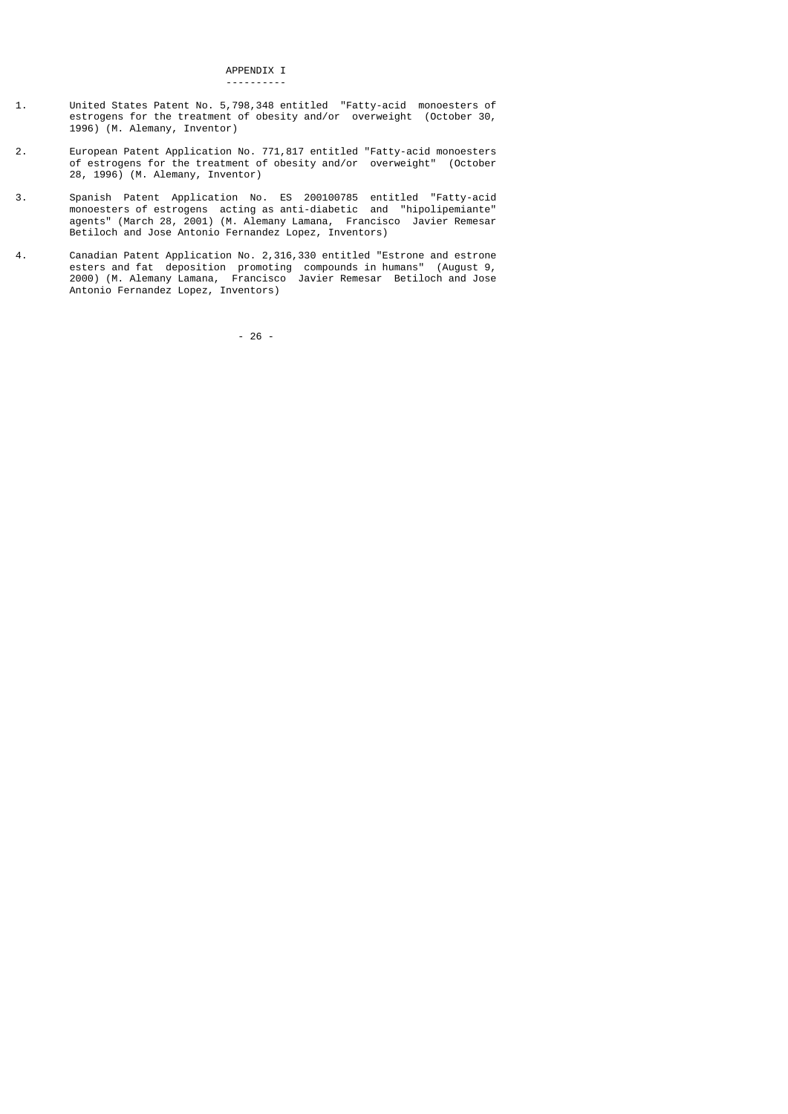### APPENDIX I ----------

- 1. United States Patent No. 5,798,348 entitled "Fatty-acid monoesters of estrogens for the treatment of obesity and/or overweight (October 30, 1996) (M. Alemany, Inventor)
- 2. European Patent Application No. 771,817 entitled "Fatty-acid monoesters of estrogens for the treatment of obesity and/or overweight" (October 28, 1996) (M. Alemany, Inventor)
- 3. Spanish Patent Application No. ES 200100785 entitled "Fatty-acid monoesters of estrogens acting as anti-diabetic and "hipolipemiante" agents" (March 28, 2001) (M. Alemany Lamana, Francisco Javier Remesar Betiloch and Jose Antonio Fernandez Lopez, Inventors)
- 4. Canadian Patent Application No. 2,316,330 entitled "Estrone and estrone esters and fat deposition promoting compounds in humans" (August 9, 2000) (M. Alemany Lamana, Francisco Javier Remesar Betiloch and Jose Antonio Fernandez Lopez, Inventors)

- 26 -